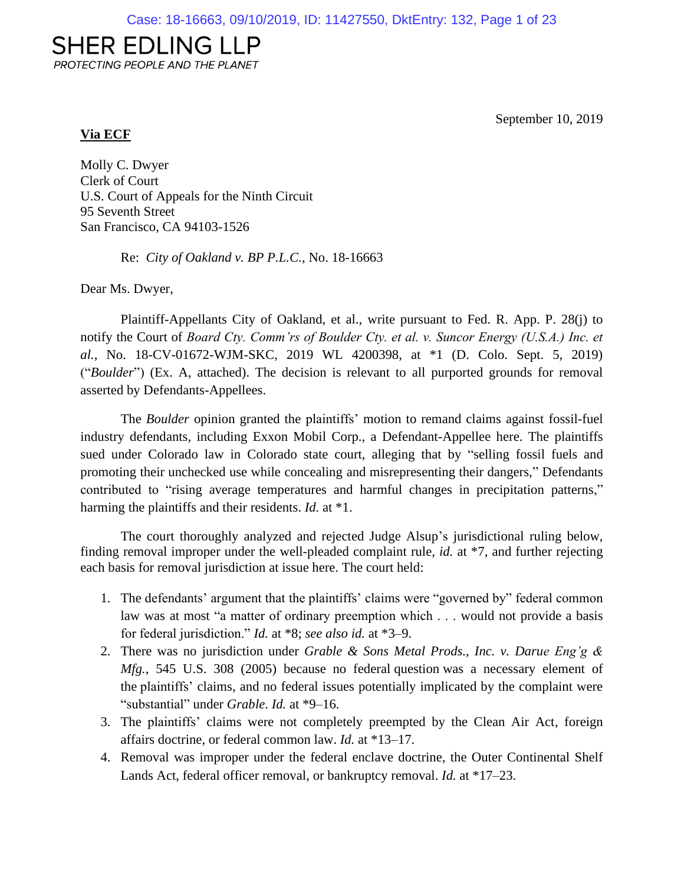# **SHER EDLING LLP**

PROTECTING PEOPLE AND THE PLANET

September 10, 2019

# **Via ECF**

Molly C. Dwyer Clerk of Court U.S. Court of Appeals for the Ninth Circuit 95 Seventh Street San Francisco, CA 94103-1526

Re: *City of Oakland v. BP P.L.C.*, No. 18-16663

Dear Ms. Dwyer,

Plaintiff-Appellants City of Oakland, et al., write pursuant to Fed. R. App. P. 28(j) to notify the Court of *Board Cty. Comm'rs of Boulder Cty. et al. v. Suncor Energy (U.S.A.) Inc. et al.*, No. 18-CV-01672-WJM-SKC, 2019 WL 4200398, at \*1 (D. Colo. Sept. 5, 2019) ("*Boulder*") (Ex. A, attached). The decision is relevant to all purported grounds for removal asserted by Defendants-Appellees.

The *Boulder* opinion granted the plaintiffs' motion to remand claims against fossil-fuel industry defendants, including Exxon Mobil Corp., a Defendant-Appellee here. The plaintiffs sued under Colorado law in Colorado state court, alleging that by "selling fossil fuels and promoting their unchecked use while concealing and misrepresenting their dangers," Defendants contributed to "rising average temperatures and harmful changes in precipitation patterns," harming the plaintiffs and their residents. *Id.* at \*1.

The court thoroughly analyzed and rejected Judge Alsup's jurisdictional ruling below, finding removal improper under the well-pleaded complaint rule, *id.* at \*7, and further rejecting each basis for removal jurisdiction at issue here. The court held:

- 1. The defendants' argument that the plaintiffs' claims were "governed by" federal common law was at most "a matter of ordinary preemption which . . . would not provide a basis for federal jurisdiction." *Id.* at \*8; *see also id.* at \*3–9.
- 2. There was no jurisdiction under *Grable & Sons Metal Prods., Inc. v. Darue Eng'g & Mfg.*, 545 U.S. 308 (2005) because no federal question was a necessary element of the plaintiffs' claims, and no federal issues potentially implicated by the complaint were "substantial" under *Grable*. *Id.* at \*9–16.
- 3. The plaintiffs' claims were not completely preempted by the Clean Air Act, foreign affairs doctrine, or federal common law. *Id.* at \*13–17.
- 4. Removal was improper under the federal enclave doctrine, the Outer Continental Shelf Lands Act, federal officer removal, or bankruptcy removal. *Id.* at \*17–23.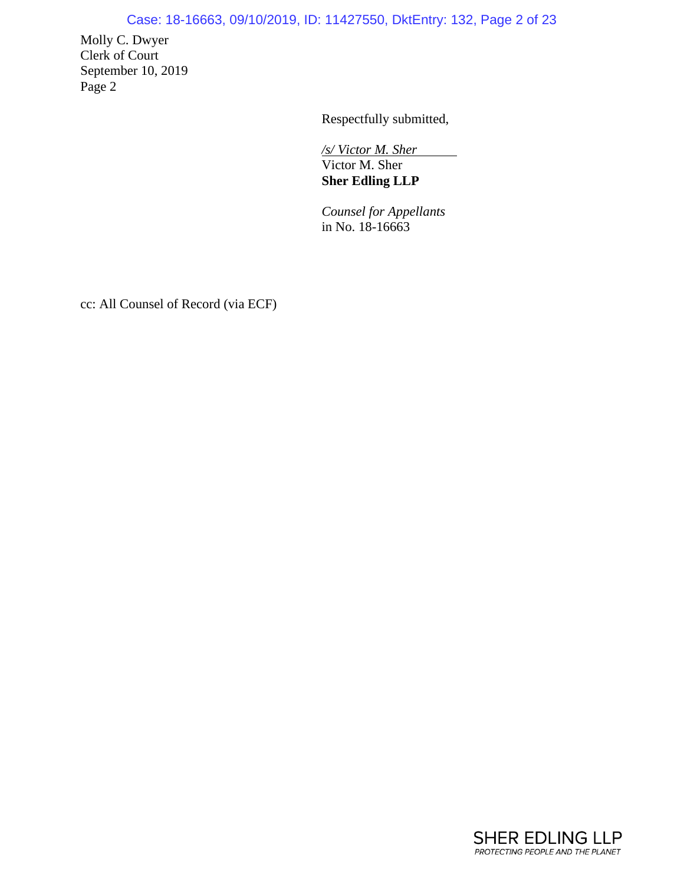# Case: 18-16663, 09/10/2019, ID: 11427550, DktEntry: 132, Page 2 of 23

Molly C. Dwyer Clerk of Court September 10, 2019 Page 2

Respectfully submitted,

*/s/ Victor M. Sher*  Victor M. Sher **Sher Edling LLP**

*Counsel for Appellants* in No. 18-16663

cc: All Counsel of Record (via ECF)

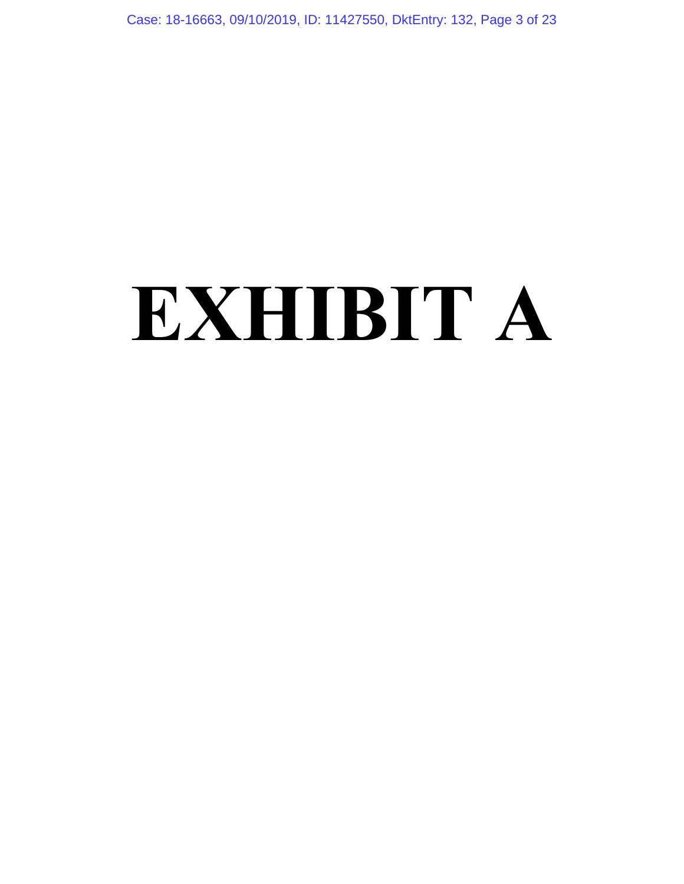Case: 18-16663, 09/10/2019, ID: 11427550, DktEntry: 132, Page 3 of 23

# **EXHIBIT A**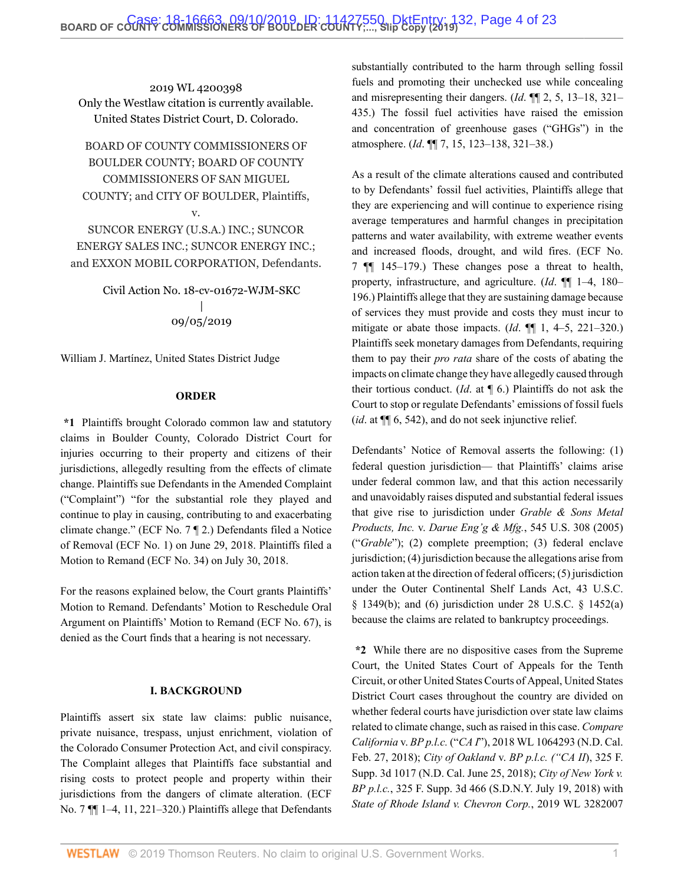2019 WL 4200398 Only the Westlaw citation is currently available. United States District Court, D. Colorado.

BOARD OF COUNTY COMMISSIONERS OF BOULDER COUNTY; BOARD OF COUNTY COMMISSIONERS OF SAN MIGUEL COUNTY; and CITY OF BOULDER, Plaintiffs,

v.

SUNCOR ENERGY (U.S.A.) INC.; SUNCOR ENERGY SALES INC.; SUNCOR ENERGY INC.; and EXXON MOBIL CORPORATION, Defendants.

> Civil Action No. 18-cv-01672-WJM-SKC | 09/05/2019

[William J. Martínez,](http://www.westlaw.com/Link/Document/FullText?findType=h&pubNum=176284&cite=0287326801&originatingDoc=I5f277810d03f11e99c7da5bca11408d2&refType=RQ&originationContext=document&vr=3.0&rs=cblt1.0&transitionType=DocumentItem&contextData=(sc.Search)) United States District Judge

#### **ORDER**

**\*1** Plaintiffs brought Colorado common law and statutory claims in Boulder County, Colorado District Court for injuries occurring to their property and citizens of their jurisdictions, allegedly resulting from the effects of climate change. Plaintiffs sue Defendants in the Amended Complaint ("Complaint") "for the substantial role they played and continue to play in causing, contributing to and exacerbating climate change." (ECF No. 7 ¶ 2.) Defendants filed a Notice of Removal (ECF No. 1) on June 29, 2018. Plaintiffs filed a Motion to Remand (ECF No. 34) on July 30, 2018.

For the reasons explained below, the Court grants Plaintiffs' Motion to Remand. Defendants' Motion to Reschedule Oral Argument on Plaintiffs' Motion to Remand (ECF No. 67), is denied as the Court finds that a hearing is not necessary.

#### **I. BACKGROUND**

Plaintiffs assert six state law claims: public nuisance, private nuisance, trespass, unjust enrichment, violation of the Colorado Consumer Protection Act, and civil conspiracy. The Complaint alleges that Plaintiffs face substantial and rising costs to protect people and property within their jurisdictions from the dangers of climate alteration. (ECF No. 7  $\P$  1–4, 11, 221–320.) Plaintiffs allege that Defendants

substantially contributed to the harm through selling fossil fuels and promoting their unchecked use while concealing and misrepresenting their dangers. (*Id*. ¶¶ 2, 5, 13–18, 321– 435.) The fossil fuel activities have raised the emission and concentration of greenhouse gases ("GHGs") in the atmosphere. (*Id*. ¶¶ 7, 15, 123–138, 321–38.)

As a result of the climate alterations caused and contributed to by Defendants' fossil fuel activities, Plaintiffs allege that they are experiencing and will continue to experience rising average temperatures and harmful changes in precipitation patterns and water availability, with extreme weather events and increased floods, drought, and wild fires. (ECF No. 7 ¶¶ 145–179.) These changes pose a threat to health, property, infrastructure, and agriculture. (*Id*. ¶¶ 1–4, 180– 196.) Plaintiffs allege that they are sustaining damage because of services they must provide and costs they must incur to mitigate or abate those impacts. (*Id*. ¶¶ 1, 4–5, 221–320.) Plaintiffs seek monetary damages from Defendants, requiring them to pay their *pro rata* share of the costs of abating the impacts on climate change they have allegedly caused through their tortious conduct. (*Id*. at ¶ 6.) Plaintiffs do not ask the Court to stop or regulate Defendants' emissions of fossil fuels (*id*. at ¶¶ 6, 542), and do not seek injunctive relief.

Defendants' Notice of Removal asserts the following: (1) federal question jurisdiction— that Plaintiffs' claims arise under federal common law, and that this action necessarily and unavoidably raises disputed and substantial federal issues that give rise to jurisdiction under *[Grable & Sons Metal](http://www.westlaw.com/Link/Document/FullText?findType=Y&serNum=2006791874&pubNum=0000780&originatingDoc=I5f277810d03f11e99c7da5bca11408d2&refType=RP&originationContext=document&vr=3.0&rs=cblt1.0&transitionType=DocumentItem&contextData=(sc.Search)) Products, Inc.* v. *Darue Eng'g & Mfg.*[, 545 U.S. 308 \(2005\)](http://www.westlaw.com/Link/Document/FullText?findType=Y&serNum=2006791874&pubNum=0000780&originatingDoc=I5f277810d03f11e99c7da5bca11408d2&refType=RP&originationContext=document&vr=3.0&rs=cblt1.0&transitionType=DocumentItem&contextData=(sc.Search)) ("*Grable*"); (2) complete preemption; (3) federal enclave jurisdiction; (4) jurisdiction because the allegations arise from action taken at the direction of federal officers; (5) jurisdiction under the Outer Continental Shelf Lands Act, [43 U.S.C.](http://www.westlaw.com/Link/Document/FullText?findType=L&pubNum=1000546&cite=43USCAS1349&originatingDoc=I5f277810d03f11e99c7da5bca11408d2&refType=RB&originationContext=document&vr=3.0&rs=cblt1.0&transitionType=DocumentItem&contextData=(sc.Search)#co_pp_a83b000018c76) [§ 1349\(b\);](http://www.westlaw.com/Link/Document/FullText?findType=L&pubNum=1000546&cite=43USCAS1349&originatingDoc=I5f277810d03f11e99c7da5bca11408d2&refType=RB&originationContext=document&vr=3.0&rs=cblt1.0&transitionType=DocumentItem&contextData=(sc.Search)#co_pp_a83b000018c76) and (6) jurisdiction under [28 U.S.C. § 1452\(a\)](http://www.westlaw.com/Link/Document/FullText?findType=L&pubNum=1000546&cite=28USCAS1452&originatingDoc=I5f277810d03f11e99c7da5bca11408d2&refType=RB&originationContext=document&vr=3.0&rs=cblt1.0&transitionType=DocumentItem&contextData=(sc.Search)#co_pp_8b3b0000958a4) because the claims are related to bankruptcy proceedings.

**\*2** While there are no dispositive cases from the Supreme Court, the United States Court of Appeals for the Tenth Circuit, or other United States Courts of Appeal, United States District Court cases throughout the country are divided on whether federal courts have jurisdiction over state law claims related to climate change, such as raised in this case. *Compare California* v. *BP p.l.c.* ("*CA I*["\), 2018 WL 1064293 \(N.D. Cal.](http://www.westlaw.com/Link/Document/FullText?findType=Y&serNum=2043900803&pubNum=0000999&originatingDoc=I5f277810d03f11e99c7da5bca11408d2&refType=RP&originationContext=document&vr=3.0&rs=cblt1.0&transitionType=DocumentItem&contextData=(sc.Search)) [Feb. 27, 2018\);](http://www.westlaw.com/Link/Document/FullText?findType=Y&serNum=2043900803&pubNum=0000999&originatingDoc=I5f277810d03f11e99c7da5bca11408d2&refType=RP&originationContext=document&vr=3.0&rs=cblt1.0&transitionType=DocumentItem&contextData=(sc.Search)) *City of Oakland* v. *[BP p.l.c. \("CA II](http://www.westlaw.com/Link/Document/FullText?findType=Y&serNum=2044807215&pubNum=0007903&originatingDoc=I5f277810d03f11e99c7da5bca11408d2&refType=RP&originationContext=document&vr=3.0&rs=cblt1.0&transitionType=DocumentItem&contextData=(sc.Search))*), 325 F. [Supp. 3d 1017 \(N.D. Cal. June 25, 2018\)](http://www.westlaw.com/Link/Document/FullText?findType=Y&serNum=2044807215&pubNum=0007903&originatingDoc=I5f277810d03f11e99c7da5bca11408d2&refType=RP&originationContext=document&vr=3.0&rs=cblt1.0&transitionType=DocumentItem&contextData=(sc.Search)); *[City of New York v.](http://www.westlaw.com/Link/Document/FullText?findType=Y&serNum=2045062370&pubNum=0007903&originatingDoc=I5f277810d03f11e99c7da5bca11408d2&refType=RP&originationContext=document&vr=3.0&rs=cblt1.0&transitionType=DocumentItem&contextData=(sc.Search)) BP p.l.c.*[, 325 F. Supp. 3d 466 \(S.D.N.Y. July 19, 2018\)](http://www.westlaw.com/Link/Document/FullText?findType=Y&serNum=2045062370&pubNum=0007903&originatingDoc=I5f277810d03f11e99c7da5bca11408d2&refType=RP&originationContext=document&vr=3.0&rs=cblt1.0&transitionType=DocumentItem&contextData=(sc.Search)) with *State of [Rhode Island v. Chevron Corp.](http://www.westlaw.com/Link/Document/FullText?findType=Y&serNum=2048741931&pubNum=0000999&originatingDoc=I5f277810d03f11e99c7da5bca11408d2&refType=RP&originationContext=document&vr=3.0&rs=cblt1.0&transitionType=DocumentItem&contextData=(sc.Search))*, 2019 WL 3282007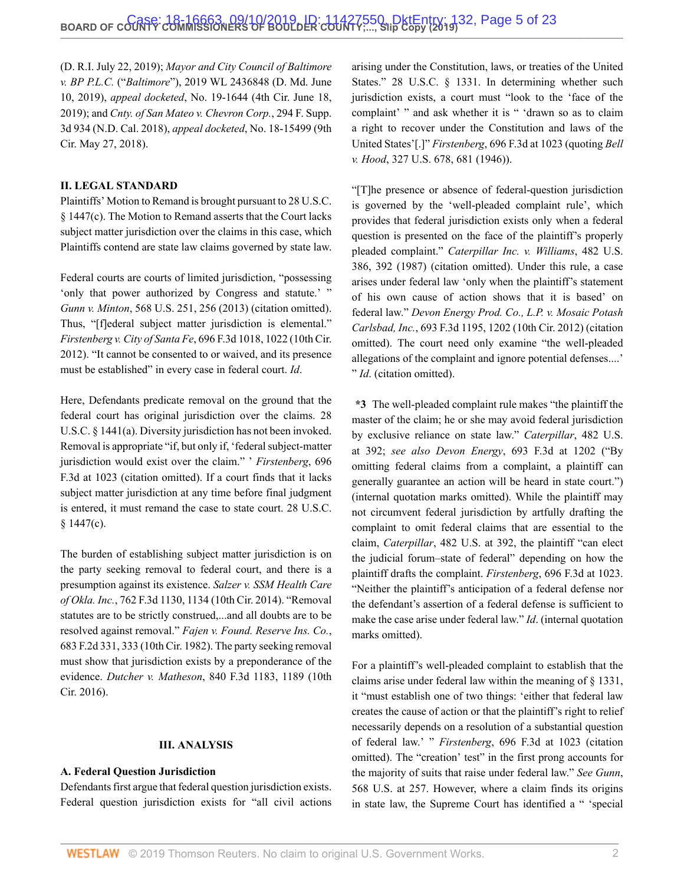[\(D. R.I. July 22, 2019\);](http://www.westlaw.com/Link/Document/FullText?findType=Y&serNum=2048741931&pubNum=0000999&originatingDoc=I5f277810d03f11e99c7da5bca11408d2&refType=RP&originationContext=document&vr=3.0&rs=cblt1.0&transitionType=DocumentItem&contextData=(sc.Search)) *[Mayor and City Council of Baltimore](http://www.westlaw.com/Link/Document/FullText?findType=Y&serNum=2048466347&pubNum=0000999&originatingDoc=I5f277810d03f11e99c7da5bca11408d2&refType=RP&originationContext=document&vr=3.0&rs=cblt1.0&transitionType=DocumentItem&contextData=(sc.Search)) v. BP P.L.C.* ("*Baltimore*["\), 2019 WL 2436848 \(D. Md. June](http://www.westlaw.com/Link/Document/FullText?findType=Y&serNum=2048466347&pubNum=0000999&originatingDoc=I5f277810d03f11e99c7da5bca11408d2&refType=RP&originationContext=document&vr=3.0&rs=cblt1.0&transitionType=DocumentItem&contextData=(sc.Search)) [10, 2019\)](http://www.westlaw.com/Link/Document/FullText?findType=Y&serNum=2048466347&pubNum=0000999&originatingDoc=I5f277810d03f11e99c7da5bca11408d2&refType=RP&originationContext=document&vr=3.0&rs=cblt1.0&transitionType=DocumentItem&contextData=(sc.Search)), *appeal docketed*, No. 19-1644 (4th Cir. June 18, 2019); and *[Cnty. of San Mateo v. Chevron Corp.](http://www.westlaw.com/Link/Document/FullText?findType=Y&serNum=2044125687&pubNum=0007903&originatingDoc=I5f277810d03f11e99c7da5bca11408d2&refType=RP&originationContext=document&vr=3.0&rs=cblt1.0&transitionType=DocumentItem&contextData=(sc.Search))*, 294 F. Supp. [3d 934 \(N.D. Cal. 2018\),](http://www.westlaw.com/Link/Document/FullText?findType=Y&serNum=2044125687&pubNum=0007903&originatingDoc=I5f277810d03f11e99c7da5bca11408d2&refType=RP&originationContext=document&vr=3.0&rs=cblt1.0&transitionType=DocumentItem&contextData=(sc.Search)) *appeal docketed*, No. 18-15499 (9th Cir. May 27, 2018).

#### **II. LEGAL STANDARD**

Plaintiffs' Motion to Remand is brought pursuant to [28 U.S.C.](http://www.westlaw.com/Link/Document/FullText?findType=L&pubNum=1000546&cite=28USCAS1447&originatingDoc=I5f277810d03f11e99c7da5bca11408d2&refType=RB&originationContext=document&vr=3.0&rs=cblt1.0&transitionType=DocumentItem&contextData=(sc.Search)#co_pp_4b24000003ba5) [§ 1447\(c\)](http://www.westlaw.com/Link/Document/FullText?findType=L&pubNum=1000546&cite=28USCAS1447&originatingDoc=I5f277810d03f11e99c7da5bca11408d2&refType=RB&originationContext=document&vr=3.0&rs=cblt1.0&transitionType=DocumentItem&contextData=(sc.Search)#co_pp_4b24000003ba5). The Motion to Remand asserts that the Court lacks subject matter jurisdiction over the claims in this case, which Plaintiffs contend are state law claims governed by state law.

Federal courts are courts of limited jurisdiction, "possessing 'only that power authorized by Congress and statute.' " *Gunn v. Minton*[, 568 U.S. 251, 256 \(2013\)](http://www.westlaw.com/Link/Document/FullText?findType=Y&serNum=2029898029&pubNum=0000780&originatingDoc=I5f277810d03f11e99c7da5bca11408d2&refType=RP&fi=co_pp_sp_780_256&originationContext=document&vr=3.0&rs=cblt1.0&transitionType=DocumentItem&contextData=(sc.Search)#co_pp_sp_780_256) (citation omitted). Thus, "[f]ederal subject matter jurisdiction is elemental." *Firstenberg v. City of Santa Fe*[, 696 F.3d 1018, 1022 \(10th Cir.](http://www.westlaw.com/Link/Document/FullText?findType=Y&serNum=2028802675&pubNum=0000506&originatingDoc=I5f277810d03f11e99c7da5bca11408d2&refType=RP&fi=co_pp_sp_506_1022&originationContext=document&vr=3.0&rs=cblt1.0&transitionType=DocumentItem&contextData=(sc.Search)#co_pp_sp_506_1022) [2012\)](http://www.westlaw.com/Link/Document/FullText?findType=Y&serNum=2028802675&pubNum=0000506&originatingDoc=I5f277810d03f11e99c7da5bca11408d2&refType=RP&fi=co_pp_sp_506_1022&originationContext=document&vr=3.0&rs=cblt1.0&transitionType=DocumentItem&contextData=(sc.Search)#co_pp_sp_506_1022). "It cannot be consented to or waived, and its presence must be established" in every case in federal court. *Id*.

Here, Defendants predicate removal on the ground that the federal court has original jurisdiction over the claims. [28](http://www.westlaw.com/Link/Document/FullText?findType=L&pubNum=1000546&cite=28USCAS1441&originatingDoc=I5f277810d03f11e99c7da5bca11408d2&refType=RB&originationContext=document&vr=3.0&rs=cblt1.0&transitionType=DocumentItem&contextData=(sc.Search)#co_pp_8b3b0000958a4) [U.S.C. § 1441\(a\).](http://www.westlaw.com/Link/Document/FullText?findType=L&pubNum=1000546&cite=28USCAS1441&originatingDoc=I5f277810d03f11e99c7da5bca11408d2&refType=RB&originationContext=document&vr=3.0&rs=cblt1.0&transitionType=DocumentItem&contextData=(sc.Search)#co_pp_8b3b0000958a4) Diversity jurisdiction has not been invoked. Removal is appropriate "if, but only if, 'federal subject-matter jurisdiction would exist over the claim." ' *[Firstenberg](http://www.westlaw.com/Link/Document/FullText?findType=Y&serNum=2028802675&pubNum=0000506&originatingDoc=I5f277810d03f11e99c7da5bca11408d2&refType=RP&fi=co_pp_sp_506_1023&originationContext=document&vr=3.0&rs=cblt1.0&transitionType=DocumentItem&contextData=(sc.Search)#co_pp_sp_506_1023)*, 696 [F.3d at 1023](http://www.westlaw.com/Link/Document/FullText?findType=Y&serNum=2028802675&pubNum=0000506&originatingDoc=I5f277810d03f11e99c7da5bca11408d2&refType=RP&fi=co_pp_sp_506_1023&originationContext=document&vr=3.0&rs=cblt1.0&transitionType=DocumentItem&contextData=(sc.Search)#co_pp_sp_506_1023) (citation omitted). If a court finds that it lacks subject matter jurisdiction at any time before final judgment is entered, it must remand the case to state court. [28 U.S.C.](http://www.westlaw.com/Link/Document/FullText?findType=L&pubNum=1000546&cite=28USCAS1447&originatingDoc=I5f277810d03f11e99c7da5bca11408d2&refType=RB&originationContext=document&vr=3.0&rs=cblt1.0&transitionType=DocumentItem&contextData=(sc.Search)#co_pp_4b24000003ba5) [§ 1447\(c\).](http://www.westlaw.com/Link/Document/FullText?findType=L&pubNum=1000546&cite=28USCAS1447&originatingDoc=I5f277810d03f11e99c7da5bca11408d2&refType=RB&originationContext=document&vr=3.0&rs=cblt1.0&transitionType=DocumentItem&contextData=(sc.Search)#co_pp_4b24000003ba5)

The burden of establishing subject matter jurisdiction is on the party seeking removal to federal court, and there is a presumption against its existence. *Salzer v. [SSM Health Care](http://www.westlaw.com/Link/Document/FullText?findType=Y&serNum=2033982511&pubNum=0000506&originatingDoc=I5f277810d03f11e99c7da5bca11408d2&refType=RP&fi=co_pp_sp_506_1134&originationContext=document&vr=3.0&rs=cblt1.0&transitionType=DocumentItem&contextData=(sc.Search)#co_pp_sp_506_1134) of Okla. Inc.*[, 762 F.3d 1130, 1134 \(10th Cir. 2014\)](http://www.westlaw.com/Link/Document/FullText?findType=Y&serNum=2033982511&pubNum=0000506&originatingDoc=I5f277810d03f11e99c7da5bca11408d2&refType=RP&fi=co_pp_sp_506_1134&originationContext=document&vr=3.0&rs=cblt1.0&transitionType=DocumentItem&contextData=(sc.Search)#co_pp_sp_506_1134). "Removal statutes are to be strictly construed,...and all doubts are to be resolved against removal." *[Fajen v. Found. Reserve Ins. Co.](http://www.westlaw.com/Link/Document/FullText?findType=Y&serNum=1982132625&pubNum=0000350&originatingDoc=I5f277810d03f11e99c7da5bca11408d2&refType=RP&fi=co_pp_sp_350_333&originationContext=document&vr=3.0&rs=cblt1.0&transitionType=DocumentItem&contextData=(sc.Search)#co_pp_sp_350_333)*, [683 F.2d 331, 333 \(10th Cir. 1982\)](http://www.westlaw.com/Link/Document/FullText?findType=Y&serNum=1982132625&pubNum=0000350&originatingDoc=I5f277810d03f11e99c7da5bca11408d2&refType=RP&fi=co_pp_sp_350_333&originationContext=document&vr=3.0&rs=cblt1.0&transitionType=DocumentItem&contextData=(sc.Search)#co_pp_sp_350_333). The party seeking removal must show that jurisdiction exists by a preponderance of the evidence. *Dutcher v. Matheson*[, 840 F.3d 1183, 1189 \(10th](http://www.westlaw.com/Link/Document/FullText?findType=Y&serNum=2040230650&pubNum=0000506&originatingDoc=I5f277810d03f11e99c7da5bca11408d2&refType=RP&fi=co_pp_sp_506_1189&originationContext=document&vr=3.0&rs=cblt1.0&transitionType=DocumentItem&contextData=(sc.Search)#co_pp_sp_506_1189) [Cir. 2016\).](http://www.westlaw.com/Link/Document/FullText?findType=Y&serNum=2040230650&pubNum=0000506&originatingDoc=I5f277810d03f11e99c7da5bca11408d2&refType=RP&fi=co_pp_sp_506_1189&originationContext=document&vr=3.0&rs=cblt1.0&transitionType=DocumentItem&contextData=(sc.Search)#co_pp_sp_506_1189)

#### **III. ANALYSIS**

#### **A. Federal Question Jurisdiction**

Defendants first argue that federal question jurisdiction exists. Federal question jurisdiction exists for "all civil actions arising under the Constitution, laws, or treaties of the United States." [28 U.S.C. § 1331](http://www.westlaw.com/Link/Document/FullText?findType=L&pubNum=1000546&cite=28USCAS1331&originatingDoc=I5f277810d03f11e99c7da5bca11408d2&refType=LQ&originationContext=document&vr=3.0&rs=cblt1.0&transitionType=DocumentItem&contextData=(sc.Search)). In determining whether such jurisdiction exists, a court must "look to the 'face of the complaint' " and ask whether it is " 'drawn so as to claim a right to recover under the Constitution and laws of the United States'[.]" *Firstenberg*[, 696 F.3d at 1023](http://www.westlaw.com/Link/Document/FullText?findType=Y&serNum=2028802675&pubNum=0000506&originatingDoc=I5f277810d03f11e99c7da5bca11408d2&refType=RP&fi=co_pp_sp_506_1023&originationContext=document&vr=3.0&rs=cblt1.0&transitionType=DocumentItem&contextData=(sc.Search)#co_pp_sp_506_1023) (quoting *[Bell](http://www.westlaw.com/Link/Document/FullText?findType=Y&serNum=1946112790&pubNum=0000780&originatingDoc=I5f277810d03f11e99c7da5bca11408d2&refType=RP&fi=co_pp_sp_780_681&originationContext=document&vr=3.0&rs=cblt1.0&transitionType=DocumentItem&contextData=(sc.Search)#co_pp_sp_780_681) v. Hood*[, 327 U.S. 678, 681 \(1946\)\)](http://www.westlaw.com/Link/Document/FullText?findType=Y&serNum=1946112790&pubNum=0000780&originatingDoc=I5f277810d03f11e99c7da5bca11408d2&refType=RP&fi=co_pp_sp_780_681&originationContext=document&vr=3.0&rs=cblt1.0&transitionType=DocumentItem&contextData=(sc.Search)#co_pp_sp_780_681).

"[T]he presence or absence of federal-question jurisdiction is governed by the 'well-pleaded complaint rule', which provides that federal jurisdiction exists only when a federal question is presented on the face of the plaintiff's properly pleaded complaint." *[Caterpillar Inc. v. Williams](http://www.westlaw.com/Link/Document/FullText?findType=Y&serNum=1987071665&pubNum=0000780&originatingDoc=I5f277810d03f11e99c7da5bca11408d2&refType=RP&fi=co_pp_sp_780_392&originationContext=document&vr=3.0&rs=cblt1.0&transitionType=DocumentItem&contextData=(sc.Search)#co_pp_sp_780_392)*, 482 U.S. [386, 392 \(1987\)](http://www.westlaw.com/Link/Document/FullText?findType=Y&serNum=1987071665&pubNum=0000780&originatingDoc=I5f277810d03f11e99c7da5bca11408d2&refType=RP&fi=co_pp_sp_780_392&originationContext=document&vr=3.0&rs=cblt1.0&transitionType=DocumentItem&contextData=(sc.Search)#co_pp_sp_780_392) (citation omitted). Under this rule, a case arises under federal law 'only when the plaintiff's statement of his own cause of action shows that it is based' on federal law." *[Devon Energy Prod. Co., L.P. v. Mosaic](http://www.westlaw.com/Link/Document/FullText?findType=Y&serNum=2028457138&pubNum=0000506&originatingDoc=I5f277810d03f11e99c7da5bca11408d2&refType=RP&fi=co_pp_sp_506_1202&originationContext=document&vr=3.0&rs=cblt1.0&transitionType=DocumentItem&contextData=(sc.Search)#co_pp_sp_506_1202) Potash Carlsbad, Inc.*[, 693 F.3d 1195, 1202 \(10th Cir. 2012\)](http://www.westlaw.com/Link/Document/FullText?findType=Y&serNum=2028457138&pubNum=0000506&originatingDoc=I5f277810d03f11e99c7da5bca11408d2&refType=RP&fi=co_pp_sp_506_1202&originationContext=document&vr=3.0&rs=cblt1.0&transitionType=DocumentItem&contextData=(sc.Search)#co_pp_sp_506_1202) (citation omitted). The court need only examine "the well-pleaded allegations of the complaint and ignore potential defenses....' " *Id*. (citation omitted).

**\*3** The well-pleaded complaint rule makes "the plaintiff the master of the claim; he or she may avoid federal jurisdiction by exclusive reliance on state law." *[Caterpillar](http://www.westlaw.com/Link/Document/FullText?findType=Y&serNum=1987071665&pubNum=0000780&originatingDoc=I5f277810d03f11e99c7da5bca11408d2&refType=RP&fi=co_pp_sp_780_392&originationContext=document&vr=3.0&rs=cblt1.0&transitionType=DocumentItem&contextData=(sc.Search)#co_pp_sp_780_392)*, 482 U.S. [at 392](http://www.westlaw.com/Link/Document/FullText?findType=Y&serNum=1987071665&pubNum=0000780&originatingDoc=I5f277810d03f11e99c7da5bca11408d2&refType=RP&fi=co_pp_sp_780_392&originationContext=document&vr=3.0&rs=cblt1.0&transitionType=DocumentItem&contextData=(sc.Search)#co_pp_sp_780_392); *see also Devon Energy*[, 693 F.3d at 1202](http://www.westlaw.com/Link/Document/FullText?findType=Y&serNum=2028457138&pubNum=0000506&originatingDoc=I5f277810d03f11e99c7da5bca11408d2&refType=RP&fi=co_pp_sp_506_1202&originationContext=document&vr=3.0&rs=cblt1.0&transitionType=DocumentItem&contextData=(sc.Search)#co_pp_sp_506_1202) ("By omitting federal claims from a complaint, a plaintiff can generally guarantee an action will be heard in state court.") (internal quotation marks omitted). While the plaintiff may not circumvent federal jurisdiction by artfully drafting the complaint to omit federal claims that are essential to the claim, *Caterpillar*[, 482 U.S. at 392,](http://www.westlaw.com/Link/Document/FullText?findType=Y&serNum=1987071665&pubNum=0000780&originatingDoc=I5f277810d03f11e99c7da5bca11408d2&refType=RP&fi=co_pp_sp_780_392&originationContext=document&vr=3.0&rs=cblt1.0&transitionType=DocumentItem&contextData=(sc.Search)#co_pp_sp_780_392) the plaintiff "can elect the judicial forum–state of federal" depending on how the plaintiff drafts the complaint. *Firstenberg*[, 696 F.3d at 1023.](http://www.westlaw.com/Link/Document/FullText?findType=Y&serNum=2028802675&pubNum=0000506&originatingDoc=I5f277810d03f11e99c7da5bca11408d2&refType=RP&fi=co_pp_sp_506_1023&originationContext=document&vr=3.0&rs=cblt1.0&transitionType=DocumentItem&contextData=(sc.Search)#co_pp_sp_506_1023) "Neither the plaintiff's anticipation of a federal defense nor the defendant's assertion of a federal defense is sufficient to make the case arise under federal law." *Id*. (internal quotation marks omitted).

For a plaintiff's well-pleaded complaint to establish that the claims arise under federal law within the meaning of [§ 1331,](http://www.westlaw.com/Link/Document/FullText?findType=L&pubNum=1000546&cite=28USCAS1331&originatingDoc=I5f277810d03f11e99c7da5bca11408d2&refType=LQ&originationContext=document&vr=3.0&rs=cblt1.0&transitionType=DocumentItem&contextData=(sc.Search)) it "must establish one of two things: 'either that federal law creates the cause of action or that the plaintiff's right to relief necessarily depends on a resolution of a substantial question of federal law.' " *Firstenberg*[, 696 F.3d at 1023](http://www.westlaw.com/Link/Document/FullText?findType=Y&serNum=2028802675&pubNum=0000506&originatingDoc=I5f277810d03f11e99c7da5bca11408d2&refType=RP&fi=co_pp_sp_506_1023&originationContext=document&vr=3.0&rs=cblt1.0&transitionType=DocumentItem&contextData=(sc.Search)#co_pp_sp_506_1023) (citation omitted). The "creation' test" in the first prong accounts for the majority of suits that raise under federal law." *See [Gunn](http://www.westlaw.com/Link/Document/FullText?findType=Y&serNum=2029898029&pubNum=0000780&originatingDoc=I5f277810d03f11e99c7da5bca11408d2&refType=RP&fi=co_pp_sp_780_257&originationContext=document&vr=3.0&rs=cblt1.0&transitionType=DocumentItem&contextData=(sc.Search)#co_pp_sp_780_257)*, [568 U.S. at 257.](http://www.westlaw.com/Link/Document/FullText?findType=Y&serNum=2029898029&pubNum=0000780&originatingDoc=I5f277810d03f11e99c7da5bca11408d2&refType=RP&fi=co_pp_sp_780_257&originationContext=document&vr=3.0&rs=cblt1.0&transitionType=DocumentItem&contextData=(sc.Search)#co_pp_sp_780_257) However, where a claim finds its origins in state law, the Supreme Court has identified a " 'special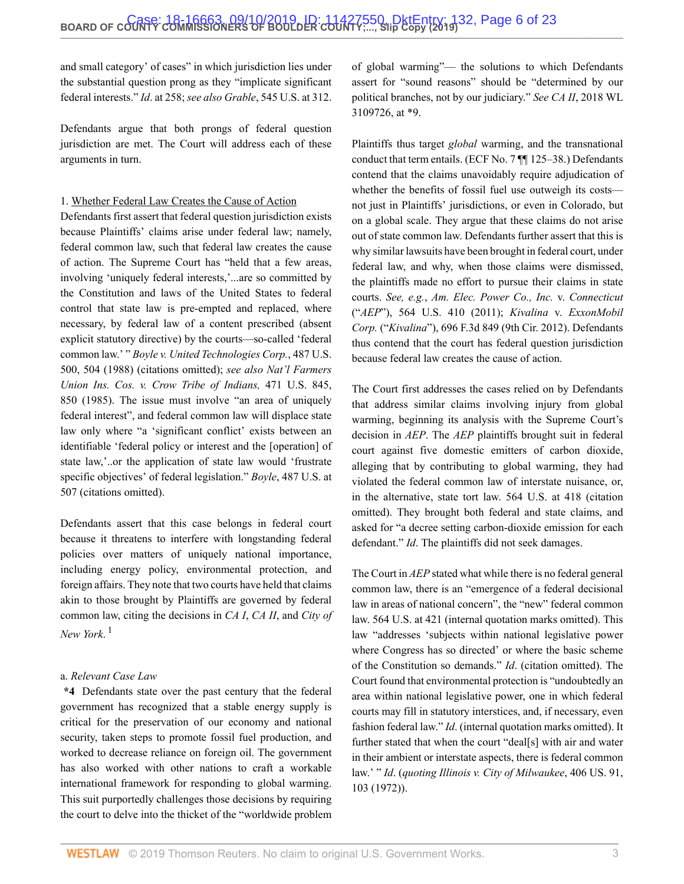and small category' of cases" in which jurisdiction lies under the substantial question prong as they "implicate significant federal interests." *Id*[. at 258;](http://www.westlaw.com/Link/Document/FullText?findType=Y&serNum=2029898029&pubNum=0000780&originatingDoc=I5f277810d03f11e99c7da5bca11408d2&refType=RP&fi=co_pp_sp_780_258&originationContext=document&vr=3.0&rs=cblt1.0&transitionType=DocumentItem&contextData=(sc.Search)#co_pp_sp_780_258) *see also Grable*[, 545 U.S. at 312.](http://www.westlaw.com/Link/Document/FullText?findType=Y&serNum=2006791874&pubNum=0000780&originatingDoc=I5f277810d03f11e99c7da5bca11408d2&refType=RP&fi=co_pp_sp_780_312&originationContext=document&vr=3.0&rs=cblt1.0&transitionType=DocumentItem&contextData=(sc.Search)#co_pp_sp_780_312)

Defendants argue that both prongs of federal question jurisdiction are met. The Court will address each of these arguments in turn.

#### 1. Whether Federal Law Creates the Cause of Action

Defendants first assert that federal question jurisdiction exists because Plaintiffs' claims arise under federal law; namely, federal common law, such that federal law creates the cause of action. The Supreme Court has "held that a few areas, involving 'uniquely federal interests,'...are so committed by the Constitution and laws of the United States to federal control that state law is pre-empted and replaced, where necessary, by federal law of a content prescribed (absent explicit statutory directive) by the courts—so-called 'federal common law.' " *[Boyle v. United Technologies Corp.](http://www.westlaw.com/Link/Document/FullText?findType=Y&serNum=1988082578&pubNum=0000780&originatingDoc=I5f277810d03f11e99c7da5bca11408d2&refType=RP&fi=co_pp_sp_780_504&originationContext=document&vr=3.0&rs=cblt1.0&transitionType=DocumentItem&contextData=(sc.Search)#co_pp_sp_780_504)*, 487 U.S. [500, 504 \(1988\)](http://www.westlaw.com/Link/Document/FullText?findType=Y&serNum=1988082578&pubNum=0000780&originatingDoc=I5f277810d03f11e99c7da5bca11408d2&refType=RP&fi=co_pp_sp_780_504&originationContext=document&vr=3.0&rs=cblt1.0&transitionType=DocumentItem&contextData=(sc.Search)#co_pp_sp_780_504) (citations omitted); *see also [Nat'l Farmers](http://www.westlaw.com/Link/Document/FullText?findType=Y&serNum=1985127861&pubNum=0000780&originatingDoc=I5f277810d03f11e99c7da5bca11408d2&refType=RP&fi=co_pp_sp_780_850&originationContext=document&vr=3.0&rs=cblt1.0&transitionType=DocumentItem&contextData=(sc.Search)#co_pp_sp_780_850) Union Ins. Cos. v. [Crow Tribe of Indians,](http://www.westlaw.com/Link/Document/FullText?findType=Y&serNum=1985127861&pubNum=0000780&originatingDoc=I5f277810d03f11e99c7da5bca11408d2&refType=RP&fi=co_pp_sp_780_850&originationContext=document&vr=3.0&rs=cblt1.0&transitionType=DocumentItem&contextData=(sc.Search)#co_pp_sp_780_850)* 471 U.S. 845, [850 \(1985\)](http://www.westlaw.com/Link/Document/FullText?findType=Y&serNum=1985127861&pubNum=0000780&originatingDoc=I5f277810d03f11e99c7da5bca11408d2&refType=RP&fi=co_pp_sp_780_850&originationContext=document&vr=3.0&rs=cblt1.0&transitionType=DocumentItem&contextData=(sc.Search)#co_pp_sp_780_850). The issue must involve "an area of uniquely federal interest", and federal common law will displace state law only where "a 'significant conflict' exists between an identifiable 'federal policy or interest and the [operation] of state law,'..or the application of state law would 'frustrate specific objectives' of federal legislation." *Boyle*[, 487 U.S. at](http://www.westlaw.com/Link/Document/FullText?findType=Y&serNum=1988082578&pubNum=0000780&originatingDoc=I5f277810d03f11e99c7da5bca11408d2&refType=RP&fi=co_pp_sp_780_507&originationContext=document&vr=3.0&rs=cblt1.0&transitionType=DocumentItem&contextData=(sc.Search)#co_pp_sp_780_507) [507](http://www.westlaw.com/Link/Document/FullText?findType=Y&serNum=1988082578&pubNum=0000780&originatingDoc=I5f277810d03f11e99c7da5bca11408d2&refType=RP&fi=co_pp_sp_780_507&originationContext=document&vr=3.0&rs=cblt1.0&transitionType=DocumentItem&contextData=(sc.Search)#co_pp_sp_780_507) (citations omitted).

Defendants assert that this case belongs in federal court because it threatens to interfere with longstanding federal policies over matters of uniquely national importance, including energy policy, environmental protection, and foreign affairs. They note that two courts have held that claims akin to those brought by Plaintiffs are governed by federal common law, citing the decisions in *CA I*, *CA II*, and *City of New York*. [1](#page-22-0)

#### <span id="page-5-0"></span>a. *Relevant Case Law*

**\*4** Defendants state over the past century that the federal government has recognized that a stable energy supply is critical for the preservation of our economy and national security, taken steps to promote fossil fuel production, and worked to decrease reliance on foreign oil. The government has also worked with other nations to craft a workable international framework for responding to global warming. This suit purportedly challenges those decisions by requiring the court to delve into the thicket of the "worldwide problem of global warming"— the solutions to which Defendants assert for "sound reasons" should be "determined by our political branches, not by our judiciary." *See CA II*[, 2018 WL](http://www.westlaw.com/Link/Document/FullText?findType=Y&serNum=2044807215&pubNum=0000999&originatingDoc=I5f277810d03f11e99c7da5bca11408d2&refType=RP&originationContext=document&vr=3.0&rs=cblt1.0&transitionType=DocumentItem&contextData=(sc.Search)) [3109726, at \\*9.](http://www.westlaw.com/Link/Document/FullText?findType=Y&serNum=2044807215&pubNum=0000999&originatingDoc=I5f277810d03f11e99c7da5bca11408d2&refType=RP&originationContext=document&vr=3.0&rs=cblt1.0&transitionType=DocumentItem&contextData=(sc.Search))

Plaintiffs thus target *global* warming, and the transnational conduct that term entails. (ECF No. 7 ¶¶ 125–38.) Defendants contend that the claims unavoidably require adjudication of whether the benefits of fossil fuel use outweigh its costs not just in Plaintiffs' jurisdictions, or even in Colorado, but on a global scale. They argue that these claims do not arise out of state common law. Defendants further assert that this is why similar lawsuits have been brought in federal court, under federal law, and why, when those claims were dismissed, the plaintiffs made no effort to pursue their claims in state courts. *See, e.g.*, *[Am. Elec. Power Co., Inc.](http://www.westlaw.com/Link/Document/FullText?findType=Y&serNum=2025520220&pubNum=0000780&originatingDoc=I5f277810d03f11e99c7da5bca11408d2&refType=RP&originationContext=document&vr=3.0&rs=cblt1.0&transitionType=DocumentItem&contextData=(sc.Search))* v. *Connecticut* ("*AEP*["\), 564 U.S. 410 \(2011\)](http://www.westlaw.com/Link/Document/FullText?findType=Y&serNum=2025520220&pubNum=0000780&originatingDoc=I5f277810d03f11e99c7da5bca11408d2&refType=RP&originationContext=document&vr=3.0&rs=cblt1.0&transitionType=DocumentItem&contextData=(sc.Search)); *Kivalina* v. *[ExxonMobil](http://www.westlaw.com/Link/Document/FullText?findType=Y&serNum=2028670216&pubNum=0000506&originatingDoc=I5f277810d03f11e99c7da5bca11408d2&refType=RP&originationContext=document&vr=3.0&rs=cblt1.0&transitionType=DocumentItem&contextData=(sc.Search)) Corp.* ("*Kivalina*["\), 696 F.3d 849 \(9th Cir. 2012\).](http://www.westlaw.com/Link/Document/FullText?findType=Y&serNum=2028670216&pubNum=0000506&originatingDoc=I5f277810d03f11e99c7da5bca11408d2&refType=RP&originationContext=document&vr=3.0&rs=cblt1.0&transitionType=DocumentItem&contextData=(sc.Search)) Defendants thus contend that the court has federal question jurisdiction because federal law creates the cause of action.

The Court first addresses the cases relied on by Defendants that address similar claims involving injury from global warming, beginning its analysis with the Supreme Court's decision in *AEP*. The *AEP* plaintiffs brought suit in federal court against five domestic emitters of carbon dioxide, alleging that by contributing to global warming, they had violated the federal common law of interstate nuisance, or, in the alternative, state tort law. [564 U.S. at 418](http://www.westlaw.com/Link/Document/FullText?findType=Y&serNum=2025520220&pubNum=0000780&originatingDoc=I5f277810d03f11e99c7da5bca11408d2&refType=RP&fi=co_pp_sp_780_418&originationContext=document&vr=3.0&rs=cblt1.0&transitionType=DocumentItem&contextData=(sc.Search)#co_pp_sp_780_418) (citation omitted). They brought both federal and state claims, and asked for "a decree setting carbon-dioxide emission for each defendant." *Id*. The plaintiffs did not seek damages.

The Court in *AEP* stated what while there is no federal general common law, there is an "emergence of a federal decisional law in areas of national concern", the "new" federal common law. [564 U.S. at 421](http://www.westlaw.com/Link/Document/FullText?findType=Y&serNum=2025520220&pubNum=0000780&originatingDoc=I5f277810d03f11e99c7da5bca11408d2&refType=RP&fi=co_pp_sp_780_421&originationContext=document&vr=3.0&rs=cblt1.0&transitionType=DocumentItem&contextData=(sc.Search)#co_pp_sp_780_421) (internal quotation marks omitted). This law "addresses 'subjects within national legislative power where Congress has so directed' or where the basic scheme of the Constitution so demands." *Id*. (citation omitted). The Court found that environmental protection is "undoubtedly an area within national legislative power, one in which federal courts may fill in statutory interstices, and, if necessary, even fashion federal law." *Id*. (internal quotation marks omitted). It further stated that when the court "deal[s] with air and water in their ambient or interstate aspects, there is federal common law.' " *Id*. (*quoting [Illinois v. City of](http://www.westlaw.com/Link/Document/FullText?findType=Y&serNum=1972127108&pubNum=0000780&originatingDoc=I5f277810d03f11e99c7da5bca11408d2&refType=RP&fi=co_pp_sp_780_103&originationContext=document&vr=3.0&rs=cblt1.0&transitionType=DocumentItem&contextData=(sc.Search)#co_pp_sp_780_103) Milwaukee*, 406 US. 91, [103 \(1972\)](http://www.westlaw.com/Link/Document/FullText?findType=Y&serNum=1972127108&pubNum=0000780&originatingDoc=I5f277810d03f11e99c7da5bca11408d2&refType=RP&fi=co_pp_sp_780_103&originationContext=document&vr=3.0&rs=cblt1.0&transitionType=DocumentItem&contextData=(sc.Search)#co_pp_sp_780_103)).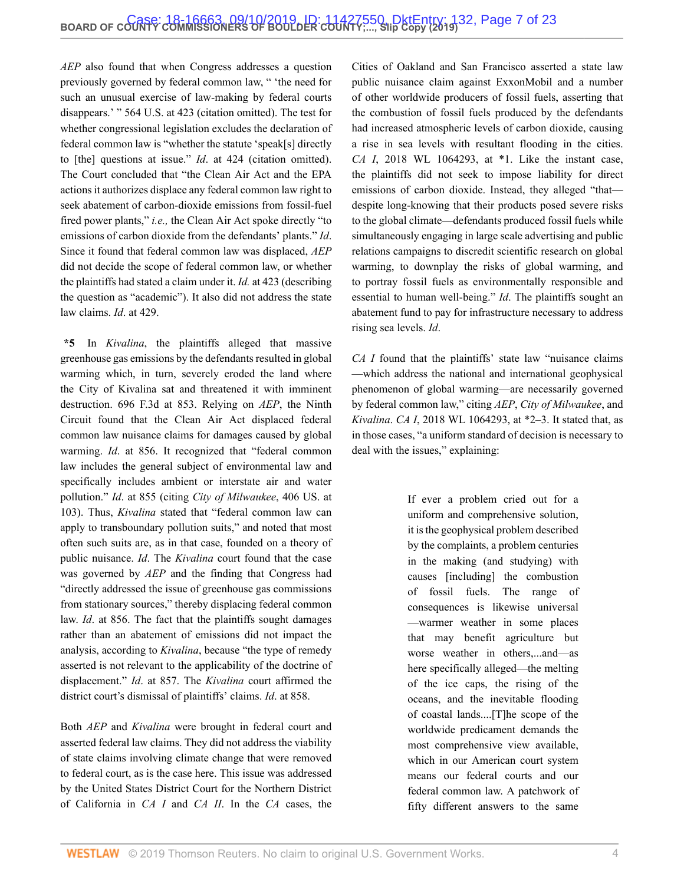*AEP* also found that when Congress addresses a question previously governed by federal common law, " 'the need for such an unusual exercise of law-making by federal courts disappears.' " [564 U.S. at 423](http://www.westlaw.com/Link/Document/FullText?findType=Y&serNum=2025520220&pubNum=0000780&originatingDoc=I5f277810d03f11e99c7da5bca11408d2&refType=RP&fi=co_pp_sp_780_423&originationContext=document&vr=3.0&rs=cblt1.0&transitionType=DocumentItem&contextData=(sc.Search)#co_pp_sp_780_423) (citation omitted). The test for whether congressional legislation excludes the declaration of federal common law is "whether the statute 'speak[s] directly to [the] questions at issue." *Id*[. at 424](http://www.westlaw.com/Link/Document/FullText?findType=Y&serNum=2025520220&pubNum=0000780&originatingDoc=I5f277810d03f11e99c7da5bca11408d2&refType=RP&fi=co_pp_sp_780_424&originationContext=document&vr=3.0&rs=cblt1.0&transitionType=DocumentItem&contextData=(sc.Search)#co_pp_sp_780_424) (citation omitted). The Court concluded that "the Clean Air Act and the EPA actions it authorizes displace any federal common law right to seek abatement of carbon-dioxide emissions from fossil-fuel fired power plants," *i.e.,* the Clean Air Act spoke directly "to emissions of carbon dioxide from the defendants' plants." *Id*. Since it found that federal common law was displaced, *AEP* did not decide the scope of federal common law, or whether the plaintiffs had stated a claim under it. *Id.* [at 423](http://www.westlaw.com/Link/Document/FullText?findType=Y&serNum=2025520220&pubNum=0000780&originatingDoc=I5f277810d03f11e99c7da5bca11408d2&refType=RP&fi=co_pp_sp_780_423&originationContext=document&vr=3.0&rs=cblt1.0&transitionType=DocumentItem&contextData=(sc.Search)#co_pp_sp_780_423) (describing the question as "academic"). It also did not address the state law claims. *Id*[. at 429](http://www.westlaw.com/Link/Document/FullText?findType=Y&serNum=2025520220&pubNum=0000780&originatingDoc=I5f277810d03f11e99c7da5bca11408d2&refType=RP&fi=co_pp_sp_780_429&originationContext=document&vr=3.0&rs=cblt1.0&transitionType=DocumentItem&contextData=(sc.Search)#co_pp_sp_780_429).

**\*5** In *Kivalina*, the plaintiffs alleged that massive greenhouse gas emissions by the defendants resulted in global warming which, in turn, severely eroded the land where the City of Kivalina sat and threatened it with imminent destruction. [696 F.3d at 853.](http://www.westlaw.com/Link/Document/FullText?findType=Y&serNum=2028670216&pubNum=0000506&originatingDoc=I5f277810d03f11e99c7da5bca11408d2&refType=RP&fi=co_pp_sp_506_853&originationContext=document&vr=3.0&rs=cblt1.0&transitionType=DocumentItem&contextData=(sc.Search)#co_pp_sp_506_853) Relying on *AEP*, the Ninth Circuit found that the Clean Air Act displaced federal common law nuisance claims for damages caused by global warming. *Id*[. at 856](http://www.westlaw.com/Link/Document/FullText?findType=Y&serNum=2028670216&pubNum=0000506&originatingDoc=I5f277810d03f11e99c7da5bca11408d2&refType=RP&fi=co_pp_sp_506_856&originationContext=document&vr=3.0&rs=cblt1.0&transitionType=DocumentItem&contextData=(sc.Search)#co_pp_sp_506_856). It recognized that "federal common law includes the general subject of environmental law and specifically includes ambient or interstate air and water pollution." *Id*[. at 855](http://www.westlaw.com/Link/Document/FullText?findType=Y&serNum=2028670216&pubNum=0000506&originatingDoc=I5f277810d03f11e99c7da5bca11408d2&refType=RP&fi=co_pp_sp_506_855&originationContext=document&vr=3.0&rs=cblt1.0&transitionType=DocumentItem&contextData=(sc.Search)#co_pp_sp_506_855) (citing *[City of Milwaukee](http://www.westlaw.com/Link/Document/FullText?findType=Y&serNum=1972127108&pubNum=0000780&originatingDoc=I5f277810d03f11e99c7da5bca11408d2&refType=RP&fi=co_pp_sp_780_103&originationContext=document&vr=3.0&rs=cblt1.0&transitionType=DocumentItem&contextData=(sc.Search)#co_pp_sp_780_103)*, 406 US. at [103](http://www.westlaw.com/Link/Document/FullText?findType=Y&serNum=1972127108&pubNum=0000780&originatingDoc=I5f277810d03f11e99c7da5bca11408d2&refType=RP&fi=co_pp_sp_780_103&originationContext=document&vr=3.0&rs=cblt1.0&transitionType=DocumentItem&contextData=(sc.Search)#co_pp_sp_780_103)). Thus, *Kivalina* stated that "federal common law can apply to transboundary pollution suits," and noted that most often such suits are, as in that case, founded on a theory of public nuisance. *Id*. The *Kivalina* court found that the case was governed by *AEP* and the finding that Congress had "directly addressed the issue of greenhouse gas commissions from stationary sources," thereby displacing federal common law. *Id*[. at 856](http://www.westlaw.com/Link/Document/FullText?findType=Y&serNum=2028670216&pubNum=0000506&originatingDoc=I5f277810d03f11e99c7da5bca11408d2&refType=RP&fi=co_pp_sp_506_856&originationContext=document&vr=3.0&rs=cblt1.0&transitionType=DocumentItem&contextData=(sc.Search)#co_pp_sp_506_856). The fact that the plaintiffs sought damages rather than an abatement of emissions did not impact the analysis, according to *Kivalina*, because "the type of remedy asserted is not relevant to the applicability of the doctrine of displacement." *Id*[. at 857](http://www.westlaw.com/Link/Document/FullText?findType=Y&serNum=2028670216&pubNum=0000506&originatingDoc=I5f277810d03f11e99c7da5bca11408d2&refType=RP&fi=co_pp_sp_506_857&originationContext=document&vr=3.0&rs=cblt1.0&transitionType=DocumentItem&contextData=(sc.Search)#co_pp_sp_506_857). The *Kivalina* court affirmed the district court's dismissal of plaintiffs' claims. *Id*[. at 858](http://www.westlaw.com/Link/Document/FullText?findType=Y&serNum=2028670216&pubNum=0000506&originatingDoc=I5f277810d03f11e99c7da5bca11408d2&refType=RP&fi=co_pp_sp_506_858&originationContext=document&vr=3.0&rs=cblt1.0&transitionType=DocumentItem&contextData=(sc.Search)#co_pp_sp_506_858).

Both *AEP* and *Kivalina* were brought in federal court and asserted federal law claims. They did not address the viability of state claims involving climate change that were removed to federal court, as is the case here. This issue was addressed by the United States District Court for the Northern District of California in *CA I* and *CA II*. In the *CA* cases, the Cities of Oakland and San Francisco asserted a state law public nuisance claim against ExxonMobil and a number of other worldwide producers of fossil fuels, asserting that the combustion of fossil fuels produced by the defendants had increased atmospheric levels of carbon dioxide, causing a rise in sea levels with resultant flooding in the cities. *CA I*[, 2018 WL 1064293, at \\*1.](http://www.westlaw.com/Link/Document/FullText?findType=Y&serNum=2043900803&pubNum=0000999&originatingDoc=I5f277810d03f11e99c7da5bca11408d2&refType=RP&originationContext=document&vr=3.0&rs=cblt1.0&transitionType=DocumentItem&contextData=(sc.Search)) Like the instant case, the plaintiffs did not seek to impose liability for direct emissions of carbon dioxide. Instead, they alleged "that despite long-knowing that their products posed severe risks to the global climate—defendants produced fossil fuels while simultaneously engaging in large scale advertising and public relations campaigns to discredit scientific research on global warming, to downplay the risks of global warming, and to portray fossil fuels as environmentally responsible and essential to human well-being." *Id*. The plaintiffs sought an abatement fund to pay for infrastructure necessary to address rising sea levels. *Id*.

*CA I* found that the plaintiffs' state law "nuisance claims —which address the national and international geophysical phenomenon of global warming—are necessarily governed by federal common law," citing *AEP*, *City of Milwaukee*, and *Kivalina*. *CA I*, [2018 WL 1064293, at \\*2–3.](http://www.westlaw.com/Link/Document/FullText?findType=Y&serNum=2043900803&pubNum=0000999&originatingDoc=I5f277810d03f11e99c7da5bca11408d2&refType=RP&originationContext=document&vr=3.0&rs=cblt1.0&transitionType=DocumentItem&contextData=(sc.Search)) It stated that, as in those cases, "a uniform standard of decision is necessary to deal with the issues," explaining:

> If ever a problem cried out for a uniform and comprehensive solution, it is the geophysical problem described by the complaints, a problem centuries in the making (and studying) with causes [including] the combustion of fossil fuels. The range of consequences is likewise universal —warmer weather in some places that may benefit agriculture but worse weather in others,...and—as here specifically alleged—the melting of the ice caps, the rising of the oceans, and the inevitable flooding of coastal lands....[T]he scope of the worldwide predicament demands the most comprehensive view available, which in our American court system means our federal courts and our federal common law. A patchwork of fifty different answers to the same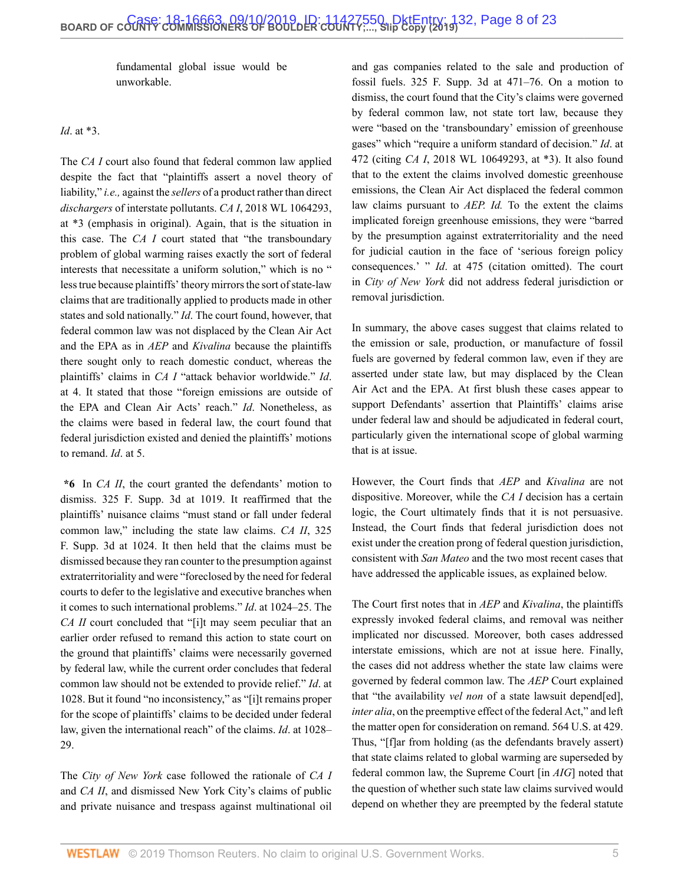fundamental global issue would be unworkable.

#### *Id*. at \*3.

The *CA I* court also found that federal common law applied despite the fact that "plaintiffs assert a novel theory of liability," *i.e.,* against the *sellers* of a product rather than direct *dischargers* of interstate pollutants. *CA I*, [2018 WL 1064293,](http://www.westlaw.com/Link/Document/FullText?findType=Y&serNum=2043900803&pubNum=0000999&originatingDoc=I5f277810d03f11e99c7da5bca11408d2&refType=RP&originationContext=document&vr=3.0&rs=cblt1.0&transitionType=DocumentItem&contextData=(sc.Search)) [at \\*3](http://www.westlaw.com/Link/Document/FullText?findType=Y&serNum=2043900803&pubNum=0000999&originatingDoc=I5f277810d03f11e99c7da5bca11408d2&refType=RP&originationContext=document&vr=3.0&rs=cblt1.0&transitionType=DocumentItem&contextData=(sc.Search)) (emphasis in original). Again, that is the situation in this case. The *CA I* court stated that "the transboundary problem of global warming raises exactly the sort of federal interests that necessitate a uniform solution," which is no " less true because plaintiffs' theory mirrors the sort of state-law claims that are traditionally applied to products made in other states and sold nationally." *Id*. The court found, however, that federal common law was not displaced by the Clean Air Act and the EPA as in *AEP* and *Kivalina* because the plaintiffs there sought only to reach domestic conduct, whereas the plaintiffs' claims in *CA I* "attack behavior worldwide." *Id*. at 4. It stated that those "foreign emissions are outside of the EPA and Clean Air Acts' reach." *Id*. Nonetheless, as the claims were based in federal law, the court found that federal jurisdiction existed and denied the plaintiffs' motions to remand. *Id*. at 5.

**\*6** In *CA II*, the court granted the defendants' motion to dismiss. [325 F. Supp. 3d at 1019](http://www.westlaw.com/Link/Document/FullText?findType=Y&serNum=2044807215&pubNum=0007903&originatingDoc=I5f277810d03f11e99c7da5bca11408d2&refType=RP&fi=co_pp_sp_7903_1019&originationContext=document&vr=3.0&rs=cblt1.0&transitionType=DocumentItem&contextData=(sc.Search)#co_pp_sp_7903_1019). It reaffirmed that the plaintiffs' nuisance claims "must stand or fall under federal common law," including the state law claims. *[CA II](http://www.westlaw.com/Link/Document/FullText?findType=Y&serNum=2044807215&pubNum=0007903&originatingDoc=I5f277810d03f11e99c7da5bca11408d2&refType=RP&fi=co_pp_sp_7903_1024&originationContext=document&vr=3.0&rs=cblt1.0&transitionType=DocumentItem&contextData=(sc.Search)#co_pp_sp_7903_1024)*, 325 [F. Supp. 3d at 1024](http://www.westlaw.com/Link/Document/FullText?findType=Y&serNum=2044807215&pubNum=0007903&originatingDoc=I5f277810d03f11e99c7da5bca11408d2&refType=RP&fi=co_pp_sp_7903_1024&originationContext=document&vr=3.0&rs=cblt1.0&transitionType=DocumentItem&contextData=(sc.Search)#co_pp_sp_7903_1024). It then held that the claims must be dismissed because they ran counter to the presumption against extraterritoriality and were "foreclosed by the need for federal courts to defer to the legislative and executive branches when it comes to such international problems." *Id*[. at 1024–25.](http://www.westlaw.com/Link/Document/FullText?findType=Y&serNum=2044807215&pubNum=0007903&originatingDoc=I5f277810d03f11e99c7da5bca11408d2&refType=RP&fi=co_pp_sp_7903_1024&originationContext=document&vr=3.0&rs=cblt1.0&transitionType=DocumentItem&contextData=(sc.Search)#co_pp_sp_7903_1024) The *CA II* court concluded that "[i]t may seem peculiar that an earlier order refused to remand this action to state court on the ground that plaintiffs' claims were necessarily governed by federal law, while the current order concludes that federal common law should not be extended to provide relief." *Id*[. at](http://www.westlaw.com/Link/Document/FullText?findType=Y&serNum=2044807215&pubNum=0007903&originatingDoc=I5f277810d03f11e99c7da5bca11408d2&refType=RP&fi=co_pp_sp_7903_1028&originationContext=document&vr=3.0&rs=cblt1.0&transitionType=DocumentItem&contextData=(sc.Search)#co_pp_sp_7903_1028) [1028](http://www.westlaw.com/Link/Document/FullText?findType=Y&serNum=2044807215&pubNum=0007903&originatingDoc=I5f277810d03f11e99c7da5bca11408d2&refType=RP&fi=co_pp_sp_7903_1028&originationContext=document&vr=3.0&rs=cblt1.0&transitionType=DocumentItem&contextData=(sc.Search)#co_pp_sp_7903_1028). But it found "no inconsistency," as "[i]t remains proper for the scope of plaintiffs' claims to be decided under federal law, given the international reach" of the claims. *Id*[. at 1028–](http://www.westlaw.com/Link/Document/FullText?findType=Y&serNum=2044807215&pubNum=0007903&originatingDoc=I5f277810d03f11e99c7da5bca11408d2&refType=RP&fi=co_pp_sp_7903_1028&originationContext=document&vr=3.0&rs=cblt1.0&transitionType=DocumentItem&contextData=(sc.Search)#co_pp_sp_7903_1028) [29](http://www.westlaw.com/Link/Document/FullText?findType=Y&serNum=2044807215&pubNum=0007903&originatingDoc=I5f277810d03f11e99c7da5bca11408d2&refType=RP&fi=co_pp_sp_7903_1028&originationContext=document&vr=3.0&rs=cblt1.0&transitionType=DocumentItem&contextData=(sc.Search)#co_pp_sp_7903_1028).

The *City of New York* case followed the rationale of *CA I* and *CA II*, and dismissed New York City's claims of public and private nuisance and trespass against multinational oil and gas companies related to the sale and production of fossil fuels. [325 F. Supp. 3d at 471–76.](http://www.westlaw.com/Link/Document/FullText?findType=Y&serNum=2045062370&pubNum=0007903&originatingDoc=I5f277810d03f11e99c7da5bca11408d2&refType=RP&fi=co_pp_sp_7903_471&originationContext=document&vr=3.0&rs=cblt1.0&transitionType=DocumentItem&contextData=(sc.Search)#co_pp_sp_7903_471) On a motion to dismiss, the court found that the City's claims were governed by federal common law, not state tort law, because they were "based on the 'transboundary' emission of greenhouse gases" which "require a uniform standard of decision." *Id*[. at](http://www.westlaw.com/Link/Document/FullText?findType=Y&serNum=2045062370&pubNum=0007903&originatingDoc=I5f277810d03f11e99c7da5bca11408d2&refType=RP&fi=co_pp_sp_7903_472&originationContext=document&vr=3.0&rs=cblt1.0&transitionType=DocumentItem&contextData=(sc.Search)#co_pp_sp_7903_472) [472](http://www.westlaw.com/Link/Document/FullText?findType=Y&serNum=2045062370&pubNum=0007903&originatingDoc=I5f277810d03f11e99c7da5bca11408d2&refType=RP&fi=co_pp_sp_7903_472&originationContext=document&vr=3.0&rs=cblt1.0&transitionType=DocumentItem&contextData=(sc.Search)#co_pp_sp_7903_472) (citing *CA I*, 2018 WL 10649293, at \*3). It also found that to the extent the claims involved domestic greenhouse emissions, the Clean Air Act displaced the federal common law claims pursuant to *AEP. Id.* To the extent the claims implicated foreign greenhouse emissions, they were "barred by the presumption against extraterritoriality and the need for judicial caution in the face of 'serious foreign policy consequences.' " *Id*[. at 475](http://www.westlaw.com/Link/Document/FullText?findType=Y&serNum=2045062370&pubNum=0007903&originatingDoc=I5f277810d03f11e99c7da5bca11408d2&refType=RP&fi=co_pp_sp_7903_475&originationContext=document&vr=3.0&rs=cblt1.0&transitionType=DocumentItem&contextData=(sc.Search)#co_pp_sp_7903_475) (citation omitted). The court in *City of New York* did not address federal jurisdiction or removal jurisdiction.

In summary, the above cases suggest that claims related to the emission or sale, production, or manufacture of fossil fuels are governed by federal common law, even if they are asserted under state law, but may displaced by the Clean Air Act and the EPA. At first blush these cases appear to support Defendants' assertion that Plaintiffs' claims arise under federal law and should be adjudicated in federal court, particularly given the international scope of global warming that is at issue.

However, the Court finds that *AEP* and *Kivalina* are not dispositive. Moreover, while the *CA I* decision has a certain logic, the Court ultimately finds that it is not persuasive. Instead, the Court finds that federal jurisdiction does not exist under the creation prong of federal question jurisdiction, consistent with *San Mateo* and the two most recent cases that have addressed the applicable issues, as explained below.

The Court first notes that in *AEP* and *Kivalina*, the plaintiffs expressly invoked federal claims, and removal was neither implicated nor discussed. Moreover, both cases addressed interstate emissions, which are not at issue here. Finally, the cases did not address whether the state law claims were governed by federal common law. The *AEP* Court explained that "the availability *vel non* of a state lawsuit depend[ed], *inter alia*, on the preemptive effect of the federal Act," and left the matter open for consideration on remand. [564 U.S. at 429.](http://www.westlaw.com/Link/Document/FullText?findType=Y&serNum=2025520220&pubNum=0000780&originatingDoc=I5f277810d03f11e99c7da5bca11408d2&refType=RP&fi=co_pp_sp_780_429&originationContext=document&vr=3.0&rs=cblt1.0&transitionType=DocumentItem&contextData=(sc.Search)#co_pp_sp_780_429) Thus, "[f]ar from holding (as the defendants bravely assert) that state claims related to global warming are superseded by federal common law, the Supreme Court [in *AIG*] noted that the question of whether such state law claims survived would depend on whether they are preempted by the federal statute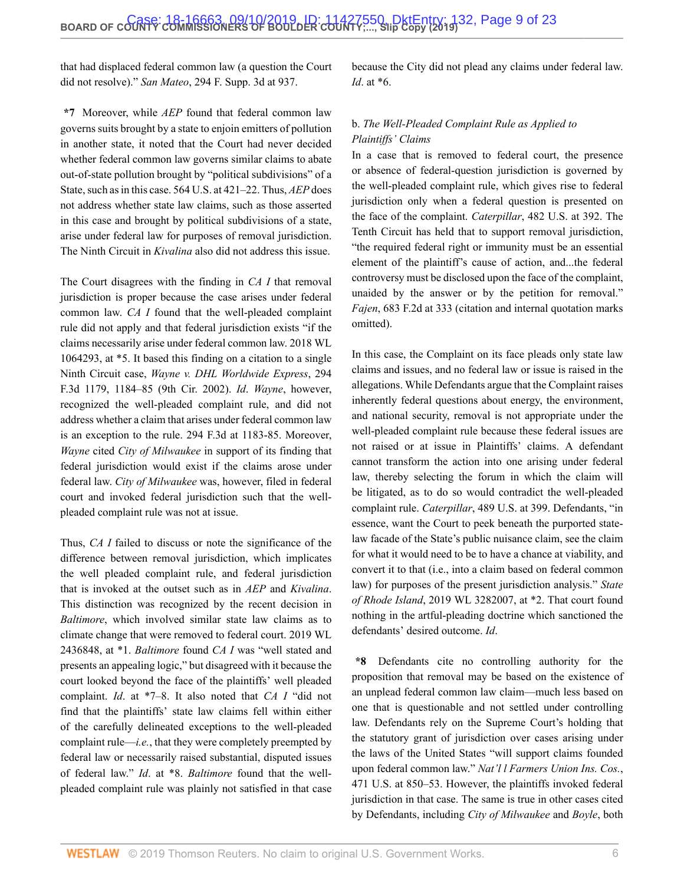that had displaced federal common law (a question the Court did not resolve)." *San Mateo*[, 294 F. Supp. 3d at 937](http://www.westlaw.com/Link/Document/FullText?findType=Y&serNum=2044125687&pubNum=0007903&originatingDoc=I5f277810d03f11e99c7da5bca11408d2&refType=RP&fi=co_pp_sp_7903_937&originationContext=document&vr=3.0&rs=cblt1.0&transitionType=DocumentItem&contextData=(sc.Search)#co_pp_sp_7903_937).

**\*7** Moreover, while *AEP* found that federal common law governs suits brought by a state to enjoin emitters of pollution in another state, it noted that the Court had never decided whether federal common law governs similar claims to abate out-of-state pollution brought by "political subdivisions" of a State, such as in this case. [564 U.S. at 421–22](http://www.westlaw.com/Link/Document/FullText?findType=Y&serNum=2025520220&pubNum=0000780&originatingDoc=I5f277810d03f11e99c7da5bca11408d2&refType=RP&fi=co_pp_sp_780_421&originationContext=document&vr=3.0&rs=cblt1.0&transitionType=DocumentItem&contextData=(sc.Search)#co_pp_sp_780_421). Thus, *AEP* does not address whether state law claims, such as those asserted in this case and brought by political subdivisions of a state, arise under federal law for purposes of removal jurisdiction. The Ninth Circuit in *Kivalina* also did not address this issue.

The Court disagrees with the finding in *CA I* that removal jurisdiction is proper because the case arises under federal common law. *CA I* found that the well-pleaded complaint rule did not apply and that federal jurisdiction exists "if the claims necessarily arise under federal common law. [2018 WL](http://www.westlaw.com/Link/Document/FullText?findType=Y&serNum=2043900803&pubNum=0000999&originatingDoc=I5f277810d03f11e99c7da5bca11408d2&refType=RP&originationContext=document&vr=3.0&rs=cblt1.0&transitionType=DocumentItem&contextData=(sc.Search)) [1064293, at \\*5](http://www.westlaw.com/Link/Document/FullText?findType=Y&serNum=2043900803&pubNum=0000999&originatingDoc=I5f277810d03f11e99c7da5bca11408d2&refType=RP&originationContext=document&vr=3.0&rs=cblt1.0&transitionType=DocumentItem&contextData=(sc.Search)). It based this finding on a citation to a single Ninth Circuit case, *[Wayne v. DHL Worldwide Express](http://www.westlaw.com/Link/Document/FullText?findType=Y&serNum=2002399465&pubNum=0000506&originatingDoc=I5f277810d03f11e99c7da5bca11408d2&refType=RP&fi=co_pp_sp_506_1184&originationContext=document&vr=3.0&rs=cblt1.0&transitionType=DocumentItem&contextData=(sc.Search)#co_pp_sp_506_1184)*, 294 [F.3d 1179, 1184–85 \(9th Cir. 2002\).](http://www.westlaw.com/Link/Document/FullText?findType=Y&serNum=2002399465&pubNum=0000506&originatingDoc=I5f277810d03f11e99c7da5bca11408d2&refType=RP&fi=co_pp_sp_506_1184&originationContext=document&vr=3.0&rs=cblt1.0&transitionType=DocumentItem&contextData=(sc.Search)#co_pp_sp_506_1184) *Id*. *Wayne*, however, recognized the well-pleaded complaint rule, and did not address whether a claim that arises under federal common law is an exception to the rule. [294 F.3d at 1183-85.](http://www.westlaw.com/Link/Document/FullText?findType=Y&serNum=2002399465&pubNum=0000506&originatingDoc=I5f277810d03f11e99c7da5bca11408d2&refType=RP&fi=co_pp_sp_506_1183&originationContext=document&vr=3.0&rs=cblt1.0&transitionType=DocumentItem&contextData=(sc.Search)#co_pp_sp_506_1183) Moreover, *Wayne* cited *City of Milwaukee* in support of its finding that federal jurisdiction would exist if the claims arose under federal law. *City of Milwaukee* was, however, filed in federal court and invoked federal jurisdiction such that the wellpleaded complaint rule was not at issue.

Thus, *CA I* failed to discuss or note the significance of the difference between removal jurisdiction, which implicates the well pleaded complaint rule, and federal jurisdiction that is invoked at the outset such as in *AEP* and *Kivalina*. This distinction was recognized by the recent decision in *Baltimore*, which involved similar state law claims as to climate change that were removed to federal court. [2019 WL](http://www.westlaw.com/Link/Document/FullText?findType=Y&serNum=2048466347&pubNum=0000999&originatingDoc=I5f277810d03f11e99c7da5bca11408d2&refType=RP&originationContext=document&vr=3.0&rs=cblt1.0&transitionType=DocumentItem&contextData=(sc.Search)) [2436848, at \\*1](http://www.westlaw.com/Link/Document/FullText?findType=Y&serNum=2048466347&pubNum=0000999&originatingDoc=I5f277810d03f11e99c7da5bca11408d2&refType=RP&originationContext=document&vr=3.0&rs=cblt1.0&transitionType=DocumentItem&contextData=(sc.Search)). *Baltimore* found *CA I* was "well stated and presents an appealing logic," but disagreed with it because the court looked beyond the face of the plaintiffs' well pleaded complaint. *Id*[. at \\*7–8](http://www.westlaw.com/Link/Document/FullText?findType=Y&serNum=2048466347&pubNum=0000999&originatingDoc=I5f277810d03f11e99c7da5bca11408d2&refType=RP&originationContext=document&vr=3.0&rs=cblt1.0&transitionType=DocumentItem&contextData=(sc.Search)). It also noted that *CA I* "did not find that the plaintiffs' state law claims fell within either of the carefully delineated exceptions to the well-pleaded complaint rule—*i.e.*, that they were completely preempted by federal law or necessarily raised substantial, disputed issues of federal law." *Id*[. at \\*8](http://www.westlaw.com/Link/Document/FullText?findType=Y&serNum=2048466347&pubNum=0000999&originatingDoc=I5f277810d03f11e99c7da5bca11408d2&refType=RP&originationContext=document&vr=3.0&rs=cblt1.0&transitionType=DocumentItem&contextData=(sc.Search)). *Baltimore* found that the wellpleaded complaint rule was plainly not satisfied in that case because the City did not plead any claims under federal law. *Id*[. at \\*6](http://www.westlaw.com/Link/Document/FullText?findType=Y&serNum=2048466347&pubNum=0000999&originatingDoc=I5f277810d03f11e99c7da5bca11408d2&refType=RP&originationContext=document&vr=3.0&rs=cblt1.0&transitionType=DocumentItem&contextData=(sc.Search)).

# b. *The Well-Pleaded Complaint Rule as Applied to Plaintiffs' Claims*

In a case that is removed to federal court, the presence or absence of federal-question jurisdiction is governed by the well-pleaded complaint rule, which gives rise to federal jurisdiction only when a federal question is presented on the face of the complaint. *Caterpillar*[, 482 U.S. at 392.](http://www.westlaw.com/Link/Document/FullText?findType=Y&serNum=1987071665&pubNum=0000780&originatingDoc=I5f277810d03f11e99c7da5bca11408d2&refType=RP&fi=co_pp_sp_780_392&originationContext=document&vr=3.0&rs=cblt1.0&transitionType=DocumentItem&contextData=(sc.Search)#co_pp_sp_780_392) The Tenth Circuit has held that to support removal jurisdiction, "the required federal right or immunity must be an essential element of the plaintiff's cause of action, and...the federal controversy must be disclosed upon the face of the complaint, unaided by the answer or by the petition for removal." *Fajen*[, 683 F.2d at 333](http://www.westlaw.com/Link/Document/FullText?findType=Y&serNum=1982132625&pubNum=0000350&originatingDoc=I5f277810d03f11e99c7da5bca11408d2&refType=RP&fi=co_pp_sp_350_333&originationContext=document&vr=3.0&rs=cblt1.0&transitionType=DocumentItem&contextData=(sc.Search)#co_pp_sp_350_333) (citation and internal quotation marks omitted).

In this case, the Complaint on its face pleads only state law claims and issues, and no federal law or issue is raised in the allegations. While Defendants argue that the Complaint raises inherently federal questions about energy, the environment, and national security, removal is not appropriate under the well-pleaded complaint rule because these federal issues are not raised or at issue in Plaintiffs' claims. A defendant cannot transform the action into one arising under federal law, thereby selecting the forum in which the claim will be litigated, as to do so would contradict the well-pleaded complaint rule. *Caterpillar*, 489 U.S. at 399. Defendants, "in essence, want the Court to peek beneath the purported statelaw facade of the State's public nuisance claim, see the claim for what it would need to be to have a chance at viability, and convert it to that (i.e., into a claim based on federal common law) for purposes of the present jurisdiction analysis." *[State](http://www.westlaw.com/Link/Document/FullText?findType=Y&serNum=2048741931&pubNum=0000999&originatingDoc=I5f277810d03f11e99c7da5bca11408d2&refType=RP&originationContext=document&vr=3.0&rs=cblt1.0&transitionType=DocumentItem&contextData=(sc.Search)) of Rhode Island*[, 2019 WL 3282007, at \\*2](http://www.westlaw.com/Link/Document/FullText?findType=Y&serNum=2048741931&pubNum=0000999&originatingDoc=I5f277810d03f11e99c7da5bca11408d2&refType=RP&originationContext=document&vr=3.0&rs=cblt1.0&transitionType=DocumentItem&contextData=(sc.Search)). That court found nothing in the artful-pleading doctrine which sanctioned the defendants' desired outcome. *Id*.

**\*8** Defendants cite no controlling authority for the proposition that removal may be based on the existence of an unplead federal common law claim—much less based on one that is questionable and not settled under controlling law. Defendants rely on the Supreme Court's holding that the statutory grant of jurisdiction over cases arising under the laws of the United States "will support claims founded upon federal common law." *[Nat'l l Farmers Union Ins. Cos.](http://www.westlaw.com/Link/Document/FullText?findType=Y&serNum=1985127861&pubNum=0000780&originatingDoc=I5f277810d03f11e99c7da5bca11408d2&refType=RP&fi=co_pp_sp_780_850&originationContext=document&vr=3.0&rs=cblt1.0&transitionType=DocumentItem&contextData=(sc.Search)#co_pp_sp_780_850)*, [471 U.S. at 850–53.](http://www.westlaw.com/Link/Document/FullText?findType=Y&serNum=1985127861&pubNum=0000780&originatingDoc=I5f277810d03f11e99c7da5bca11408d2&refType=RP&fi=co_pp_sp_780_850&originationContext=document&vr=3.0&rs=cblt1.0&transitionType=DocumentItem&contextData=(sc.Search)#co_pp_sp_780_850) However, the plaintiffs invoked federal jurisdiction in that case. The same is true in other cases cited by Defendants, including *City of Milwaukee* and *Boyle*, both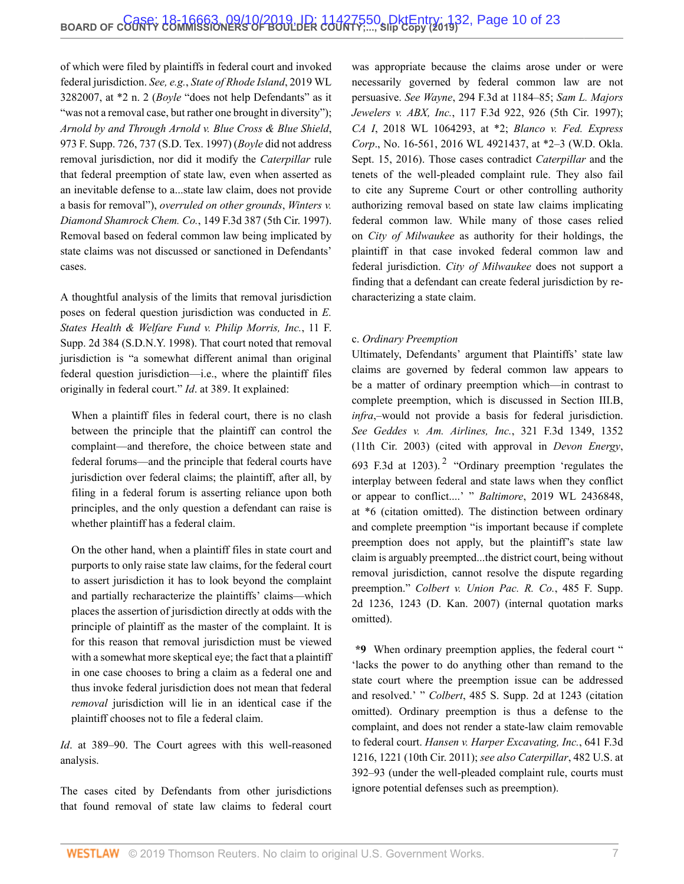of which were filed by plaintiffs in federal court and invoked federal jurisdiction. *See, e.g.*, *[State of Rhode Island](http://www.westlaw.com/Link/Document/FullText?findType=Y&serNum=2048741931&pubNum=0000999&originatingDoc=I5f277810d03f11e99c7da5bca11408d2&refType=RP&originationContext=document&vr=3.0&rs=cblt1.0&transitionType=DocumentItem&contextData=(sc.Search))*, 2019 WL [3282007, at \\*2 n. 2](http://www.westlaw.com/Link/Document/FullText?findType=Y&serNum=2048741931&pubNum=0000999&originatingDoc=I5f277810d03f11e99c7da5bca11408d2&refType=RP&originationContext=document&vr=3.0&rs=cblt1.0&transitionType=DocumentItem&contextData=(sc.Search)) (*Boyle* "does not help Defendants" as it "was not a removal case, but rather one brought in diversity"); *[Arnold by and Through Arnold v. Blue Cross &](http://www.westlaw.com/Link/Document/FullText?findType=Y&serNum=1997182165&pubNum=0000345&originatingDoc=I5f277810d03f11e99c7da5bca11408d2&refType=RP&fi=co_pp_sp_345_737&originationContext=document&vr=3.0&rs=cblt1.0&transitionType=DocumentItem&contextData=(sc.Search)#co_pp_sp_345_737) Blue Shield*, [973 F. Supp. 726, 737 \(S.D. Tex. 1997\)](http://www.westlaw.com/Link/Document/FullText?findType=Y&serNum=1997182165&pubNum=0000345&originatingDoc=I5f277810d03f11e99c7da5bca11408d2&refType=RP&fi=co_pp_sp_345_737&originationContext=document&vr=3.0&rs=cblt1.0&transitionType=DocumentItem&contextData=(sc.Search)#co_pp_sp_345_737) (*Boyle* did not address removal jurisdiction, nor did it modify the *Caterpillar* rule that federal preemption of state law, even when asserted as an inevitable defense to a...state law claim, does not provide a basis for removal"), *overruled on other grounds*, *[Winters v.](http://www.westlaw.com/Link/Document/FullText?findType=Y&serNum=1998161448&pubNum=0000506&originatingDoc=I5f277810d03f11e99c7da5bca11408d2&refType=RP&originationContext=document&vr=3.0&rs=cblt1.0&transitionType=DocumentItem&contextData=(sc.Search)) Diamond Shamrock Chem. Co.*[, 149 F.3d 387 \(5th Cir. 1997\).](http://www.westlaw.com/Link/Document/FullText?findType=Y&serNum=1998161448&pubNum=0000506&originatingDoc=I5f277810d03f11e99c7da5bca11408d2&refType=RP&originationContext=document&vr=3.0&rs=cblt1.0&transitionType=DocumentItem&contextData=(sc.Search)) Removal based on federal common law being implicated by state claims was not discussed or sanctioned in Defendants' cases.

A thoughtful analysis of the limits that removal jurisdiction poses on federal question jurisdiction was conducted in *[E.](http://www.westlaw.com/Link/Document/FullText?findType=Y&serNum=1998138770&pubNum=0004637&originatingDoc=I5f277810d03f11e99c7da5bca11408d2&refType=RP&originationContext=document&vr=3.0&rs=cblt1.0&transitionType=DocumentItem&contextData=(sc.Search)) [States Health & Welfare Fund v. Philip Morris,](http://www.westlaw.com/Link/Document/FullText?findType=Y&serNum=1998138770&pubNum=0004637&originatingDoc=I5f277810d03f11e99c7da5bca11408d2&refType=RP&originationContext=document&vr=3.0&rs=cblt1.0&transitionType=DocumentItem&contextData=(sc.Search)) Inc.*, 11 F. [Supp. 2d 384 \(S.D.N.Y. 1998\)](http://www.westlaw.com/Link/Document/FullText?findType=Y&serNum=1998138770&pubNum=0004637&originatingDoc=I5f277810d03f11e99c7da5bca11408d2&refType=RP&originationContext=document&vr=3.0&rs=cblt1.0&transitionType=DocumentItem&contextData=(sc.Search)). That court noted that removal jurisdiction is "a somewhat different animal than original federal question jurisdiction—i.e., where the plaintiff files originally in federal court." *Id*[. at 389.](http://www.westlaw.com/Link/Document/FullText?findType=Y&serNum=1998138770&pubNum=0004637&originatingDoc=I5f277810d03f11e99c7da5bca11408d2&refType=RP&fi=co_pp_sp_4637_389&originationContext=document&vr=3.0&rs=cblt1.0&transitionType=DocumentItem&contextData=(sc.Search)#co_pp_sp_4637_389) It explained:

When a plaintiff files in federal court, there is no clash between the principle that the plaintiff can control the complaint—and therefore, the choice between state and federal forums—and the principle that federal courts have jurisdiction over federal claims; the plaintiff, after all, by filing in a federal forum is asserting reliance upon both principles, and the only question a defendant can raise is whether plaintiff has a federal claim.

On the other hand, when a plaintiff files in state court and purports to only raise state law claims, for the federal court to assert jurisdiction it has to look beyond the complaint and partially recharacterize the plaintiffs' claims—which places the assertion of jurisdiction directly at odds with the principle of plaintiff as the master of the complaint. It is for this reason that removal jurisdiction must be viewed with a somewhat more skeptical eye; the fact that a plaintiff in one case chooses to bring a claim as a federal one and thus invoke federal jurisdiction does not mean that federal *removal* jurisdiction will lie in an identical case if the plaintiff chooses not to file a federal claim.

*Id*. at 389–90. The Court agrees with this well-reasoned analysis.

The cases cited by Defendants from other jurisdictions that found removal of state law claims to federal court was appropriate because the claims arose under or were necessarily governed by federal common law are not persuasive. *See Wayne*[, 294 F.3d at 1184–85;](http://www.westlaw.com/Link/Document/FullText?findType=Y&serNum=2002399465&pubNum=0000506&originatingDoc=I5f277810d03f11e99c7da5bca11408d2&refType=RP&fi=co_pp_sp_506_1184&originationContext=document&vr=3.0&rs=cblt1.0&transitionType=DocumentItem&contextData=(sc.Search)#co_pp_sp_506_1184) *[Sam L. Majors](http://www.westlaw.com/Link/Document/FullText?findType=Y&serNum=1997150574&pubNum=0000506&originatingDoc=I5f277810d03f11e99c7da5bca11408d2&refType=RP&fi=co_pp_sp_506_926&originationContext=document&vr=3.0&rs=cblt1.0&transitionType=DocumentItem&contextData=(sc.Search)#co_pp_sp_506_926) Jewelers v. ABX, Inc.*[, 117 F.3d 922, 926 \(5th Cir. 1997\)](http://www.westlaw.com/Link/Document/FullText?findType=Y&serNum=1997150574&pubNum=0000506&originatingDoc=I5f277810d03f11e99c7da5bca11408d2&refType=RP&fi=co_pp_sp_506_926&originationContext=document&vr=3.0&rs=cblt1.0&transitionType=DocumentItem&contextData=(sc.Search)#co_pp_sp_506_926); *CA I*[, 2018 WL 1064293, at \\*2](http://www.westlaw.com/Link/Document/FullText?findType=Y&serNum=2043900803&pubNum=0000999&originatingDoc=I5f277810d03f11e99c7da5bca11408d2&refType=RP&originationContext=document&vr=3.0&rs=cblt1.0&transitionType=DocumentItem&contextData=(sc.Search)); *[Blanco v. Fed. Express](http://www.westlaw.com/Link/Document/FullText?findType=Y&serNum=2039789566&pubNum=0000999&originatingDoc=I5f277810d03f11e99c7da5bca11408d2&refType=RP&originationContext=document&vr=3.0&rs=cblt1.0&transitionType=DocumentItem&contextData=(sc.Search)) Corp*[., No. 16-561, 2016 WL 4921437, at \\*2–3 \(W.D. Okla.](http://www.westlaw.com/Link/Document/FullText?findType=Y&serNum=2039789566&pubNum=0000999&originatingDoc=I5f277810d03f11e99c7da5bca11408d2&refType=RP&originationContext=document&vr=3.0&rs=cblt1.0&transitionType=DocumentItem&contextData=(sc.Search)) [Sept. 15, 2016\).](http://www.westlaw.com/Link/Document/FullText?findType=Y&serNum=2039789566&pubNum=0000999&originatingDoc=I5f277810d03f11e99c7da5bca11408d2&refType=RP&originationContext=document&vr=3.0&rs=cblt1.0&transitionType=DocumentItem&contextData=(sc.Search)) Those cases contradict *Caterpillar* and the tenets of the well-pleaded complaint rule. They also fail to cite any Supreme Court or other controlling authority authorizing removal based on state law claims implicating federal common law. While many of those cases relied on *City of Milwaukee* as authority for their holdings, the plaintiff in that case invoked federal common law and federal jurisdiction. *City of Milwaukee* does not support a finding that a defendant can create federal jurisdiction by recharacterizing a state claim.

#### c. *Ordinary Preemption*

<span id="page-9-0"></span>Ultimately, Defendants' argument that Plaintiffs' state law claims are governed by federal common law appears to be a matter of ordinary preemption which—in contrast to complete preemption, which is discussed in Section III.B, *infra*,–would not provide a basis for federal jurisdiction. *See [Geddes v. Am. Airlines, Inc.](http://www.westlaw.com/Link/Document/FullText?findType=Y&serNum=2003175629&pubNum=0000506&originatingDoc=I5f277810d03f11e99c7da5bca11408d2&refType=RP&fi=co_pp_sp_506_1352&originationContext=document&vr=3.0&rs=cblt1.0&transitionType=DocumentItem&contextData=(sc.Search)#co_pp_sp_506_1352)*, 321 F.3d 1349, 1352 [\(11th Cir. 2003\)](http://www.westlaw.com/Link/Document/FullText?findType=Y&serNum=2003175629&pubNum=0000506&originatingDoc=I5f277810d03f11e99c7da5bca11408d2&refType=RP&fi=co_pp_sp_506_1352&originationContext=document&vr=3.0&rs=cblt1.0&transitionType=DocumentItem&contextData=(sc.Search)#co_pp_sp_506_1352) (cited with approval in *[Devon Energy](http://www.westlaw.com/Link/Document/FullText?findType=Y&serNum=2028457138&pubNum=0000506&originatingDoc=I5f277810d03f11e99c7da5bca11408d2&refType=RP&fi=co_pp_sp_506_1203&originationContext=document&vr=3.0&rs=cblt1.0&transitionType=DocumentItem&contextData=(sc.Search)#co_pp_sp_506_1203)*, 693 F.3d at  $1203$  $1203$  $1203$ ).<sup>2</sup> "Ordinary preemption 'regulates the interplay between federal and state laws when they conflict or appear to conflict....' " *Baltimore*[, 2019 WL 2436848,](http://www.westlaw.com/Link/Document/FullText?findType=Y&serNum=2048466347&pubNum=0000999&originatingDoc=I5f277810d03f11e99c7da5bca11408d2&refType=RP&originationContext=document&vr=3.0&rs=cblt1.0&transitionType=DocumentItem&contextData=(sc.Search)) [at \\*6](http://www.westlaw.com/Link/Document/FullText?findType=Y&serNum=2048466347&pubNum=0000999&originatingDoc=I5f277810d03f11e99c7da5bca11408d2&refType=RP&originationContext=document&vr=3.0&rs=cblt1.0&transitionType=DocumentItem&contextData=(sc.Search)) (citation omitted). The distinction between ordinary and complete preemption "is important because if complete preemption does not apply, but the plaintiff's state law claim is arguably preempted...the district court, being without removal jurisdiction, cannot resolve the dispute regarding preemption." *[Colbert v. Union Pac. R. Co.](http://www.westlaw.com/Link/Document/FullText?findType=Y&serNum=2012166156&pubNum=0004637&originatingDoc=I5f277810d03f11e99c7da5bca11408d2&refType=RP&fi=co_pp_sp_4637_1243&originationContext=document&vr=3.0&rs=cblt1.0&transitionType=DocumentItem&contextData=(sc.Search)#co_pp_sp_4637_1243)*, 485 F. Supp. [2d 1236, 1243 \(D. Kan. 2007\)](http://www.westlaw.com/Link/Document/FullText?findType=Y&serNum=2012166156&pubNum=0004637&originatingDoc=I5f277810d03f11e99c7da5bca11408d2&refType=RP&fi=co_pp_sp_4637_1243&originationContext=document&vr=3.0&rs=cblt1.0&transitionType=DocumentItem&contextData=(sc.Search)#co_pp_sp_4637_1243) (internal quotation marks omitted).

**\*9** When ordinary preemption applies, the federal court " 'lacks the power to do anything other than remand to the state court where the preemption issue can be addressed and resolved.' " *Colbert*, 485 S. Supp. 2d at 1243 (citation omitted). Ordinary preemption is thus a defense to the complaint, and does not render a state-law claim removable to federal court. *[Hansen v. Harper Excavating, Inc.](http://www.westlaw.com/Link/Document/FullText?findType=Y&serNum=2024989380&pubNum=0000506&originatingDoc=I5f277810d03f11e99c7da5bca11408d2&refType=RP&fi=co_pp_sp_506_1221&originationContext=document&vr=3.0&rs=cblt1.0&transitionType=DocumentItem&contextData=(sc.Search)#co_pp_sp_506_1221)*, 641 F.3d [1216, 1221 \(10th Cir. 2011\)](http://www.westlaw.com/Link/Document/FullText?findType=Y&serNum=2024989380&pubNum=0000506&originatingDoc=I5f277810d03f11e99c7da5bca11408d2&refType=RP&fi=co_pp_sp_506_1221&originationContext=document&vr=3.0&rs=cblt1.0&transitionType=DocumentItem&contextData=(sc.Search)#co_pp_sp_506_1221); *see also Caterpillar*[, 482 U.S. at](http://www.westlaw.com/Link/Document/FullText?findType=Y&serNum=1987071665&pubNum=0000780&originatingDoc=I5f277810d03f11e99c7da5bca11408d2&refType=RP&fi=co_pp_sp_780_392&originationContext=document&vr=3.0&rs=cblt1.0&transitionType=DocumentItem&contextData=(sc.Search)#co_pp_sp_780_392) [392–93](http://www.westlaw.com/Link/Document/FullText?findType=Y&serNum=1987071665&pubNum=0000780&originatingDoc=I5f277810d03f11e99c7da5bca11408d2&refType=RP&fi=co_pp_sp_780_392&originationContext=document&vr=3.0&rs=cblt1.0&transitionType=DocumentItem&contextData=(sc.Search)#co_pp_sp_780_392) (under the well-pleaded complaint rule, courts must ignore potential defenses such as preemption).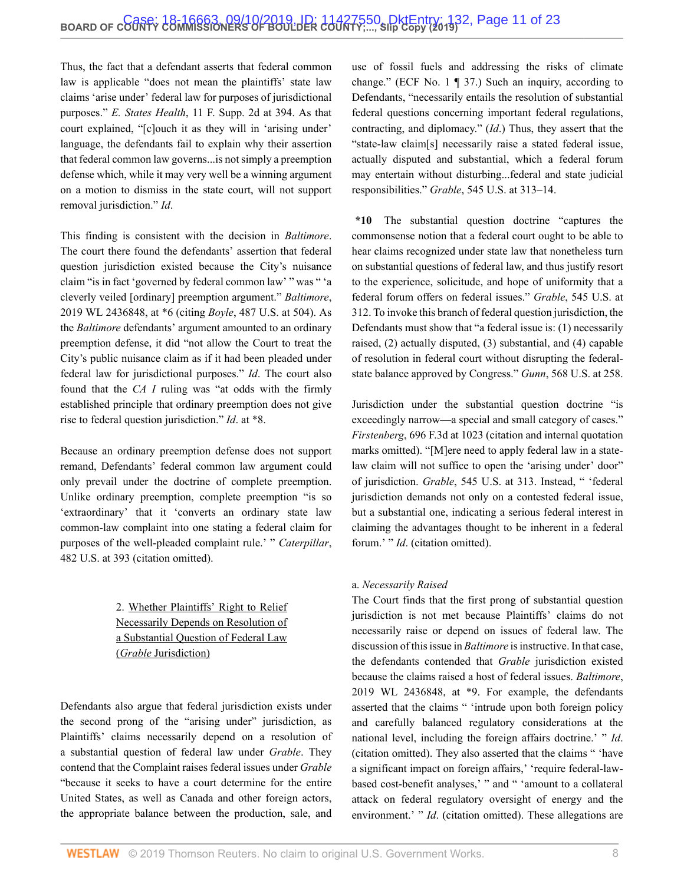Thus, the fact that a defendant asserts that federal common law is applicable "does not mean the plaintiffs' state law claims 'arise under' federal law for purposes of jurisdictional purposes." *E. States Health*[, 11 F. Supp. 2d at 394.](http://www.westlaw.com/Link/Document/FullText?findType=Y&serNum=1998138770&pubNum=0004637&originatingDoc=I5f277810d03f11e99c7da5bca11408d2&refType=RP&fi=co_pp_sp_4637_394&originationContext=document&vr=3.0&rs=cblt1.0&transitionType=DocumentItem&contextData=(sc.Search)#co_pp_sp_4637_394) As that court explained, "[c]ouch it as they will in 'arising under' language, the defendants fail to explain why their assertion that federal common law governs...is not simply a preemption defense which, while it may very well be a winning argument on a motion to dismiss in the state court, will not support removal jurisdiction." *Id*.

This finding is consistent with the decision in *Baltimore*. The court there found the defendants' assertion that federal question jurisdiction existed because the City's nuisance claim "is in fact 'governed by federal common law' " was " 'a cleverly veiled [ordinary] preemption argument." *[Baltimore](http://www.westlaw.com/Link/Document/FullText?findType=Y&serNum=2048466347&pubNum=0000999&originatingDoc=I5f277810d03f11e99c7da5bca11408d2&refType=RP&originationContext=document&vr=3.0&rs=cblt1.0&transitionType=DocumentItem&contextData=(sc.Search))*, [2019 WL 2436848, at \\*6](http://www.westlaw.com/Link/Document/FullText?findType=Y&serNum=2048466347&pubNum=0000999&originatingDoc=I5f277810d03f11e99c7da5bca11408d2&refType=RP&originationContext=document&vr=3.0&rs=cblt1.0&transitionType=DocumentItem&contextData=(sc.Search)) (citing *Boyle*[, 487 U.S. at 504](http://www.westlaw.com/Link/Document/FullText?findType=Y&serNum=1988082578&pubNum=0000780&originatingDoc=I5f277810d03f11e99c7da5bca11408d2&refType=RP&fi=co_pp_sp_780_504&originationContext=document&vr=3.0&rs=cblt1.0&transitionType=DocumentItem&contextData=(sc.Search)#co_pp_sp_780_504)). As the *Baltimore* defendants' argument amounted to an ordinary preemption defense, it did "not allow the Court to treat the City's public nuisance claim as if it had been pleaded under federal law for jurisdictional purposes." *Id*. The court also found that the *CA I* ruling was "at odds with the firmly established principle that ordinary preemption does not give rise to federal question jurisdiction." *Id*[. at \\*8.](http://www.westlaw.com/Link/Document/FullText?findType=Y&serNum=2048466347&pubNum=0000999&originatingDoc=I5f277810d03f11e99c7da5bca11408d2&refType=RP&originationContext=document&vr=3.0&rs=cblt1.0&transitionType=DocumentItem&contextData=(sc.Search))

Because an ordinary preemption defense does not support remand, Defendants' federal common law argument could only prevail under the doctrine of complete preemption. Unlike ordinary preemption, complete preemption "is so 'extraordinary' that it 'converts an ordinary state law common-law complaint into one stating a federal claim for purposes of the well-pleaded complaint rule.' " *[Caterpillar](http://www.westlaw.com/Link/Document/FullText?findType=Y&serNum=1987071665&pubNum=0000780&originatingDoc=I5f277810d03f11e99c7da5bca11408d2&refType=RP&fi=co_pp_sp_780_393&originationContext=document&vr=3.0&rs=cblt1.0&transitionType=DocumentItem&contextData=(sc.Search)#co_pp_sp_780_393)*, [482 U.S. at 393](http://www.westlaw.com/Link/Document/FullText?findType=Y&serNum=1987071665&pubNum=0000780&originatingDoc=I5f277810d03f11e99c7da5bca11408d2&refType=RP&fi=co_pp_sp_780_393&originationContext=document&vr=3.0&rs=cblt1.0&transitionType=DocumentItem&contextData=(sc.Search)#co_pp_sp_780_393) (citation omitted).

> 2. Whether Plaintiffs' Right to Relief Necessarily Depends on Resolution of a Substantial Question of Federal Law (*Grable* Jurisdiction)

Defendants also argue that federal jurisdiction exists under the second prong of the "arising under" jurisdiction, as Plaintiffs' claims necessarily depend on a resolution of a substantial question of federal law under *Grable*. They contend that the Complaint raises federal issues under *Grable* "because it seeks to have a court determine for the entire United States, as well as Canada and other foreign actors, the appropriate balance between the production, sale, and

use of fossil fuels and addressing the risks of climate change." (ECF No. 1 ¶ 37.) Such an inquiry, according to Defendants, "necessarily entails the resolution of substantial federal questions concerning important federal regulations, contracting, and diplomacy." (*Id*.) Thus, they assert that the "state-law claim[s] necessarily raise a stated federal issue, actually disputed and substantial, which a federal forum may entertain without disturbing...federal and state judicial responsibilities." *Grable*[, 545 U.S. at 313–14.](http://www.westlaw.com/Link/Document/FullText?findType=Y&serNum=2006791874&pubNum=0000780&originatingDoc=I5f277810d03f11e99c7da5bca11408d2&refType=RP&fi=co_pp_sp_780_313&originationContext=document&vr=3.0&rs=cblt1.0&transitionType=DocumentItem&contextData=(sc.Search)#co_pp_sp_780_313)

**\*10** The substantial question doctrine "captures the commonsense notion that a federal court ought to be able to hear claims recognized under state law that nonetheless turn on substantial questions of federal law, and thus justify resort to the experience, solicitude, and hope of uniformity that a federal forum offers on federal issues." *Grable*[, 545 U.S. at](http://www.westlaw.com/Link/Document/FullText?findType=Y&serNum=2006791874&pubNum=0000780&originatingDoc=I5f277810d03f11e99c7da5bca11408d2&refType=RP&fi=co_pp_sp_780_312&originationContext=document&vr=3.0&rs=cblt1.0&transitionType=DocumentItem&contextData=(sc.Search)#co_pp_sp_780_312) [312](http://www.westlaw.com/Link/Document/FullText?findType=Y&serNum=2006791874&pubNum=0000780&originatingDoc=I5f277810d03f11e99c7da5bca11408d2&refType=RP&fi=co_pp_sp_780_312&originationContext=document&vr=3.0&rs=cblt1.0&transitionType=DocumentItem&contextData=(sc.Search)#co_pp_sp_780_312). To invoke this branch of federal question jurisdiction, the Defendants must show that "a federal issue is: (1) necessarily raised, (2) actually disputed, (3) substantial, and (4) capable of resolution in federal court without disrupting the federalstate balance approved by Congress." *Gunn*[, 568 U.S. at 258.](http://www.westlaw.com/Link/Document/FullText?findType=Y&serNum=2029898029&pubNum=0000780&originatingDoc=I5f277810d03f11e99c7da5bca11408d2&refType=RP&fi=co_pp_sp_780_258&originationContext=document&vr=3.0&rs=cblt1.0&transitionType=DocumentItem&contextData=(sc.Search)#co_pp_sp_780_258)

Jurisdiction under the substantial question doctrine "is exceedingly narrow—a special and small category of cases." *Firstenberg*[, 696 F.3d at 1023](http://www.westlaw.com/Link/Document/FullText?findType=Y&serNum=2028802675&pubNum=0000506&originatingDoc=I5f277810d03f11e99c7da5bca11408d2&refType=RP&fi=co_pp_sp_506_1023&originationContext=document&vr=3.0&rs=cblt1.0&transitionType=DocumentItem&contextData=(sc.Search)#co_pp_sp_506_1023) (citation and internal quotation marks omitted). "[M]ere need to apply federal law in a statelaw claim will not suffice to open the 'arising under' door" of jurisdiction. *Grable*[, 545 U.S. at 313](http://www.westlaw.com/Link/Document/FullText?findType=Y&serNum=2006791874&pubNum=0000780&originatingDoc=I5f277810d03f11e99c7da5bca11408d2&refType=RP&fi=co_pp_sp_780_313&originationContext=document&vr=3.0&rs=cblt1.0&transitionType=DocumentItem&contextData=(sc.Search)#co_pp_sp_780_313). Instead, " 'federal jurisdiction demands not only on a contested federal issue, but a substantial one, indicating a serious federal interest in claiming the advantages thought to be inherent in a federal forum.' " *Id*. (citation omitted).

#### a. *Necessarily Raised*

The Court finds that the first prong of substantial question jurisdiction is not met because Plaintiffs' claims do not necessarily raise or depend on issues of federal law. The discussion of this issue in *Baltimore* is instructive. In that case, the defendants contended that *Grable* jurisdiction existed because the claims raised a host of federal issues. *[Baltimore](http://www.westlaw.com/Link/Document/FullText?findType=Y&serNum=2048466347&pubNum=0000999&originatingDoc=I5f277810d03f11e99c7da5bca11408d2&refType=RP&originationContext=document&vr=3.0&rs=cblt1.0&transitionType=DocumentItem&contextData=(sc.Search))*, [2019 WL 2436848, at \\*9.](http://www.westlaw.com/Link/Document/FullText?findType=Y&serNum=2048466347&pubNum=0000999&originatingDoc=I5f277810d03f11e99c7da5bca11408d2&refType=RP&originationContext=document&vr=3.0&rs=cblt1.0&transitionType=DocumentItem&contextData=(sc.Search)) For example, the defendants asserted that the claims " 'intrude upon both foreign policy and carefully balanced regulatory considerations at the national level, including the foreign affairs doctrine.' " *Id*. (citation omitted). They also asserted that the claims " 'have a significant impact on foreign affairs,' 'require federal-lawbased cost-benefit analyses,' " and " 'amount to a collateral attack on federal regulatory oversight of energy and the environment.' " *Id.* (citation omitted). These allegations are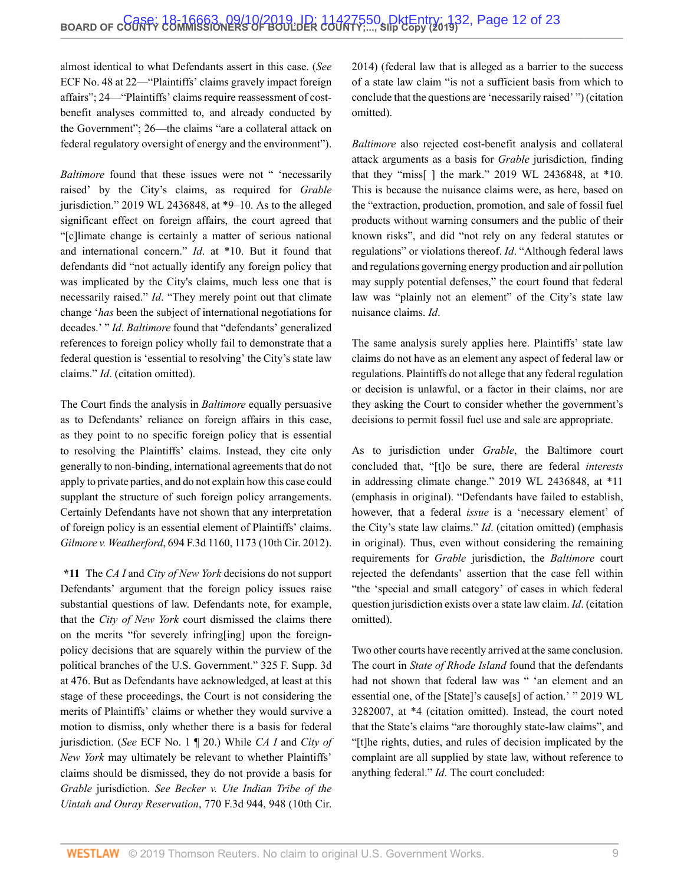almost identical to what Defendants assert in this case. (*See* ECF No. 48 at 22—"Plaintiffs' claims gravely impact foreign affairs"; 24—"Plaintiffs' claims require reassessment of costbenefit analyses committed to, and already conducted by the Government"; 26—the claims "are a collateral attack on federal regulatory oversight of energy and the environment").

*Baltimore* found that these issues were not " 'necessarily raised' by the City's claims, as required for *Grable* jurisdiction." [2019 WL 2436848, at \\*9–10](http://www.westlaw.com/Link/Document/FullText?findType=Y&serNum=2048466347&pubNum=0000999&originatingDoc=I5f277810d03f11e99c7da5bca11408d2&refType=RP&originationContext=document&vr=3.0&rs=cblt1.0&transitionType=DocumentItem&contextData=(sc.Search)). As to the alleged significant effect on foreign affairs, the court agreed that "[c]limate change is certainly a matter of serious national and international concern." *Id*[. at \\*10.](http://www.westlaw.com/Link/Document/FullText?findType=Y&serNum=2048466347&pubNum=0000999&originatingDoc=I5f277810d03f11e99c7da5bca11408d2&refType=RP&originationContext=document&vr=3.0&rs=cblt1.0&transitionType=DocumentItem&contextData=(sc.Search)) But it found that defendants did "not actually identify any foreign policy that was implicated by the City's claims, much less one that is necessarily raised." *Id*. "They merely point out that climate change '*has* been the subject of international negotiations for decades.' " *Id*. *Baltimore* found that "defendants' generalized references to foreign policy wholly fail to demonstrate that a federal question is 'essential to resolving' the City's state law claims." *Id*. (citation omitted).

The Court finds the analysis in *Baltimore* equally persuasive as to Defendants' reliance on foreign affairs in this case, as they point to no specific foreign policy that is essential to resolving the Plaintiffs' claims. Instead, they cite only generally to non-binding, international agreements that do not apply to private parties, and do not explain how this case could supplant the structure of such foreign policy arrangements. Certainly Defendants have not shown that any interpretation of foreign policy is an essential element of Plaintiffs' claims. *Gilmore v. Weatherford*[, 694 F.3d 1160, 1173 \(10th Cir. 2012\).](http://www.westlaw.com/Link/Document/FullText?findType=Y&serNum=2028528193&pubNum=0000506&originatingDoc=I5f277810d03f11e99c7da5bca11408d2&refType=RP&fi=co_pp_sp_506_1173&originationContext=document&vr=3.0&rs=cblt1.0&transitionType=DocumentItem&contextData=(sc.Search)#co_pp_sp_506_1173)

**\*11** The *CA I* and *City of New York* decisions do not support Defendants' argument that the foreign policy issues raise substantial questions of law. Defendants note, for example, that the *City of New York* court dismissed the claims there on the merits "for severely infring[ing] upon the foreignpolicy decisions that are squarely within the purview of the political branches of the U.S. Government." [325 F. Supp. 3d](http://www.westlaw.com/Link/Document/FullText?findType=Y&serNum=2045062370&pubNum=0007903&originatingDoc=I5f277810d03f11e99c7da5bca11408d2&refType=RP&fi=co_pp_sp_7903_476&originationContext=document&vr=3.0&rs=cblt1.0&transitionType=DocumentItem&contextData=(sc.Search)#co_pp_sp_7903_476) [at 476.](http://www.westlaw.com/Link/Document/FullText?findType=Y&serNum=2045062370&pubNum=0007903&originatingDoc=I5f277810d03f11e99c7da5bca11408d2&refType=RP&fi=co_pp_sp_7903_476&originationContext=document&vr=3.0&rs=cblt1.0&transitionType=DocumentItem&contextData=(sc.Search)#co_pp_sp_7903_476) But as Defendants have acknowledged, at least at this stage of these proceedings, the Court is not considering the merits of Plaintiffs' claims or whether they would survive a motion to dismiss, only whether there is a basis for federal jurisdiction. (*See* ECF No. 1 ¶ 20.) While *CA I* and *City of New York* may ultimately be relevant to whether Plaintiffs' claims should be dismissed, they do not provide a basis for *Grable* jurisdiction. *See [Becker v. Ute Indian Tribe of the](http://www.westlaw.com/Link/Document/FullText?findType=Y&serNum=2034648904&pubNum=0000506&originatingDoc=I5f277810d03f11e99c7da5bca11408d2&refType=RP&fi=co_pp_sp_506_948&originationContext=document&vr=3.0&rs=cblt1.0&transitionType=DocumentItem&contextData=(sc.Search)#co_pp_sp_506_948) [Uintah and Ouray Reservation](http://www.westlaw.com/Link/Document/FullText?findType=Y&serNum=2034648904&pubNum=0000506&originatingDoc=I5f277810d03f11e99c7da5bca11408d2&refType=RP&fi=co_pp_sp_506_948&originationContext=document&vr=3.0&rs=cblt1.0&transitionType=DocumentItem&contextData=(sc.Search)#co_pp_sp_506_948)*, 770 F.3d 944, 948 (10th Cir.

[2014\)](http://www.westlaw.com/Link/Document/FullText?findType=Y&serNum=2034648904&pubNum=0000506&originatingDoc=I5f277810d03f11e99c7da5bca11408d2&refType=RP&fi=co_pp_sp_506_948&originationContext=document&vr=3.0&rs=cblt1.0&transitionType=DocumentItem&contextData=(sc.Search)#co_pp_sp_506_948) (federal law that is alleged as a barrier to the success of a state law claim "is not a sufficient basis from which to conclude that the questions are 'necessarily raised' ") (citation omitted).

*Baltimore* also rejected cost-benefit analysis and collateral attack arguments as a basis for *Grable* jurisdiction, finding that they "miss[ ] the mark." [2019 WL 2436848, at \\*10.](http://www.westlaw.com/Link/Document/FullText?findType=Y&serNum=2048466347&pubNum=0000999&originatingDoc=I5f277810d03f11e99c7da5bca11408d2&refType=RP&originationContext=document&vr=3.0&rs=cblt1.0&transitionType=DocumentItem&contextData=(sc.Search)) This is because the nuisance claims were, as here, based on the "extraction, production, promotion, and sale of fossil fuel products without warning consumers and the public of their known risks", and did "not rely on any federal statutes or regulations" or violations thereof. *Id*. "Although federal laws and regulations governing energy production and air pollution may supply potential defenses," the court found that federal law was "plainly not an element" of the City's state law nuisance claims. *Id*.

The same analysis surely applies here. Plaintiffs' state law claims do not have as an element any aspect of federal law or regulations. Plaintiffs do not allege that any federal regulation or decision is unlawful, or a factor in their claims, nor are they asking the Court to consider whether the government's decisions to permit fossil fuel use and sale are appropriate.

As to jurisdiction under *Grable*, the Baltimore court concluded that, "[t]o be sure, there are federal *interests* in addressing climate change." [2019 WL 2436848, at \\*11](http://www.westlaw.com/Link/Document/FullText?findType=Y&serNum=2048466347&pubNum=0000999&originatingDoc=I5f277810d03f11e99c7da5bca11408d2&refType=RP&originationContext=document&vr=3.0&rs=cblt1.0&transitionType=DocumentItem&contextData=(sc.Search)) (emphasis in original). "Defendants have failed to establish, however, that a federal *issue* is a 'necessary element' of the City's state law claims." *Id*. (citation omitted) (emphasis in original). Thus, even without considering the remaining requirements for *Grable* jurisdiction, the *Baltimore* court rejected the defendants' assertion that the case fell within "the 'special and small category' of cases in which federal question jurisdiction exists over a state law claim. *Id*. (citation omitted).

Two other courts have recently arrived at the same conclusion. The court in *State of Rhode Island* found that the defendants had not shown that federal law was " 'an element and an essential one, of the [State]'s cause[s] of action.' " [2019 WL](http://www.westlaw.com/Link/Document/FullText?findType=Y&serNum=2048741931&pubNum=0000999&originatingDoc=I5f277810d03f11e99c7da5bca11408d2&refType=RP&originationContext=document&vr=3.0&rs=cblt1.0&transitionType=DocumentItem&contextData=(sc.Search)) [3282007, at \\*4](http://www.westlaw.com/Link/Document/FullText?findType=Y&serNum=2048741931&pubNum=0000999&originatingDoc=I5f277810d03f11e99c7da5bca11408d2&refType=RP&originationContext=document&vr=3.0&rs=cblt1.0&transitionType=DocumentItem&contextData=(sc.Search)) (citation omitted). Instead, the court noted that the State's claims "are thoroughly state-law claims", and "[t]he rights, duties, and rules of decision implicated by the complaint are all supplied by state law, without reference to anything federal." *Id*. The court concluded: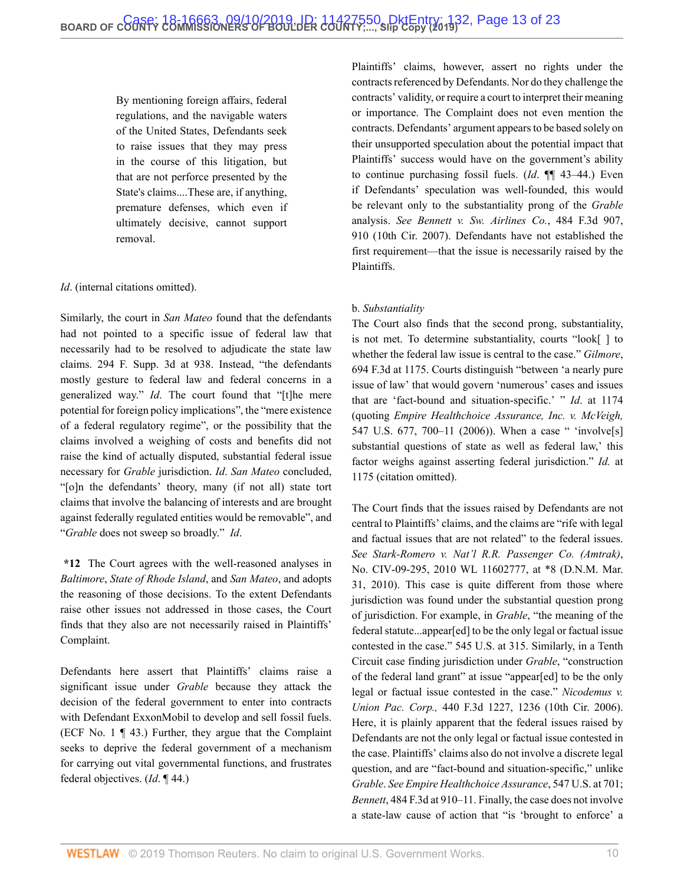By mentioning foreign affairs, federal regulations, and the navigable waters of the United States, Defendants seek to raise issues that they may press in the course of this litigation, but that are not perforce presented by the State's claims....These are, if anything, premature defenses, which even if ultimately decisive, cannot support removal.

#### *Id*. (internal citations omitted).

Similarly, the court in *San Mateo* found that the defendants had not pointed to a specific issue of federal law that necessarily had to be resolved to adjudicate the state law claims. [294 F. Supp. 3d at 938.](http://www.westlaw.com/Link/Document/FullText?findType=Y&serNum=2044125687&pubNum=0007903&originatingDoc=I5f277810d03f11e99c7da5bca11408d2&refType=RP&fi=co_pp_sp_7903_938&originationContext=document&vr=3.0&rs=cblt1.0&transitionType=DocumentItem&contextData=(sc.Search)#co_pp_sp_7903_938) Instead, "the defendants mostly gesture to federal law and federal concerns in a generalized way." *Id*. The court found that "[t]he mere potential for foreign policy implications", the "mere existence of a federal regulatory regime", or the possibility that the claims involved a weighing of costs and benefits did not raise the kind of actually disputed, substantial federal issue necessary for *Grable* jurisdiction. *Id*. *San Mateo* concluded, "[o]n the defendants' theory, many (if not all) state tort claims that involve the balancing of interests and are brought against federally regulated entities would be removable", and "*Grable* does not sweep so broadly." *Id*.

**\*12** The Court agrees with the well-reasoned analyses in *Baltimore*, *State of Rhode Island*, and *San Mateo*, and adopts the reasoning of those decisions. To the extent Defendants raise other issues not addressed in those cases, the Court finds that they also are not necessarily raised in Plaintiffs' Complaint.

Defendants here assert that Plaintiffs' claims raise a significant issue under *Grable* because they attack the decision of the federal government to enter into contracts with Defendant ExxonMobil to develop and sell fossil fuels. (ECF No. 1 ¶ 43.) Further, they argue that the Complaint seeks to deprive the federal government of a mechanism for carrying out vital governmental functions, and frustrates federal objectives. (*Id*. ¶ 44.)

Plaintiffs' claims, however, assert no rights under the contracts referenced by Defendants. Nor do they challenge the contracts' validity, or require a court to interpret their meaning or importance. The Complaint does not even mention the contracts. Defendants' argument appears to be based solely on their unsupported speculation about the potential impact that Plaintiffs' success would have on the government's ability to continue purchasing fossil fuels. (*Id*. ¶¶ 43–44.) Even if Defendants' speculation was well-founded, this would be relevant only to the substantiality prong of the *Grable* analysis. *See [Bennett v. Sw. Airlines Co.](http://www.westlaw.com/Link/Document/FullText?findType=Y&serNum=2012108150&pubNum=0000506&originatingDoc=I5f277810d03f11e99c7da5bca11408d2&refType=RP&fi=co_pp_sp_506_910&originationContext=document&vr=3.0&rs=cblt1.0&transitionType=DocumentItem&contextData=(sc.Search)#co_pp_sp_506_910)*, 484 F.3d 907, [910 \(10th Cir. 2007\)](http://www.westlaw.com/Link/Document/FullText?findType=Y&serNum=2012108150&pubNum=0000506&originatingDoc=I5f277810d03f11e99c7da5bca11408d2&refType=RP&fi=co_pp_sp_506_910&originationContext=document&vr=3.0&rs=cblt1.0&transitionType=DocumentItem&contextData=(sc.Search)#co_pp_sp_506_910). Defendants have not established the first requirement—that the issue is necessarily raised by the Plaintiffs.

#### b. *Substantiality*

The Court also finds that the second prong, substantiality, is not met. To determine substantiality, courts "look[ ] to whether the federal law issue is central to the case." *[Gilmore](http://www.westlaw.com/Link/Document/FullText?findType=Y&serNum=2028528193&pubNum=0000506&originatingDoc=I5f277810d03f11e99c7da5bca11408d2&refType=RP&fi=co_pp_sp_506_1175&originationContext=document&vr=3.0&rs=cblt1.0&transitionType=DocumentItem&contextData=(sc.Search)#co_pp_sp_506_1175)*, [694 F.3d at 1175.](http://www.westlaw.com/Link/Document/FullText?findType=Y&serNum=2028528193&pubNum=0000506&originatingDoc=I5f277810d03f11e99c7da5bca11408d2&refType=RP&fi=co_pp_sp_506_1175&originationContext=document&vr=3.0&rs=cblt1.0&transitionType=DocumentItem&contextData=(sc.Search)#co_pp_sp_506_1175) Courts distinguish "between 'a nearly pure issue of law' that would govern 'numerous' cases and issues that are 'fact-bound and situation-specific.' " *Id*[. at 1174](http://www.westlaw.com/Link/Document/FullText?findType=Y&serNum=2028528193&pubNum=0000506&originatingDoc=I5f277810d03f11e99c7da5bca11408d2&refType=RP&fi=co_pp_sp_506_1174&originationContext=document&vr=3.0&rs=cblt1.0&transitionType=DocumentItem&contextData=(sc.Search)#co_pp_sp_506_1174) (quoting *[Empire Healthchoice Assurance, Inc. v. McVeigh,](http://www.westlaw.com/Link/Document/FullText?findType=Y&serNum=2009354631&pubNum=0000780&originatingDoc=I5f277810d03f11e99c7da5bca11408d2&refType=RP&fi=co_pp_sp_780_700&originationContext=document&vr=3.0&rs=cblt1.0&transitionType=DocumentItem&contextData=(sc.Search)#co_pp_sp_780_700)* [547 U.S. 677, 700–11 \(2006\)\)](http://www.westlaw.com/Link/Document/FullText?findType=Y&serNum=2009354631&pubNum=0000780&originatingDoc=I5f277810d03f11e99c7da5bca11408d2&refType=RP&fi=co_pp_sp_780_700&originationContext=document&vr=3.0&rs=cblt1.0&transitionType=DocumentItem&contextData=(sc.Search)#co_pp_sp_780_700). When a case " 'involve<sup>[s]</sup> substantial questions of state as well as federal law,' this factor weighs against asserting federal jurisdiction." *[Id.](http://www.westlaw.com/Link/Document/FullText?findType=Y&serNum=2028528193&pubNum=0000506&originatingDoc=I5f277810d03f11e99c7da5bca11408d2&refType=RP&fi=co_pp_sp_506_1175&originationContext=document&vr=3.0&rs=cblt1.0&transitionType=DocumentItem&contextData=(sc.Search)#co_pp_sp_506_1175)* at [1175](http://www.westlaw.com/Link/Document/FullText?findType=Y&serNum=2028528193&pubNum=0000506&originatingDoc=I5f277810d03f11e99c7da5bca11408d2&refType=RP&fi=co_pp_sp_506_1175&originationContext=document&vr=3.0&rs=cblt1.0&transitionType=DocumentItem&contextData=(sc.Search)#co_pp_sp_506_1175) (citation omitted).

The Court finds that the issues raised by Defendants are not central to Plaintiffs' claims, and the claims are "rife with legal and factual issues that are not related" to the federal issues. *See [Stark-Romero v. Nat'l R.R. Passenger Co. \(Amtrak\)](http://www.westlaw.com/Link/Document/FullText?findType=Y&serNum=2044394993&pubNum=0000999&originatingDoc=I5f277810d03f11e99c7da5bca11408d2&refType=RP&originationContext=document&vr=3.0&rs=cblt1.0&transitionType=DocumentItem&contextData=(sc.Search))*, [No. CIV-09-295, 2010 WL 11602777, at \\*8 \(D.N.M. Mar.](http://www.westlaw.com/Link/Document/FullText?findType=Y&serNum=2044394993&pubNum=0000999&originatingDoc=I5f277810d03f11e99c7da5bca11408d2&refType=RP&originationContext=document&vr=3.0&rs=cblt1.0&transitionType=DocumentItem&contextData=(sc.Search)) [31, 2010\).](http://www.westlaw.com/Link/Document/FullText?findType=Y&serNum=2044394993&pubNum=0000999&originatingDoc=I5f277810d03f11e99c7da5bca11408d2&refType=RP&originationContext=document&vr=3.0&rs=cblt1.0&transitionType=DocumentItem&contextData=(sc.Search)) This case is quite different from those where jurisdiction was found under the substantial question prong of jurisdiction. For example, in *Grable*, "the meaning of the federal statute...appear[ed] to be the only legal or factual issue contested in the case." [545 U.S. at 315.](http://www.westlaw.com/Link/Document/FullText?findType=Y&serNum=2006791874&pubNum=0000780&originatingDoc=I5f277810d03f11e99c7da5bca11408d2&refType=RP&fi=co_pp_sp_780_315&originationContext=document&vr=3.0&rs=cblt1.0&transitionType=DocumentItem&contextData=(sc.Search)#co_pp_sp_780_315) Similarly, in a Tenth Circuit case finding jurisdiction under *Grable*, "construction of the federal land grant" at issue "appear[ed] to be the only legal or factual issue contested in the case." *[Nicodemus v.](http://www.westlaw.com/Link/Document/FullText?findType=Y&serNum=2008681553&pubNum=0000506&originatingDoc=I5f277810d03f11e99c7da5bca11408d2&refType=RP&fi=co_pp_sp_506_1236&originationContext=document&vr=3.0&rs=cblt1.0&transitionType=DocumentItem&contextData=(sc.Search)#co_pp_sp_506_1236) Union Pac. Corp.,* [440 F.3d 1227, 1236 \(10th Cir. 2006\)](http://www.westlaw.com/Link/Document/FullText?findType=Y&serNum=2008681553&pubNum=0000506&originatingDoc=I5f277810d03f11e99c7da5bca11408d2&refType=RP&fi=co_pp_sp_506_1236&originationContext=document&vr=3.0&rs=cblt1.0&transitionType=DocumentItem&contextData=(sc.Search)#co_pp_sp_506_1236). Here, it is plainly apparent that the federal issues raised by Defendants are not the only legal or factual issue contested in the case. Plaintiffs' claims also do not involve a discrete legal question, and are "fact-bound and situation-specific," unlike *Grable*. *See Empire [Healthchoice Assurance](http://www.westlaw.com/Link/Document/FullText?findType=Y&serNum=2009354631&pubNum=0000780&originatingDoc=I5f277810d03f11e99c7da5bca11408d2&refType=RP&fi=co_pp_sp_780_701&originationContext=document&vr=3.0&rs=cblt1.0&transitionType=DocumentItem&contextData=(sc.Search)#co_pp_sp_780_701)*, 547 U.S. at 701; *Bennett*[, 484 F.3d at 910–11](http://www.westlaw.com/Link/Document/FullText?findType=Y&serNum=2012108150&pubNum=0000506&originatingDoc=I5f277810d03f11e99c7da5bca11408d2&refType=RP&fi=co_pp_sp_506_910&originationContext=document&vr=3.0&rs=cblt1.0&transitionType=DocumentItem&contextData=(sc.Search)#co_pp_sp_506_910). Finally, the case does not involve a state-law cause of action that "is 'brought to enforce' a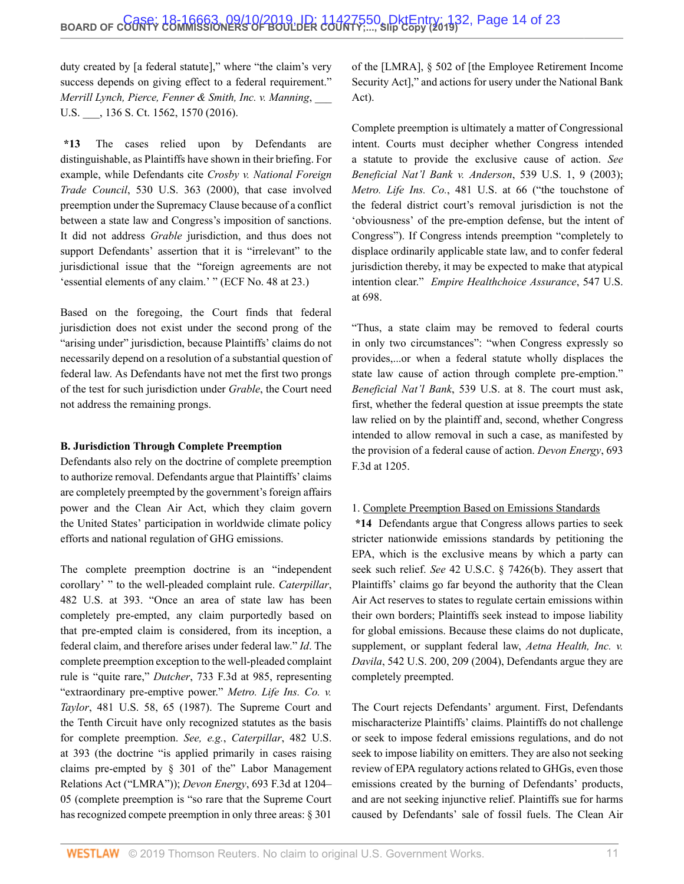duty created by [a federal statute]," where "the claim's very success depends on giving effect to a federal requirement." *[Merrill Lynch, Pierce, Fenner & Smith, Inc. v. Manning](http://www.westlaw.com/Link/Document/FullText?findType=Y&serNum=2038848367&pubNum=0000708&originatingDoc=I5f277810d03f11e99c7da5bca11408d2&refType=RP&fi=co_pp_sp_708_1570&originationContext=document&vr=3.0&rs=cblt1.0&transitionType=DocumentItem&contextData=(sc.Search)#co_pp_sp_708_1570)*, \_\_\_ U.S.  $\qquad$ , 136 S. Ct. 1562, 1570 (2016).

**\*13** The cases relied upon by Defendants are distinguishable, as Plaintiffs have shown in their briefing. For example, while Defendants cite *[Crosby v. National Foreign](http://www.westlaw.com/Link/Document/FullText?findType=Y&serNum=2000382973&pubNum=0000780&originatingDoc=I5f277810d03f11e99c7da5bca11408d2&refType=RP&originationContext=document&vr=3.0&rs=cblt1.0&transitionType=DocumentItem&contextData=(sc.Search)) Trade Council*[, 530 U.S. 363 \(2000\),](http://www.westlaw.com/Link/Document/FullText?findType=Y&serNum=2000382973&pubNum=0000780&originatingDoc=I5f277810d03f11e99c7da5bca11408d2&refType=RP&originationContext=document&vr=3.0&rs=cblt1.0&transitionType=DocumentItem&contextData=(sc.Search)) that case involved preemption under the Supremacy Clause because of a conflict between a state law and Congress's imposition of sanctions. It did not address *Grable* jurisdiction, and thus does not support Defendants' assertion that it is "irrelevant" to the jurisdictional issue that the "foreign agreements are not 'essential elements of any claim.' " (ECF No. 48 at 23.)

Based on the foregoing, the Court finds that federal jurisdiction does not exist under the second prong of the "arising under" jurisdiction, because Plaintiffs' claims do not necessarily depend on a resolution of a substantial question of federal law. As Defendants have not met the first two prongs of the test for such jurisdiction under *Grable*, the Court need not address the remaining prongs.

#### **B. Jurisdiction Through Complete Preemption**

Defendants also rely on the doctrine of complete preemption to authorize removal. Defendants argue that Plaintiffs' claims are completely preempted by the government's foreign affairs power and the Clean Air Act, which they claim govern the United States' participation in worldwide climate policy efforts and national regulation of GHG emissions.

The complete preemption doctrine is an "independent corollary' " to the well-pleaded complaint rule. *[Caterpillar](http://www.westlaw.com/Link/Document/FullText?findType=Y&serNum=1987071665&pubNum=0000780&originatingDoc=I5f277810d03f11e99c7da5bca11408d2&refType=RP&fi=co_pp_sp_780_393&originationContext=document&vr=3.0&rs=cblt1.0&transitionType=DocumentItem&contextData=(sc.Search)#co_pp_sp_780_393)*, [482 U.S. at 393.](http://www.westlaw.com/Link/Document/FullText?findType=Y&serNum=1987071665&pubNum=0000780&originatingDoc=I5f277810d03f11e99c7da5bca11408d2&refType=RP&fi=co_pp_sp_780_393&originationContext=document&vr=3.0&rs=cblt1.0&transitionType=DocumentItem&contextData=(sc.Search)#co_pp_sp_780_393) "Once an area of state law has been completely pre-empted, any claim purportedly based on that pre-empted claim is considered, from its inception, a federal claim, and therefore arises under federal law." *Id*. The complete preemption exception to the well-pleaded complaint rule is "quite rare," *Dutcher*[, 733 F.3d at 985,](http://www.westlaw.com/Link/Document/FullText?findType=Y&serNum=2031292125&pubNum=0000506&originatingDoc=I5f277810d03f11e99c7da5bca11408d2&refType=RP&fi=co_pp_sp_506_985&originationContext=document&vr=3.0&rs=cblt1.0&transitionType=DocumentItem&contextData=(sc.Search)#co_pp_sp_506_985) representing "extraordinary pre-emptive power." *Metro. [Life Ins. Co. v.](http://www.westlaw.com/Link/Document/FullText?findType=Y&serNum=1987042951&pubNum=0000780&originatingDoc=I5f277810d03f11e99c7da5bca11408d2&refType=RP&fi=co_pp_sp_780_65&originationContext=document&vr=3.0&rs=cblt1.0&transitionType=DocumentItem&contextData=(sc.Search)#co_pp_sp_780_65) Taylor*[, 481 U.S. 58, 65 \(1987\).](http://www.westlaw.com/Link/Document/FullText?findType=Y&serNum=1987042951&pubNum=0000780&originatingDoc=I5f277810d03f11e99c7da5bca11408d2&refType=RP&fi=co_pp_sp_780_65&originationContext=document&vr=3.0&rs=cblt1.0&transitionType=DocumentItem&contextData=(sc.Search)#co_pp_sp_780_65) The Supreme Court and the Tenth Circuit have only recognized statutes as the basis for complete preemption. *See, e.g.*, *[Caterpillar](http://www.westlaw.com/Link/Document/FullText?findType=Y&serNum=1987071665&pubNum=0000780&originatingDoc=I5f277810d03f11e99c7da5bca11408d2&refType=RP&fi=co_pp_sp_780_393&originationContext=document&vr=3.0&rs=cblt1.0&transitionType=DocumentItem&contextData=(sc.Search)#co_pp_sp_780_393)*, 482 U.S. [at 393](http://www.westlaw.com/Link/Document/FullText?findType=Y&serNum=1987071665&pubNum=0000780&originatingDoc=I5f277810d03f11e99c7da5bca11408d2&refType=RP&fi=co_pp_sp_780_393&originationContext=document&vr=3.0&rs=cblt1.0&transitionType=DocumentItem&contextData=(sc.Search)#co_pp_sp_780_393) (the doctrine "is applied primarily in cases raising claims pre-empted by § 301 of the" Labor Management Relations Act ("LMRA")); *Devon Energy*[, 693 F.3d at 1204–](http://www.westlaw.com/Link/Document/FullText?findType=Y&serNum=2028457138&pubNum=0000506&originatingDoc=I5f277810d03f11e99c7da5bca11408d2&refType=RP&fi=co_pp_sp_506_1204&originationContext=document&vr=3.0&rs=cblt1.0&transitionType=DocumentItem&contextData=(sc.Search)#co_pp_sp_506_1204) [05](http://www.westlaw.com/Link/Document/FullText?findType=Y&serNum=2028457138&pubNum=0000506&originatingDoc=I5f277810d03f11e99c7da5bca11408d2&refType=RP&fi=co_pp_sp_506_1204&originationContext=document&vr=3.0&rs=cblt1.0&transitionType=DocumentItem&contextData=(sc.Search)#co_pp_sp_506_1204) (complete preemption is "so rare that the Supreme Court has recognized compete preemption in only three areas: § 301

of the [LMRA], § 502 of [the Employee Retirement Income Security Act]," and actions for usery under the National Bank Act).

Complete preemption is ultimately a matter of Congressional intent. Courts must decipher whether Congress intended a statute to provide the exclusive cause of action. *See [Beneficial Nat'l Bank v. Anderson](http://www.westlaw.com/Link/Document/FullText?findType=Y&serNum=2003391166&pubNum=0000780&originatingDoc=I5f277810d03f11e99c7da5bca11408d2&refType=RP&fi=co_pp_sp_780_9&originationContext=document&vr=3.0&rs=cblt1.0&transitionType=DocumentItem&contextData=(sc.Search)#co_pp_sp_780_9)*, 539 U.S. 1, 9 (2003); *Metro. Life Ins. Co.*[, 481 U.S. at 66](http://www.westlaw.com/Link/Document/FullText?findType=Y&serNum=1987042951&pubNum=0000780&originatingDoc=I5f277810d03f11e99c7da5bca11408d2&refType=RP&fi=co_pp_sp_780_66&originationContext=document&vr=3.0&rs=cblt1.0&transitionType=DocumentItem&contextData=(sc.Search)#co_pp_sp_780_66) ("the touchstone of the federal district court's removal jurisdiction is not the 'obviousness' of the pre-emption defense, but the intent of Congress"). If Congress intends preemption "completely to displace ordinarily applicable state law, and to confer federal jurisdiction thereby, it may be expected to make that atypical intention clear." *[Empire Healthchoice Assurance](http://www.westlaw.com/Link/Document/FullText?findType=Y&serNum=2009354631&pubNum=0000780&originatingDoc=I5f277810d03f11e99c7da5bca11408d2&refType=RP&fi=co_pp_sp_780_698&originationContext=document&vr=3.0&rs=cblt1.0&transitionType=DocumentItem&contextData=(sc.Search)#co_pp_sp_780_698)*, 547 U.S. [at 698.](http://www.westlaw.com/Link/Document/FullText?findType=Y&serNum=2009354631&pubNum=0000780&originatingDoc=I5f277810d03f11e99c7da5bca11408d2&refType=RP&fi=co_pp_sp_780_698&originationContext=document&vr=3.0&rs=cblt1.0&transitionType=DocumentItem&contextData=(sc.Search)#co_pp_sp_780_698)

"Thus, a state claim may be removed to federal courts in only two circumstances": "when Congress expressly so provides,...or when a federal statute wholly displaces the state law cause of action through complete pre-emption." *[Beneficial Nat'l Bank](http://www.westlaw.com/Link/Document/FullText?findType=Y&serNum=2003391166&pubNum=0000780&originatingDoc=I5f277810d03f11e99c7da5bca11408d2&refType=RP&fi=co_pp_sp_780_8&originationContext=document&vr=3.0&rs=cblt1.0&transitionType=DocumentItem&contextData=(sc.Search)#co_pp_sp_780_8)*, 539 U.S. at 8. The court must ask, first, whether the federal question at issue preempts the state law relied on by the plaintiff and, second, whether Congress intended to allow removal in such a case, as manifested by the provision of a federal cause of action. *[Devon Energy](http://www.westlaw.com/Link/Document/FullText?findType=Y&serNum=2028457138&pubNum=0000506&originatingDoc=I5f277810d03f11e99c7da5bca11408d2&refType=RP&fi=co_pp_sp_506_1205&originationContext=document&vr=3.0&rs=cblt1.0&transitionType=DocumentItem&contextData=(sc.Search)#co_pp_sp_506_1205)*, 693 [F.3d at 1205](http://www.westlaw.com/Link/Document/FullText?findType=Y&serNum=2028457138&pubNum=0000506&originatingDoc=I5f277810d03f11e99c7da5bca11408d2&refType=RP&fi=co_pp_sp_506_1205&originationContext=document&vr=3.0&rs=cblt1.0&transitionType=DocumentItem&contextData=(sc.Search)#co_pp_sp_506_1205).

#### 1. Complete Preemption Based on Emissions Standards

**\*14** Defendants argue that Congress allows parties to seek stricter nationwide emissions standards by petitioning the EPA, which is the exclusive means by which a party can seek such relief. *See* [42 U.S.C. § 7426\(b\).](http://www.westlaw.com/Link/Document/FullText?findType=L&pubNum=1000546&cite=42USCAS7426&originatingDoc=I5f277810d03f11e99c7da5bca11408d2&refType=RB&originationContext=document&vr=3.0&rs=cblt1.0&transitionType=DocumentItem&contextData=(sc.Search)#co_pp_a83b000018c76) They assert that Plaintiffs' claims go far beyond the authority that the Clean Air Act reserves to states to regulate certain emissions within their own borders; Plaintiffs seek instead to impose liability for global emissions. Because these claims do not duplicate, supplement, or supplant federal law, *[Aetna Health, Inc. v.](http://www.westlaw.com/Link/Document/FullText?findType=Y&serNum=2004610956&pubNum=0000780&originatingDoc=I5f277810d03f11e99c7da5bca11408d2&refType=RP&fi=co_pp_sp_780_209&originationContext=document&vr=3.0&rs=cblt1.0&transitionType=DocumentItem&contextData=(sc.Search)#co_pp_sp_780_209) Davila*[, 542 U.S. 200, 209 \(2004\),](http://www.westlaw.com/Link/Document/FullText?findType=Y&serNum=2004610956&pubNum=0000780&originatingDoc=I5f277810d03f11e99c7da5bca11408d2&refType=RP&fi=co_pp_sp_780_209&originationContext=document&vr=3.0&rs=cblt1.0&transitionType=DocumentItem&contextData=(sc.Search)#co_pp_sp_780_209) Defendants argue they are completely preempted.

The Court rejects Defendants' argument. First, Defendants mischaracterize Plaintiffs' claims. Plaintiffs do not challenge or seek to impose federal emissions regulations, and do not seek to impose liability on emitters. They are also not seeking review of EPA regulatory actions related to GHGs, even those emissions created by the burning of Defendants' products, and are not seeking injunctive relief. Plaintiffs sue for harms caused by Defendants' sale of fossil fuels. The Clean Air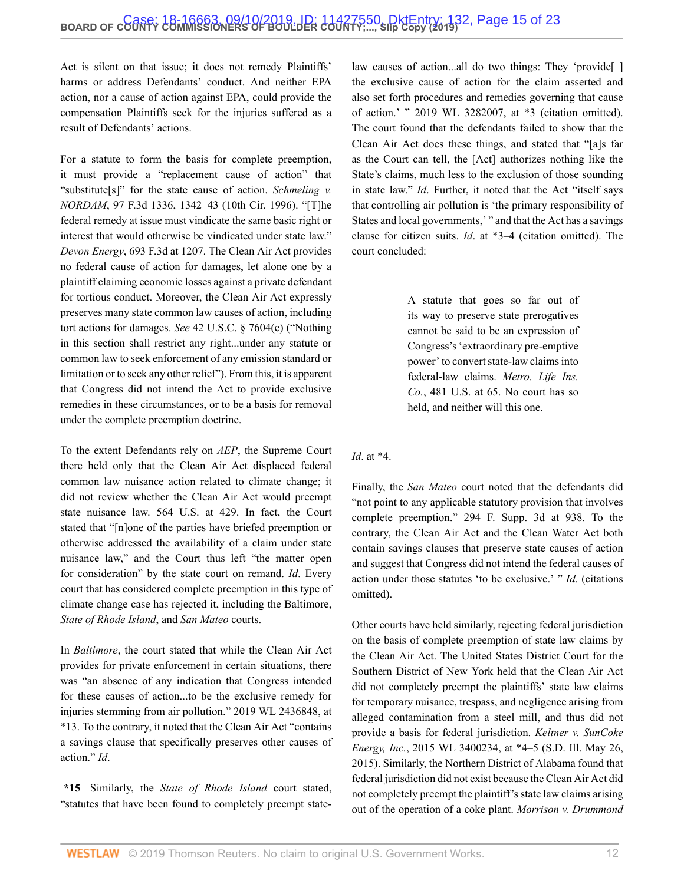Act is silent on that issue; it does not remedy Plaintiffs' harms or address Defendants' conduct. And neither EPA action, nor a cause of action against EPA, could provide the compensation Plaintiffs seek for the injuries suffered as a result of Defendants' actions.

For a statute to form the basis for complete preemption, it must provide a "replacement cause of action" that "substitute[s]" for the state cause of action. *[Schmeling v.](http://www.westlaw.com/Link/Document/FullText?findType=Y&serNum=1996225255&pubNum=0000506&originatingDoc=I5f277810d03f11e99c7da5bca11408d2&refType=RP&fi=co_pp_sp_506_1342&originationContext=document&vr=3.0&rs=cblt1.0&transitionType=DocumentItem&contextData=(sc.Search)#co_pp_sp_506_1342) NORDAM*[, 97 F.3d 1336, 1342–43 \(10th Cir. 1996\).](http://www.westlaw.com/Link/Document/FullText?findType=Y&serNum=1996225255&pubNum=0000506&originatingDoc=I5f277810d03f11e99c7da5bca11408d2&refType=RP&fi=co_pp_sp_506_1342&originationContext=document&vr=3.0&rs=cblt1.0&transitionType=DocumentItem&contextData=(sc.Search)#co_pp_sp_506_1342) "[T]he federal remedy at issue must vindicate the same basic right or interest that would otherwise be vindicated under state law." *Devon Energy*[, 693 F.3d at 1207](http://www.westlaw.com/Link/Document/FullText?findType=Y&serNum=2028457138&pubNum=0000506&originatingDoc=I5f277810d03f11e99c7da5bca11408d2&refType=RP&fi=co_pp_sp_506_1207&originationContext=document&vr=3.0&rs=cblt1.0&transitionType=DocumentItem&contextData=(sc.Search)#co_pp_sp_506_1207). The Clean Air Act provides no federal cause of action for damages, let alone one by a plaintiff claiming economic losses against a private defendant for tortious conduct. Moreover, the Clean Air Act expressly preserves many state common law causes of action, including tort actions for damages. *See* [42 U.S.C. § 7604\(e\)](http://www.westlaw.com/Link/Document/FullText?findType=L&pubNum=1000546&cite=42USCAS7604&originatingDoc=I5f277810d03f11e99c7da5bca11408d2&refType=RB&originationContext=document&vr=3.0&rs=cblt1.0&transitionType=DocumentItem&contextData=(sc.Search)#co_pp_7fdd00001ca15) ("Nothing in this section shall restrict any right...under any statute or common law to seek enforcement of any emission standard or limitation or to seek any other relief"). From this, it is apparent that Congress did not intend the Act to provide exclusive remedies in these circumstances, or to be a basis for removal under the complete preemption doctrine.

To the extent Defendants rely on *AEP*, the Supreme Court there held only that the Clean Air Act displaced federal common law nuisance action related to climate change; it did not review whether the Clean Air Act would preempt state nuisance law. [564 U.S. at 429.](http://www.westlaw.com/Link/Document/FullText?findType=Y&serNum=2025520220&pubNum=0000780&originatingDoc=I5f277810d03f11e99c7da5bca11408d2&refType=RP&fi=co_pp_sp_780_429&originationContext=document&vr=3.0&rs=cblt1.0&transitionType=DocumentItem&contextData=(sc.Search)#co_pp_sp_780_429) In fact, the Court stated that "[n]one of the parties have briefed preemption or otherwise addressed the availability of a claim under state nuisance law," and the Court thus left "the matter open for consideration" by the state court on remand. *Id*. Every court that has considered complete preemption in this type of climate change case has rejected it, including the Baltimore, *State of Rhode Island*, and *San Mateo* courts.

In *Baltimore*, the court stated that while the Clean Air Act provides for private enforcement in certain situations, there was "an absence of any indication that Congress intended for these causes of action...to be the exclusive remedy for injuries stemming from air pollution." [2019 WL 2436848, at](http://www.westlaw.com/Link/Document/FullText?findType=Y&serNum=2048466347&pubNum=0000999&originatingDoc=I5f277810d03f11e99c7da5bca11408d2&refType=RP&originationContext=document&vr=3.0&rs=cblt1.0&transitionType=DocumentItem&contextData=(sc.Search)) [\\*13](http://www.westlaw.com/Link/Document/FullText?findType=Y&serNum=2048466347&pubNum=0000999&originatingDoc=I5f277810d03f11e99c7da5bca11408d2&refType=RP&originationContext=document&vr=3.0&rs=cblt1.0&transitionType=DocumentItem&contextData=(sc.Search)). To the contrary, it noted that the Clean Air Act "contains a savings clause that specifically preserves other causes of action." *Id*.

**\*15** Similarly, the *State of Rhode Island* court stated, "statutes that have been found to completely preempt statelaw causes of action...all do two things: They 'provide[] the exclusive cause of action for the claim asserted and also set forth procedures and remedies governing that cause of action.' " [2019 WL 3282007, at \\*3](http://www.westlaw.com/Link/Document/FullText?findType=Y&serNum=2048741931&pubNum=0000999&originatingDoc=I5f277810d03f11e99c7da5bca11408d2&refType=RP&originationContext=document&vr=3.0&rs=cblt1.0&transitionType=DocumentItem&contextData=(sc.Search)) (citation omitted). The court found that the defendants failed to show that the Clean Air Act does these things, and stated that "[a]s far as the Court can tell, the [Act] authorizes nothing like the State's claims, much less to the exclusion of those sounding in state law." *Id*. Further, it noted that the Act "itself says that controlling air pollution is 'the primary responsibility of States and local governments,' " and that the Act has a savings clause for citizen suits. *Id*[. at \\*3–4](http://www.westlaw.com/Link/Document/FullText?findType=Y&serNum=2048741931&pubNum=0000999&originatingDoc=I5f277810d03f11e99c7da5bca11408d2&refType=RP&originationContext=document&vr=3.0&rs=cblt1.0&transitionType=DocumentItem&contextData=(sc.Search)) (citation omitted). The court concluded:

> A statute that goes so far out of its way to preserve state prerogatives cannot be said to be an expression of Congress's 'extraordinary pre-emptive power' to convert state-law claims into federal-law claims. *[Metro. Life Ins.](http://www.westlaw.com/Link/Document/FullText?findType=Y&serNum=1987042951&pubNum=0000780&originatingDoc=I5f277810d03f11e99c7da5bca11408d2&refType=RP&fi=co_pp_sp_780_65&originationContext=document&vr=3.0&rs=cblt1.0&transitionType=DocumentItem&contextData=(sc.Search)#co_pp_sp_780_65) Co.*[, 481 U.S. at 65](http://www.westlaw.com/Link/Document/FullText?findType=Y&serNum=1987042951&pubNum=0000780&originatingDoc=I5f277810d03f11e99c7da5bca11408d2&refType=RP&fi=co_pp_sp_780_65&originationContext=document&vr=3.0&rs=cblt1.0&transitionType=DocumentItem&contextData=(sc.Search)#co_pp_sp_780_65). No court has so held, and neither will this one.

#### *Id*. at \*4.

Finally, the *San Mateo* court noted that the defendants did "not point to any applicable statutory provision that involves complete preemption." [294 F. Supp. 3d at 938](http://www.westlaw.com/Link/Document/FullText?findType=Y&serNum=2044125687&pubNum=0007903&originatingDoc=I5f277810d03f11e99c7da5bca11408d2&refType=RP&fi=co_pp_sp_7903_938&originationContext=document&vr=3.0&rs=cblt1.0&transitionType=DocumentItem&contextData=(sc.Search)#co_pp_sp_7903_938). To the contrary, the Clean Air Act and the Clean Water Act both contain savings clauses that preserve state causes of action and suggest that Congress did not intend the federal causes of action under those statutes 'to be exclusive.' " *Id*. (citations omitted).

Other courts have held similarly, rejecting federal jurisdiction on the basis of complete preemption of state law claims by the Clean Air Act. The United States District Court for the Southern District of New York held that the Clean Air Act did not completely preempt the plaintiffs' state law claims for temporary nuisance, trespass, and negligence arising from alleged contamination from a steel mill, and thus did not provide a basis for federal jurisdiction. *[Keltner v. SunCoke](http://www.westlaw.com/Link/Document/FullText?findType=Y&serNum=2036353209&pubNum=0000999&originatingDoc=I5f277810d03f11e99c7da5bca11408d2&refType=RP&originationContext=document&vr=3.0&rs=cblt1.0&transitionType=DocumentItem&contextData=(sc.Search)) Energy, Inc.*[, 2015 WL 3400234, at \\*4–5 \(S.D. Ill. May 26,](http://www.westlaw.com/Link/Document/FullText?findType=Y&serNum=2036353209&pubNum=0000999&originatingDoc=I5f277810d03f11e99c7da5bca11408d2&refType=RP&originationContext=document&vr=3.0&rs=cblt1.0&transitionType=DocumentItem&contextData=(sc.Search)) [2015\)](http://www.westlaw.com/Link/Document/FullText?findType=Y&serNum=2036353209&pubNum=0000999&originatingDoc=I5f277810d03f11e99c7da5bca11408d2&refType=RP&originationContext=document&vr=3.0&rs=cblt1.0&transitionType=DocumentItem&contextData=(sc.Search)). Similarly, the Northern District of Alabama found that federal jurisdiction did not exist because the Clean Air Act did not completely preempt the plaintiff's state law claims arising out of the operation of a coke plant. *Morrison v. Drummond*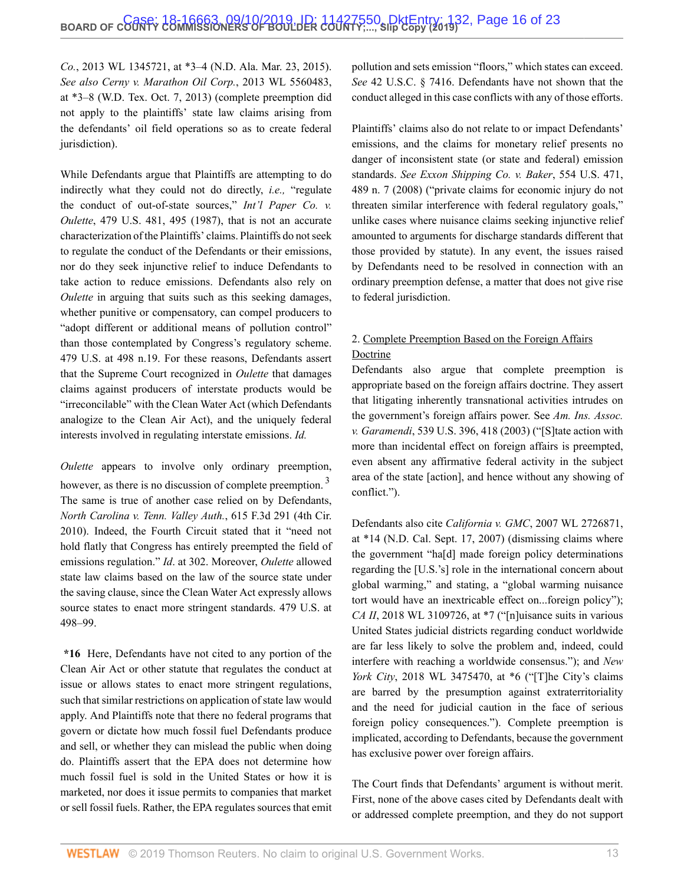*Co.*, 2013 WL 1345721, at \*3–4 (N.D. Ala. Mar. 23, 2015). *See also [Cerny v. Marathon Oil Corp.](http://www.westlaw.com/Link/Document/FullText?findType=Y&serNum=2031742325&pubNum=0000999&originatingDoc=I5f277810d03f11e99c7da5bca11408d2&refType=RP&originationContext=document&vr=3.0&rs=cblt1.0&transitionType=DocumentItem&contextData=(sc.Search))*, 2013 WL 5560483, [at \\*3–8 \(W.D. Tex. Oct. 7, 2013\)](http://www.westlaw.com/Link/Document/FullText?findType=Y&serNum=2031742325&pubNum=0000999&originatingDoc=I5f277810d03f11e99c7da5bca11408d2&refType=RP&originationContext=document&vr=3.0&rs=cblt1.0&transitionType=DocumentItem&contextData=(sc.Search)) (complete preemption did not apply to the plaintiffs' state law claims arising from the defendants' oil field operations so as to create federal jurisdiction).

While Defendants argue that Plaintiffs are attempting to do indirectly what they could not do directly, *i.e.,* "regulate the conduct of out-of-state sources," *[Int'l Paper Co.](http://www.westlaw.com/Link/Document/FullText?findType=Y&serNum=1987008418&pubNum=0000780&originatingDoc=I5f277810d03f11e99c7da5bca11408d2&refType=RP&fi=co_pp_sp_780_495&originationContext=document&vr=3.0&rs=cblt1.0&transitionType=DocumentItem&contextData=(sc.Search)#co_pp_sp_780_495) v. Oulette*[, 479 U.S. 481, 495 \(1987\),](http://www.westlaw.com/Link/Document/FullText?findType=Y&serNum=1987008418&pubNum=0000780&originatingDoc=I5f277810d03f11e99c7da5bca11408d2&refType=RP&fi=co_pp_sp_780_495&originationContext=document&vr=3.0&rs=cblt1.0&transitionType=DocumentItem&contextData=(sc.Search)#co_pp_sp_780_495) that is not an accurate characterization of the Plaintiffs' claims. Plaintiffs do not seek to regulate the conduct of the Defendants or their emissions, nor do they seek injunctive relief to induce Defendants to take action to reduce emissions. Defendants also rely on *Oulette* in arguing that suits such as this seeking damages, whether punitive or compensatory, can compel producers to "adopt different or additional means of pollution control" than those contemplated by [Congress's regulatory scheme.](http://www.westlaw.com/Link/Document/FullText?findType=Y&serNum=1987008418&pubNum=0000780&originatingDoc=I5f277810d03f11e99c7da5bca11408d2&refType=RP&fi=co_pp_sp_780_498&originationContext=document&vr=3.0&rs=cblt1.0&transitionType=DocumentItem&contextData=(sc.Search)#co_pp_sp_780_498) [479 U.S. at 498 n.19](http://www.westlaw.com/Link/Document/FullText?findType=Y&serNum=1987008418&pubNum=0000780&originatingDoc=I5f277810d03f11e99c7da5bca11408d2&refType=RP&fi=co_pp_sp_780_498&originationContext=document&vr=3.0&rs=cblt1.0&transitionType=DocumentItem&contextData=(sc.Search)#co_pp_sp_780_498). For these reasons, Defendants assert that the Supreme Court recognized in *Oulette* that damages claims against producers of interstate products would be "irreconcilable" with the Clean Water Act (which Defendants analogize to the Clean Air Act), and the uniquely federal interests involved in regulating interstate emissions. *Id.*

*Oulette* appears to involve only ordinary preemption, however, as there is no discussion of complete preemption.<sup>[3](#page-22-2)</sup> The same is true of another case relied on by Defendants, *[North Carolina v. Tenn. Valley Auth.](http://www.westlaw.com/Link/Document/FullText?findType=Y&serNum=2022606416&pubNum=0000506&originatingDoc=I5f277810d03f11e99c7da5bca11408d2&refType=RP&originationContext=document&vr=3.0&rs=cblt1.0&transitionType=DocumentItem&contextData=(sc.Search))*, 615 F.3d 291 (4th Cir. [2010\)](http://www.westlaw.com/Link/Document/FullText?findType=Y&serNum=2022606416&pubNum=0000506&originatingDoc=I5f277810d03f11e99c7da5bca11408d2&refType=RP&originationContext=document&vr=3.0&rs=cblt1.0&transitionType=DocumentItem&contextData=(sc.Search)). Indeed, the Fourth Circuit stated that it "need not hold flatly that Congress has entirely preempted the field of emissions regulation." *Id*[. at 302](http://www.westlaw.com/Link/Document/FullText?findType=Y&serNum=2022606416&pubNum=0000506&originatingDoc=I5f277810d03f11e99c7da5bca11408d2&refType=RP&fi=co_pp_sp_506_302&originationContext=document&vr=3.0&rs=cblt1.0&transitionType=DocumentItem&contextData=(sc.Search)#co_pp_sp_506_302). Moreover, *Oulette* allowed state law claims based on the law of the source state under the saving clause, since the Clean Water Act expressly allows source states to enact more stringent standards. [479 U.S. at](http://www.westlaw.com/Link/Document/FullText?findType=Y&serNum=1987008418&pubNum=0000780&originatingDoc=I5f277810d03f11e99c7da5bca11408d2&refType=RP&fi=co_pp_sp_780_498&originationContext=document&vr=3.0&rs=cblt1.0&transitionType=DocumentItem&contextData=(sc.Search)#co_pp_sp_780_498) [498–99](http://www.westlaw.com/Link/Document/FullText?findType=Y&serNum=1987008418&pubNum=0000780&originatingDoc=I5f277810d03f11e99c7da5bca11408d2&refType=RP&fi=co_pp_sp_780_498&originationContext=document&vr=3.0&rs=cblt1.0&transitionType=DocumentItem&contextData=(sc.Search)#co_pp_sp_780_498).

**\*16** Here, Defendants have not cited to any portion of the Clean Air Act or other statute that regulates the conduct at issue or allows states to enact more stringent regulations, such that similar restrictions on application of state law would apply. And Plaintiffs note that there no federal programs that govern or dictate how much fossil fuel Defendants produce and sell, or whether they can mislead the public when doing do. Plaintiffs assert that the EPA does not determine how much fossil fuel is sold in the United States or how it is marketed, nor does it issue permits to companies that market or sell fossil fuels. Rather, the EPA regulates sources that emit pollution and sets emission "floors," which states can exceed. *See* [42 U.S.C. § 7416.](http://www.westlaw.com/Link/Document/FullText?findType=L&pubNum=1000546&cite=42USCAS7416&originatingDoc=I5f277810d03f11e99c7da5bca11408d2&refType=LQ&originationContext=document&vr=3.0&rs=cblt1.0&transitionType=DocumentItem&contextData=(sc.Search)) Defendants have not shown that the conduct alleged in this case conflicts with any of those efforts.

Plaintiffs' claims also do not relate to or impact Defendants' emissions, and the claims for monetary relief presents no danger of inconsistent state (or state and federal) emission standards. *See [Exxon Shipping Co. v. Baker](http://www.westlaw.com/Link/Document/FullText?findType=Y&serNum=2016379504&pubNum=0000780&originatingDoc=I5f277810d03f11e99c7da5bca11408d2&refType=RP&fi=co_pp_sp_780_489&originationContext=document&vr=3.0&rs=cblt1.0&transitionType=DocumentItem&contextData=(sc.Search)#co_pp_sp_780_489)*, 554 U.S. 471, [489 n. 7 \(2008\)](http://www.westlaw.com/Link/Document/FullText?findType=Y&serNum=2016379504&pubNum=0000780&originatingDoc=I5f277810d03f11e99c7da5bca11408d2&refType=RP&fi=co_pp_sp_780_489&originationContext=document&vr=3.0&rs=cblt1.0&transitionType=DocumentItem&contextData=(sc.Search)#co_pp_sp_780_489) ("private claims for economic injury do not threaten similar interference with federal regulatory goals," unlike cases where nuisance claims seeking injunctive relief amounted to arguments for discharge standards different that those provided by statute). In any event, the issues raised by Defendants need to be resolved in connection with an ordinary preemption defense, a matter that does not give rise to federal jurisdiction.

# 2. Complete Preemption Based on the Foreign Affairs Doctrine

Defendants also argue that complete preemption is appropriate based on the foreign affairs doctrine. They assert that litigating inherently transnational activities intrudes on the government's foreign affairs power. See *[Am. Ins. Assoc.](http://www.westlaw.com/Link/Document/FullText?findType=Y&serNum=2003444552&pubNum=0000780&originatingDoc=I5f277810d03f11e99c7da5bca11408d2&refType=RP&fi=co_pp_sp_780_418&originationContext=document&vr=3.0&rs=cblt1.0&transitionType=DocumentItem&contextData=(sc.Search)#co_pp_sp_780_418) v. Garamendi*[, 539 U.S. 396, 418 \(2003\)](http://www.westlaw.com/Link/Document/FullText?findType=Y&serNum=2003444552&pubNum=0000780&originatingDoc=I5f277810d03f11e99c7da5bca11408d2&refType=RP&fi=co_pp_sp_780_418&originationContext=document&vr=3.0&rs=cblt1.0&transitionType=DocumentItem&contextData=(sc.Search)#co_pp_sp_780_418) ("[S]tate action with more than incidental effect on foreign affairs is preempted, even absent any affirmative federal activity in the subject area of the state [action], and hence without any showing of conflict.").

<span id="page-15-0"></span>Defendants also cite *California v. GMC*[, 2007 WL 2726871,](http://www.westlaw.com/Link/Document/FullText?findType=Y&serNum=2013221797&pubNum=0000999&originatingDoc=I5f277810d03f11e99c7da5bca11408d2&refType=RP&originationContext=document&vr=3.0&rs=cblt1.0&transitionType=DocumentItem&contextData=(sc.Search)) [at \\*14 \(N.D. Cal. Sept. 17, 2007\)](http://www.westlaw.com/Link/Document/FullText?findType=Y&serNum=2013221797&pubNum=0000999&originatingDoc=I5f277810d03f11e99c7da5bca11408d2&refType=RP&originationContext=document&vr=3.0&rs=cblt1.0&transitionType=DocumentItem&contextData=(sc.Search)) (dismissing claims where the government "ha[d] made foreign policy determinations regarding the [U.S.'s] role in the international concern about global warming," and stating, a "global warming nuisance tort would have an inextricable effect on...foreign policy"); *CA II*, 2018 WL 3109726, at  $*7$  ("In uisance suits in various United States judicial districts regarding conduct worldwide are far less likely to solve the problem and, indeed, could interfere with reaching a worldwide consensus."); and *[New](http://www.westlaw.com/Link/Document/FullText?findType=Y&serNum=2045062370&pubNum=0000999&originatingDoc=I5f277810d03f11e99c7da5bca11408d2&refType=RP&originationContext=document&vr=3.0&rs=cblt1.0&transitionType=DocumentItem&contextData=(sc.Search)) York City*[, 2018 WL 3475470, at \\*6](http://www.westlaw.com/Link/Document/FullText?findType=Y&serNum=2045062370&pubNum=0000999&originatingDoc=I5f277810d03f11e99c7da5bca11408d2&refType=RP&originationContext=document&vr=3.0&rs=cblt1.0&transitionType=DocumentItem&contextData=(sc.Search)) ("[T]he City's claims are barred by the presumption against extraterritoriality and the need for judicial caution in the face of serious foreign policy consequences."). Complete preemption is implicated, according to Defendants, because the government has exclusive power over foreign affairs.

The Court finds that Defendants' argument is without merit. First, none of the above cases cited by Defendants dealt with or addressed complete preemption, and they do not support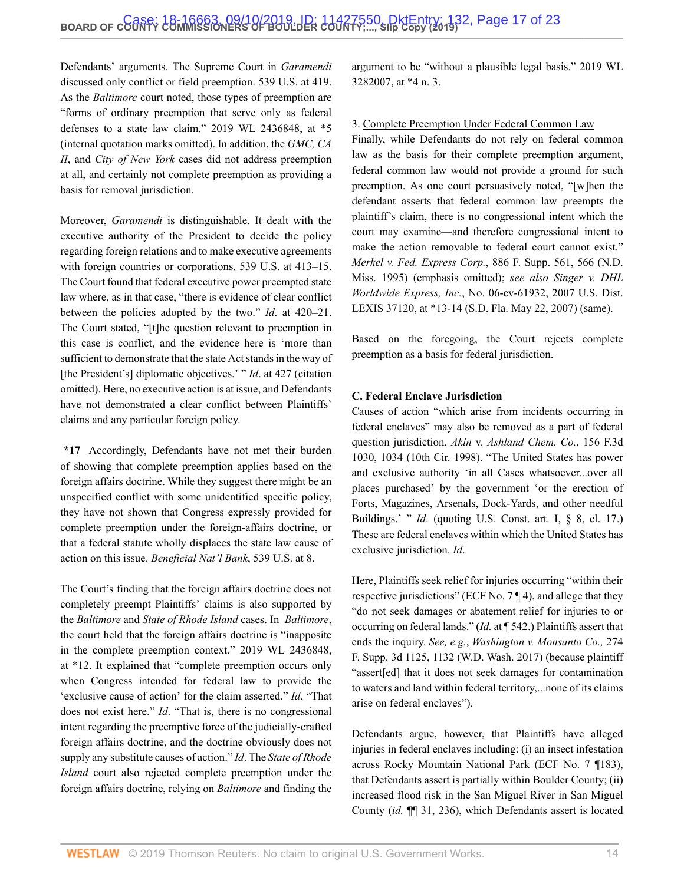Defendants' arguments. The Supreme Court in *Garamendi* discussed only conflict or field preemption. [539 U.S. at 419](http://www.westlaw.com/Link/Document/FullText?findType=Y&serNum=2003444552&pubNum=0000780&originatingDoc=I5f277810d03f11e99c7da5bca11408d2&refType=RP&fi=co_pp_sp_780_419&originationContext=document&vr=3.0&rs=cblt1.0&transitionType=DocumentItem&contextData=(sc.Search)#co_pp_sp_780_419). As the *Baltimore* court noted, those types of preemption are "forms of ordinary preemption that serve only as federal defenses to a state law claim." [2019 WL 2436848, at \\*5](http://www.westlaw.com/Link/Document/FullText?findType=Y&serNum=2048466347&pubNum=0000999&originatingDoc=I5f277810d03f11e99c7da5bca11408d2&refType=RP&originationContext=document&vr=3.0&rs=cblt1.0&transitionType=DocumentItem&contextData=(sc.Search)) (internal quotation marks omitted). In addition, the *GMC, CA II*, and *City of New York* cases did not address preemption at all, and certainly not complete preemption as providing a basis for removal jurisdiction.

Moreover, *Garamendi* is distinguishable. It dealt with the executive authority of the President to decide the policy regarding foreign relations and to make executive agreements with foreign countries or corporations. [539 U.S. at 413–15](http://www.westlaw.com/Link/Document/FullText?findType=Y&serNum=2003444552&pubNum=0000780&originatingDoc=I5f277810d03f11e99c7da5bca11408d2&refType=RP&fi=co_pp_sp_780_413&originationContext=document&vr=3.0&rs=cblt1.0&transitionType=DocumentItem&contextData=(sc.Search)#co_pp_sp_780_413). The Court found that federal executive power preempted state law where, as in that case, "there is evidence of clear conflict between the policies adopted by the two." *Id*[. at 420–21](http://www.westlaw.com/Link/Document/FullText?findType=Y&serNum=2003444552&pubNum=0000780&originatingDoc=I5f277810d03f11e99c7da5bca11408d2&refType=RP&fi=co_pp_sp_780_420&originationContext=document&vr=3.0&rs=cblt1.0&transitionType=DocumentItem&contextData=(sc.Search)#co_pp_sp_780_420). The Court stated, "[t]he question relevant to preemption in this case is conflict, and the evidence here is 'more than sufficient to demonstrate that the state Act stands in the way of [the President's] diplomatic objectives.' " *Id.* at 427 (citation omitted). Here, no executive action is at issue, and Defendants have not demonstrated a clear conflict between Plaintiffs' claims and any particular foreign policy.

**\*17** Accordingly, Defendants have not met their burden of showing that complete preemption applies based on the foreign affairs doctrine. While they suggest there might be an unspecified conflict with some unidentified specific policy, they have not shown that Congress expressly provided for complete preemption under the foreign-affairs doctrine, or that a federal statute wholly displaces the state law cause of action on this issue. *[Beneficial Nat'l Bank](http://www.westlaw.com/Link/Document/FullText?findType=Y&serNum=2003391166&pubNum=0000780&originatingDoc=I5f277810d03f11e99c7da5bca11408d2&refType=RP&fi=co_pp_sp_780_8&originationContext=document&vr=3.0&rs=cblt1.0&transitionType=DocumentItem&contextData=(sc.Search)#co_pp_sp_780_8)*, 539 U.S. at 8.

The Court's finding that the foreign affairs doctrine does not completely preempt Plaintiffs' claims is also supported by the *Baltimore* and *State of Rhode Island* cases. In *Baltimore*, the court held that the foreign affairs doctrine is "inapposite in the complete preemption context." [2019 WL 2436848,](http://www.westlaw.com/Link/Document/FullText?findType=Y&serNum=2048466347&pubNum=0000999&originatingDoc=I5f277810d03f11e99c7da5bca11408d2&refType=RP&originationContext=document&vr=3.0&rs=cblt1.0&transitionType=DocumentItem&contextData=(sc.Search)) [at \\*12.](http://www.westlaw.com/Link/Document/FullText?findType=Y&serNum=2048466347&pubNum=0000999&originatingDoc=I5f277810d03f11e99c7da5bca11408d2&refType=RP&originationContext=document&vr=3.0&rs=cblt1.0&transitionType=DocumentItem&contextData=(sc.Search)) It explained that "complete preemption occurs only when Congress intended for federal law to provide the 'exclusive cause of action' for the claim asserted." *Id*. "That does not exist here." *Id*. "That is, there is no congressional intent regarding the preemptive force of the judicially-crafted foreign affairs doctrine, and the doctrine obviously does not supply any substitute causes of action." *Id*. The *State of Rhode Island* court also rejected complete preemption under the foreign affairs doctrine, relying on *Baltimore* and finding the

argument to be "without a plausible legal basis." [2019 WL](http://www.westlaw.com/Link/Document/FullText?findType=Y&serNum=2048741931&pubNum=0000999&originatingDoc=I5f277810d03f11e99c7da5bca11408d2&refType=RP&originationContext=document&vr=3.0&rs=cblt1.0&transitionType=DocumentItem&contextData=(sc.Search)) [3282007, at \\*4 n. 3](http://www.westlaw.com/Link/Document/FullText?findType=Y&serNum=2048741931&pubNum=0000999&originatingDoc=I5f277810d03f11e99c7da5bca11408d2&refType=RP&originationContext=document&vr=3.0&rs=cblt1.0&transitionType=DocumentItem&contextData=(sc.Search)).

#### 3. Complete Preemption Under Federal Common Law

Finally, while Defendants do not rely on federal common law as the basis for their complete preemption argument, federal common law would not provide a ground for such preemption. As one court persuasively noted, "[w]hen the defendant asserts that federal common law preempts the plaintiff's claim, there is no congressional intent which the court may examine—and therefore congressional intent to make the action removable to federal court cannot exist." *Merkel v. Fed. Express Corp.*[, 886 F. Supp. 561, 566 \(N.D.](http://www.westlaw.com/Link/Document/FullText?findType=Y&serNum=1995108188&pubNum=0000345&originatingDoc=I5f277810d03f11e99c7da5bca11408d2&refType=RP&fi=co_pp_sp_345_566&originationContext=document&vr=3.0&rs=cblt1.0&transitionType=DocumentItem&contextData=(sc.Search)#co_pp_sp_345_566) [Miss. 1995\)](http://www.westlaw.com/Link/Document/FullText?findType=Y&serNum=1995108188&pubNum=0000345&originatingDoc=I5f277810d03f11e99c7da5bca11408d2&refType=RP&fi=co_pp_sp_345_566&originationContext=document&vr=3.0&rs=cblt1.0&transitionType=DocumentItem&contextData=(sc.Search)#co_pp_sp_345_566) (emphasis omitted); *see also Singer v. DHL Worldwide Express, Inc.*, No. 06-cv-61932, 2007 U.S. Dist. LEXIS 37120, at \*13-14 (S.D. Fla. May 22, 2007) (same).

Based on the foregoing, the Court rejects complete preemption as a basis for federal jurisdiction.

#### **C. Federal Enclave Jurisdiction**

Causes of action "which arise from incidents occurring in federal enclaves" may also be removed as a part of federal question jurisdiction. *Akin* v. *[Ashland Chem. Co.](http://www.westlaw.com/Link/Document/FullText?findType=Y&serNum=1998191104&pubNum=0000506&originatingDoc=I5f277810d03f11e99c7da5bca11408d2&refType=RP&fi=co_pp_sp_506_1034&originationContext=document&vr=3.0&rs=cblt1.0&transitionType=DocumentItem&contextData=(sc.Search)#co_pp_sp_506_1034)*, 156 F.3d [1030, 1034 \(10th Cir. 1998\).](http://www.westlaw.com/Link/Document/FullText?findType=Y&serNum=1998191104&pubNum=0000506&originatingDoc=I5f277810d03f11e99c7da5bca11408d2&refType=RP&fi=co_pp_sp_506_1034&originationContext=document&vr=3.0&rs=cblt1.0&transitionType=DocumentItem&contextData=(sc.Search)#co_pp_sp_506_1034) "The United States has power and exclusive authority 'in all Cases whatsoever...over all places purchased' by the government 'or the erection of Forts, Magazines, Arsenals, Dock-Yards, and other needful Buildings.' " *Id*. (quoting [U.S. Const. art. I, § 8, cl. 17](http://www.westlaw.com/Link/Document/FullText?findType=L&pubNum=1000583&cite=USCOARTIS8CL17&originatingDoc=I5f277810d03f11e99c7da5bca11408d2&refType=LQ&originationContext=document&vr=3.0&rs=cblt1.0&transitionType=DocumentItem&contextData=(sc.Search)).) These are federal enclaves within which the United States has exclusive jurisdiction. *Id*.

Here, Plaintiffs seek relief for injuries occurring "within their respective jurisdictions" (ECF No. 7 ¶ 4), and allege that they "do not seek damages or abatement relief for injuries to or occurring on federal lands." (*Id.* at ¶ 542.) Plaintiffs assert that ends the inquiry. *See, e.g.*, *[Washington v. Monsanto Co.,](http://www.westlaw.com/Link/Document/FullText?findType=Y&serNum=2042363972&pubNum=0007903&originatingDoc=I5f277810d03f11e99c7da5bca11408d2&refType=RP&fi=co_pp_sp_7903_1132&originationContext=document&vr=3.0&rs=cblt1.0&transitionType=DocumentItem&contextData=(sc.Search)#co_pp_sp_7903_1132)* 274 [F. Supp. 3d 1125, 1132 \(W.D. Wash. 2017\)](http://www.westlaw.com/Link/Document/FullText?findType=Y&serNum=2042363972&pubNum=0007903&originatingDoc=I5f277810d03f11e99c7da5bca11408d2&refType=RP&fi=co_pp_sp_7903_1132&originationContext=document&vr=3.0&rs=cblt1.0&transitionType=DocumentItem&contextData=(sc.Search)#co_pp_sp_7903_1132) (because plaintiff "assert[ed] that it does not seek damages for contamination to waters and land within federal territory,...none of its claims arise on federal enclaves").

Defendants argue, however, that Plaintiffs have alleged injuries in federal enclaves including: (i) an insect infestation across Rocky Mountain National Park (ECF No. 7 ¶183), that Defendants assert is partially within Boulder County; (ii) increased flood risk in the San Miguel River in San Miguel County (*id.* ¶¶ 31, 236), which Defendants assert is located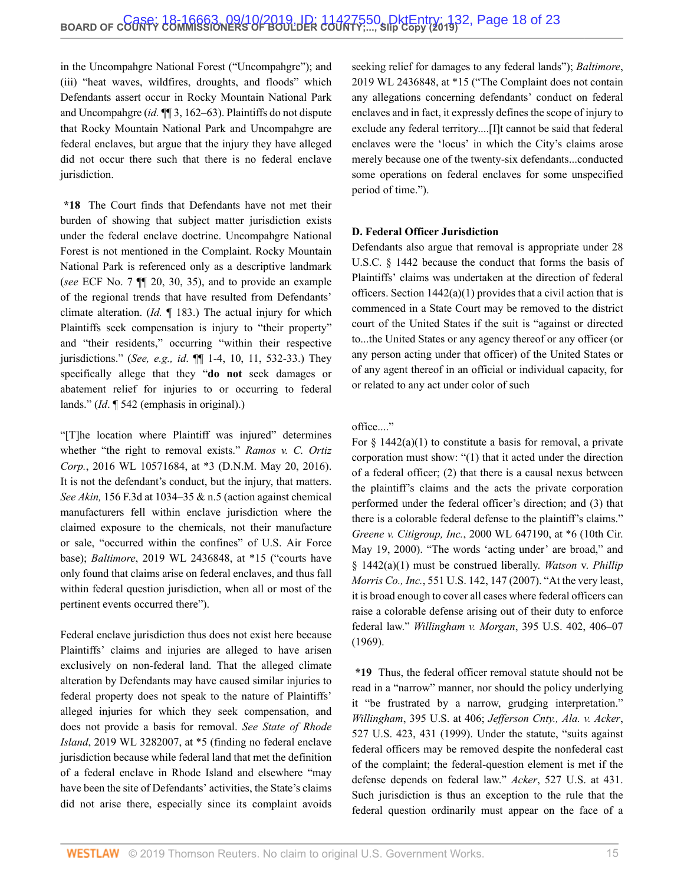in the Uncompahgre National Forest ("Uncompahgre"); and (iii) "heat waves, wildfires, droughts, and floods" which Defendants assert occur in Rocky Mountain National Park and Uncompahgre (*id.* ¶¶ 3, 162–63). Plaintiffs do not dispute that Rocky Mountain National Park and Uncompahgre are federal enclaves, but argue that the injury they have alleged did not occur there such that there is no federal enclave jurisdiction.

**\*18** The Court finds that Defendants have not met their burden of showing that subject matter jurisdiction exists under the federal enclave doctrine. Uncompahgre National Forest is not mentioned in the Complaint. Rocky Mountain National Park is referenced only as a descriptive landmark (*see* ECF No. 7 ¶¶ 20, 30, 35), and to provide an example of the regional trends that have resulted from Defendants' climate alteration. (*Id.* ¶ 183.) The actual injury for which Plaintiffs seek compensation is injury to "their property" and "their residents," occurring "within their respective jurisdictions." (*See, e.g., id*. ¶¶ 1-4, 10, 11, 532-33.) They specifically allege that they "**do not** seek damages or abatement relief for injuries to or occurring to federal lands." (*Id*. ¶ 542 (emphasis in original).)

"[T]he location where Plaintiff was injured" determines whether "the right to removal exists." *[Ramos v. C. Ortiz](http://www.westlaw.com/Link/Document/FullText?findType=Y&serNum=2043209469&pubNum=0000999&originatingDoc=I5f277810d03f11e99c7da5bca11408d2&refType=RP&originationContext=document&vr=3.0&rs=cblt1.0&transitionType=DocumentItem&contextData=(sc.Search)) Corp.*[, 2016 WL 10571684, at \\*3 \(D.N.M. May 20, 2016\)](http://www.westlaw.com/Link/Document/FullText?findType=Y&serNum=2043209469&pubNum=0000999&originatingDoc=I5f277810d03f11e99c7da5bca11408d2&refType=RP&originationContext=document&vr=3.0&rs=cblt1.0&transitionType=DocumentItem&contextData=(sc.Search)). It is not the defendant's conduct, but the injury, that matters. *See Akin,* [156 F.3d at 1034–35 & n.5](http://www.westlaw.com/Link/Document/FullText?findType=Y&serNum=1998191104&pubNum=0000506&originatingDoc=I5f277810d03f11e99c7da5bca11408d2&refType=RP&fi=co_pp_sp_506_1034&originationContext=document&vr=3.0&rs=cblt1.0&transitionType=DocumentItem&contextData=(sc.Search)#co_pp_sp_506_1034) (action against chemical manufacturers fell within enclave jurisdiction where the claimed exposure to the chemicals, not their manufacture or sale, "occurred within the confines" of U.S. Air Force base); *Baltimore*[, 2019 WL 2436848, at \\*15](http://www.westlaw.com/Link/Document/FullText?findType=Y&serNum=2048466347&pubNum=0000999&originatingDoc=I5f277810d03f11e99c7da5bca11408d2&refType=RP&originationContext=document&vr=3.0&rs=cblt1.0&transitionType=DocumentItem&contextData=(sc.Search)) ("courts have only found that claims arise on federal enclaves, and thus fall within federal question jurisdiction, when all or most of the pertinent events occurred there").

Federal enclave jurisdiction thus does not exist here because Plaintiffs' claims and injuries are alleged to have arisen exclusively on non-federal land. That the alleged climate alteration by Defendants may have caused similar injuries to federal property does not speak to the nature of Plaintiffs' alleged injuries for which they seek compensation, and does not provide a basis for removal. *See [State of Rhode](http://www.westlaw.com/Link/Document/FullText?findType=Y&serNum=2048741931&pubNum=0000999&originatingDoc=I5f277810d03f11e99c7da5bca11408d2&refType=RP&originationContext=document&vr=3.0&rs=cblt1.0&transitionType=DocumentItem&contextData=(sc.Search)) Island*[, 2019 WL 3282007, at \\*5](http://www.westlaw.com/Link/Document/FullText?findType=Y&serNum=2048741931&pubNum=0000999&originatingDoc=I5f277810d03f11e99c7da5bca11408d2&refType=RP&originationContext=document&vr=3.0&rs=cblt1.0&transitionType=DocumentItem&contextData=(sc.Search)) (finding no federal enclave jurisdiction because while federal land that met the definition of a federal enclave in Rhode Island and elsewhere "may have been the site of Defendants' activities, the State's claims did not arise there, especially since its complaint avoids seeking relief for damages to any federal lands"); *[Baltimore](http://www.westlaw.com/Link/Document/FullText?findType=Y&serNum=2048466347&pubNum=0000999&originatingDoc=I5f277810d03f11e99c7da5bca11408d2&refType=RP&originationContext=document&vr=3.0&rs=cblt1.0&transitionType=DocumentItem&contextData=(sc.Search))*, [2019 WL 2436848, at \\*15](http://www.westlaw.com/Link/Document/FullText?findType=Y&serNum=2048466347&pubNum=0000999&originatingDoc=I5f277810d03f11e99c7da5bca11408d2&refType=RP&originationContext=document&vr=3.0&rs=cblt1.0&transitionType=DocumentItem&contextData=(sc.Search)) ("The Complaint does not contain any allegations concerning defendants' conduct on federal enclaves and in fact, it expressly defines the scope of injury to exclude any federal territory....[I]t cannot be said that federal enclaves were the 'locus' in which the City's claims arose merely because one of the twenty-six defendants...conducted some operations on federal enclaves for some unspecified period of time.").

#### **D. Federal Officer Jurisdiction**

Defendants also argue that removal is appropriate under [28](http://www.westlaw.com/Link/Document/FullText?findType=L&pubNum=1000546&cite=28USCAS1442&originatingDoc=I5f277810d03f11e99c7da5bca11408d2&refType=LQ&originationContext=document&vr=3.0&rs=cblt1.0&transitionType=DocumentItem&contextData=(sc.Search)) [U.S.C. § 1442](http://www.westlaw.com/Link/Document/FullText?findType=L&pubNum=1000546&cite=28USCAS1442&originatingDoc=I5f277810d03f11e99c7da5bca11408d2&refType=LQ&originationContext=document&vr=3.0&rs=cblt1.0&transitionType=DocumentItem&contextData=(sc.Search)) because the conduct that forms the basis of Plaintiffs' claims was undertaken at the direction of federal officers. Section  $1442(a)(1)$  provides that a civil action that is commenced in a State Court may be removed to the district court of the United States if the suit is "against or directed to...the United States or any agency thereof or any officer (or any person acting under that officer) of the United States or of any agent thereof in an official or individual capacity, for or related to any act under color of such

#### office...."

For  $\S$  1442(a)(1) to constitute a basis for removal, a private corporation must show: "(1) that it acted under the direction of a federal officer; (2) that there is a causal nexus between the plaintiff's claims and the acts the private corporation performed under the federal officer's direction; and (3) that there is a colorable federal defense to the plaintiff's claims." *Greene v. Citigroup, Inc.*[, 2000 WL 647190, at \\*6 \(10th Cir.](http://www.westlaw.com/Link/Document/FullText?findType=Y&serNum=2000358313&pubNum=0000999&originatingDoc=I5f277810d03f11e99c7da5bca11408d2&refType=RP&originationContext=document&vr=3.0&rs=cblt1.0&transitionType=DocumentItem&contextData=(sc.Search)) [May 19, 2000\)](http://www.westlaw.com/Link/Document/FullText?findType=Y&serNum=2000358313&pubNum=0000999&originatingDoc=I5f277810d03f11e99c7da5bca11408d2&refType=RP&originationContext=document&vr=3.0&rs=cblt1.0&transitionType=DocumentItem&contextData=(sc.Search)). "The words 'acting under' are broad," and [§ 1442\(a\)\(1\)](http://www.westlaw.com/Link/Document/FullText?findType=L&pubNum=1000546&cite=28USCAS1442&originatingDoc=I5f277810d03f11e99c7da5bca11408d2&refType=RB&originationContext=document&vr=3.0&rs=cblt1.0&transitionType=DocumentItem&contextData=(sc.Search)#co_pp_7b9b000044381) must be construed liberally. *[Watson](http://www.westlaw.com/Link/Document/FullText?findType=Y&serNum=2012447002&pubNum=0000780&originatingDoc=I5f277810d03f11e99c7da5bca11408d2&refType=RP&fi=co_pp_sp_780_147&originationContext=document&vr=3.0&rs=cblt1.0&transitionType=DocumentItem&contextData=(sc.Search)#co_pp_sp_780_147)* v. *Phillip Morris Co., Inc.*[, 551 U.S. 142, 147 \(2007\).](http://www.westlaw.com/Link/Document/FullText?findType=Y&serNum=2012447002&pubNum=0000780&originatingDoc=I5f277810d03f11e99c7da5bca11408d2&refType=RP&fi=co_pp_sp_780_147&originationContext=document&vr=3.0&rs=cblt1.0&transitionType=DocumentItem&contextData=(sc.Search)#co_pp_sp_780_147) "At the very least, it is broad enough to cover all cases where federal officers can raise a colorable defense arising out of their duty to enforce federal law." *Willingham v. Morgan*[, 395 U.S. 402, 406–07](http://www.westlaw.com/Link/Document/FullText?findType=Y&serNum=1969133004&pubNum=0000780&originatingDoc=I5f277810d03f11e99c7da5bca11408d2&refType=RP&fi=co_pp_sp_780_406&originationContext=document&vr=3.0&rs=cblt1.0&transitionType=DocumentItem&contextData=(sc.Search)#co_pp_sp_780_406) [\(1969\).](http://www.westlaw.com/Link/Document/FullText?findType=Y&serNum=1969133004&pubNum=0000780&originatingDoc=I5f277810d03f11e99c7da5bca11408d2&refType=RP&fi=co_pp_sp_780_406&originationContext=document&vr=3.0&rs=cblt1.0&transitionType=DocumentItem&contextData=(sc.Search)#co_pp_sp_780_406)

**\*19** Thus, the federal officer removal statute should not be read in a "narrow" manner, nor should the policy underlying it "be frustrated by a narrow, grudging interpretation." *Willingham*[, 395 U.S. at 406](http://www.westlaw.com/Link/Document/FullText?findType=Y&serNum=1969133004&pubNum=0000780&originatingDoc=I5f277810d03f11e99c7da5bca11408d2&refType=RP&fi=co_pp_sp_780_406&originationContext=document&vr=3.0&rs=cblt1.0&transitionType=DocumentItem&contextData=(sc.Search)#co_pp_sp_780_406); *[Jefferson Cnty., Ala. v. Acker](http://www.westlaw.com/Link/Document/FullText?findType=Y&serNum=1999145059&pubNum=0000780&originatingDoc=I5f277810d03f11e99c7da5bca11408d2&refType=RP&fi=co_pp_sp_780_431&originationContext=document&vr=3.0&rs=cblt1.0&transitionType=DocumentItem&contextData=(sc.Search)#co_pp_sp_780_431)*, [527 U.S. 423, 431 \(1999\)](http://www.westlaw.com/Link/Document/FullText?findType=Y&serNum=1999145059&pubNum=0000780&originatingDoc=I5f277810d03f11e99c7da5bca11408d2&refType=RP&fi=co_pp_sp_780_431&originationContext=document&vr=3.0&rs=cblt1.0&transitionType=DocumentItem&contextData=(sc.Search)#co_pp_sp_780_431). Under the statute, "suits against federal officers may be removed despite the nonfederal cast of the complaint; the federal-question element is met if the defense depends on federal law." *Acker*[, 527 U.S. at 431](http://www.westlaw.com/Link/Document/FullText?findType=Y&serNum=1999145059&pubNum=0000780&originatingDoc=I5f277810d03f11e99c7da5bca11408d2&refType=RP&fi=co_pp_sp_780_431&originationContext=document&vr=3.0&rs=cblt1.0&transitionType=DocumentItem&contextData=(sc.Search)#co_pp_sp_780_431). Such jurisdiction is thus an exception to the rule that the federal question ordinarily must appear on the face of a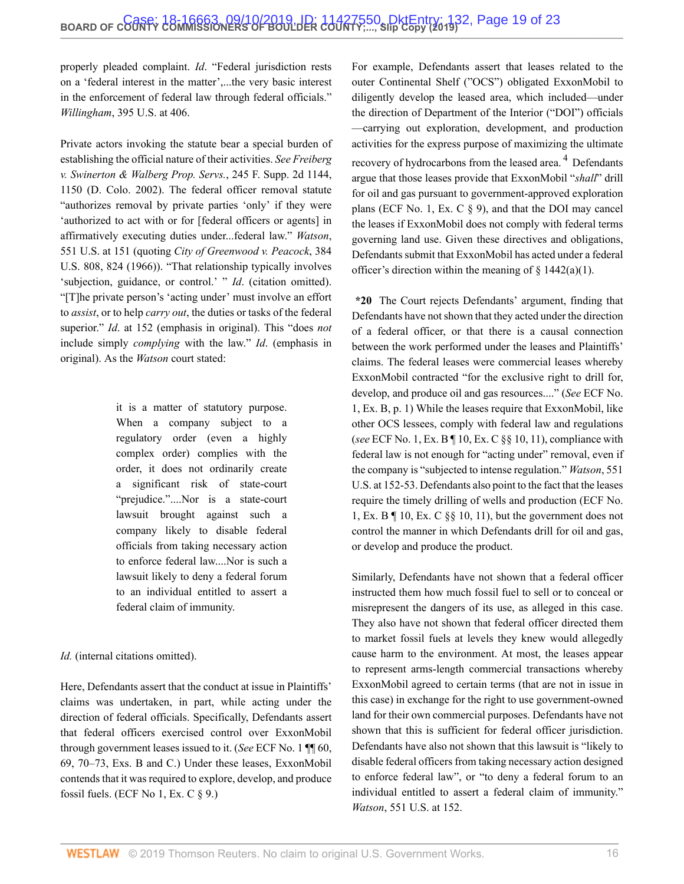properly pleaded complaint. *Id*. "Federal jurisdiction rests on a 'federal interest in the matter',...the very basic interest in the enforcement of federal law through federal officials." *Willingham*[, 395 U.S. at 406.](http://www.westlaw.com/Link/Document/FullText?findType=Y&serNum=1969133004&pubNum=0000780&originatingDoc=I5f277810d03f11e99c7da5bca11408d2&refType=RP&fi=co_pp_sp_780_406&originationContext=document&vr=3.0&rs=cblt1.0&transitionType=DocumentItem&contextData=(sc.Search)#co_pp_sp_780_406)

Private actors invoking the statute bear a special burden of establishing the official nature of their activities. *See [Freiberg](http://www.westlaw.com/Link/Document/FullText?findType=Y&serNum=2002767511&pubNum=0004637&originatingDoc=I5f277810d03f11e99c7da5bca11408d2&refType=RP&fi=co_pp_sp_4637_1150&originationContext=document&vr=3.0&rs=cblt1.0&transitionType=DocumentItem&contextData=(sc.Search)#co_pp_sp_4637_1150) [v. Swinerton & Walberg Prop. Servs.](http://www.westlaw.com/Link/Document/FullText?findType=Y&serNum=2002767511&pubNum=0004637&originatingDoc=I5f277810d03f11e99c7da5bca11408d2&refType=RP&fi=co_pp_sp_4637_1150&originationContext=document&vr=3.0&rs=cblt1.0&transitionType=DocumentItem&contextData=(sc.Search)#co_pp_sp_4637_1150)*, 245 F. Supp. 2d 1144, [1150 \(D. Colo. 2002\).](http://www.westlaw.com/Link/Document/FullText?findType=Y&serNum=2002767511&pubNum=0004637&originatingDoc=I5f277810d03f11e99c7da5bca11408d2&refType=RP&fi=co_pp_sp_4637_1150&originationContext=document&vr=3.0&rs=cblt1.0&transitionType=DocumentItem&contextData=(sc.Search)#co_pp_sp_4637_1150) The federal officer removal statute "authorizes removal by private parties 'only' if they were 'authorized to act with or for [federal officers or agents] in affirmatively executing duties under...federal law." *[Watson](http://www.westlaw.com/Link/Document/FullText?findType=Y&serNum=2012447002&pubNum=0000780&originatingDoc=I5f277810d03f11e99c7da5bca11408d2&refType=RP&fi=co_pp_sp_780_151&originationContext=document&vr=3.0&rs=cblt1.0&transitionType=DocumentItem&contextData=(sc.Search)#co_pp_sp_780_151)*, [551 U.S. at 151](http://www.westlaw.com/Link/Document/FullText?findType=Y&serNum=2012447002&pubNum=0000780&originatingDoc=I5f277810d03f11e99c7da5bca11408d2&refType=RP&fi=co_pp_sp_780_151&originationContext=document&vr=3.0&rs=cblt1.0&transitionType=DocumentItem&contextData=(sc.Search)#co_pp_sp_780_151) (quoting *[City of Greenwood v. Peacock](http://www.westlaw.com/Link/Document/FullText?findType=Y&serNum=1966131594&pubNum=0000780&originatingDoc=I5f277810d03f11e99c7da5bca11408d2&refType=RP&fi=co_pp_sp_780_824&originationContext=document&vr=3.0&rs=cblt1.0&transitionType=DocumentItem&contextData=(sc.Search)#co_pp_sp_780_824)*, 384 [U.S. 808, 824 \(1966\)](http://www.westlaw.com/Link/Document/FullText?findType=Y&serNum=1966131594&pubNum=0000780&originatingDoc=I5f277810d03f11e99c7da5bca11408d2&refType=RP&fi=co_pp_sp_780_824&originationContext=document&vr=3.0&rs=cblt1.0&transitionType=DocumentItem&contextData=(sc.Search)#co_pp_sp_780_824)). "That relationship typically involves 'subjection, guidance, or control.' " *Id.* (citation omitted). "[T]he private person's 'acting under' must involve an effort to *assist*, or to help *carry out*, the duties or tasks of the federal superior." *Id*[. at 152](http://www.westlaw.com/Link/Document/FullText?findType=Y&serNum=2012447002&pubNum=0000780&originatingDoc=I5f277810d03f11e99c7da5bca11408d2&refType=RP&fi=co_pp_sp_780_152&originationContext=document&vr=3.0&rs=cblt1.0&transitionType=DocumentItem&contextData=(sc.Search)#co_pp_sp_780_152) (emphasis in original). This "does *not* include simply *complying* with the law." *Id*. (emphasis in original). As the *Watson* court stated:

> it is a matter of statutory purpose. When a company subject to a regulatory order (even a highly complex order) complies with the order, it does not ordinarily create a significant risk of state-court "prejudice."....Nor is a state-court lawsuit brought against such a company likely to disable federal officials from taking necessary action to enforce federal law....Nor is such a lawsuit likely to deny a federal forum to an individual entitled to assert a federal claim of immunity.

*Id.* (internal citations omitted).

Here, Defendants assert that the conduct at issue in Plaintiffs' claims was undertaken, in part, while acting under the direction of federal officials. Specifically, Defendants assert that federal officers exercised control over ExxonMobil through government leases issued to it. (*See* ECF No. 1 ¶¶ 60, 69, 70–73, Exs. B and C.) Under these leases, ExxonMobil contends that it was required to explore, develop, and produce fossil fuels. (ECF No 1, Ex. C  $\S$  9.)

<span id="page-18-0"></span>For example, Defendants assert that leases related to the outer Continental Shelf ("OCS") obligated ExxonMobil to diligently develop the leased area, which included—under the direction of Department of the Interior ("DOI") officials —carrying out exploration, development, and production activities for the express purpose of maximizing the ultimate recovery of hydrocarbons from the leased area.<sup>[4](#page-22-3)</sup> Defendants argue that those leases provide that ExxonMobil "*shall*" drill for oil and gas pursuant to government-approved exploration plans (ECF No. 1, Ex. C § 9), and that the DOI may cancel the leases if ExxonMobil does not comply with federal terms governing land use. Given these directives and obligations, Defendants submit that ExxonMobil has acted under a federal officer's direction within the meaning of  $\S$  1442(a)(1).

**\*20** The Court rejects Defendants' argument, finding that Defendants have not shown that they acted under the direction of a federal officer, or that there is a causal connection between the work performed under the leases and Plaintiffs' claims. The federal leases were commercial leases whereby ExxonMobil contracted "for the exclusive right to drill for, develop, and produce oil and gas resources...." (*See* ECF No. 1, Ex. B, p. 1) While the leases require that ExxonMobil, like other OCS lessees, comply with federal law and regulations (*see* ECF No. 1, Ex. B ¶ 10, Ex. C §§ 10, 11), compliance with federal law is not enough for "acting under" removal, even if the company is "subjected to intense regulation." *[Watson](http://www.westlaw.com/Link/Document/FullText?findType=Y&serNum=2012447002&pubNum=0000780&originatingDoc=I5f277810d03f11e99c7da5bca11408d2&refType=RP&fi=co_pp_sp_780_152&originationContext=document&vr=3.0&rs=cblt1.0&transitionType=DocumentItem&contextData=(sc.Search)#co_pp_sp_780_152)*, 551 [U.S. at 152-53.](http://www.westlaw.com/Link/Document/FullText?findType=Y&serNum=2012447002&pubNum=0000780&originatingDoc=I5f277810d03f11e99c7da5bca11408d2&refType=RP&fi=co_pp_sp_780_152&originationContext=document&vr=3.0&rs=cblt1.0&transitionType=DocumentItem&contextData=(sc.Search)#co_pp_sp_780_152) Defendants also point to the fact that the leases require the timely drilling of wells and production (ECF No. 1, Ex. B ¶ 10, Ex. C §§ 10, 11), but the government does not control the manner in which Defendants drill for oil and gas, or develop and produce the product.

Similarly, Defendants have not shown that a federal officer instructed them how much fossil fuel to sell or to conceal or misrepresent the dangers of its use, as alleged in this case. They also have not shown that federal officer directed them to market fossil fuels at levels they knew would allegedly cause harm to the environment. At most, the leases appear to represent arms-length commercial transactions whereby ExxonMobil agreed to certain terms (that are not in issue in this case) in exchange for the right to use government-owned land for their own commercial purposes. Defendants have not shown that this is sufficient for federal officer jurisdiction. Defendants have also not shown that this lawsuit is "likely to disable federal officers from taking necessary action designed to enforce federal law", or "to deny a federal forum to an individual entitled to assert a federal claim of immunity." *Watson*[, 551 U.S. at 152.](http://www.westlaw.com/Link/Document/FullText?findType=Y&serNum=2012447002&pubNum=0000780&originatingDoc=I5f277810d03f11e99c7da5bca11408d2&refType=RP&fi=co_pp_sp_780_152&originationContext=document&vr=3.0&rs=cblt1.0&transitionType=DocumentItem&contextData=(sc.Search)#co_pp_sp_780_152)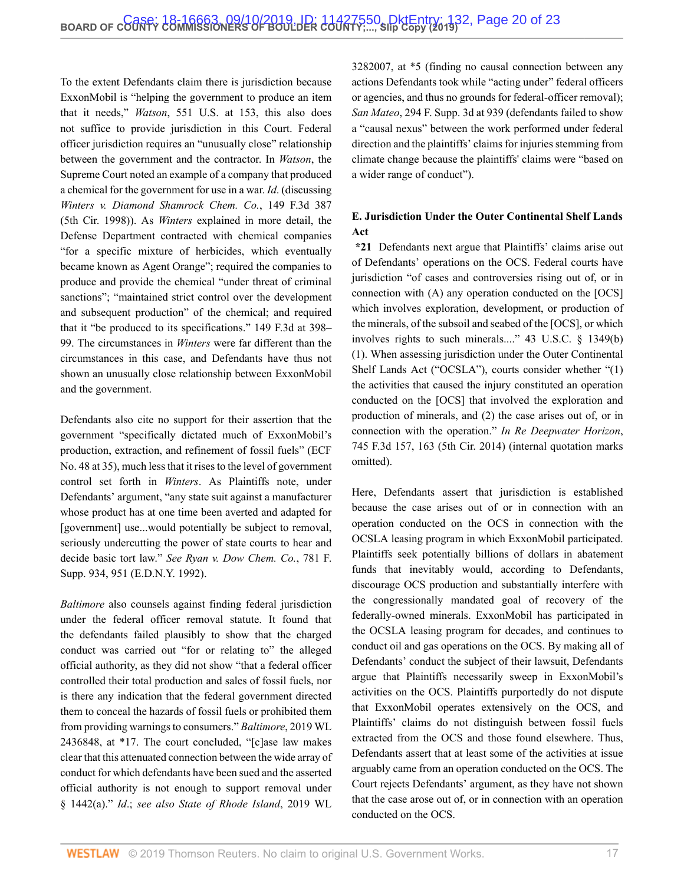To the extent Defendants claim there is jurisdiction because ExxonMobil is "helping the government to produce an item that it needs," *Watson*[, 551 U.S. at 153](http://www.westlaw.com/Link/Document/FullText?findType=Y&serNum=2012447002&pubNum=0000780&originatingDoc=I5f277810d03f11e99c7da5bca11408d2&refType=RP&fi=co_pp_sp_780_153&originationContext=document&vr=3.0&rs=cblt1.0&transitionType=DocumentItem&contextData=(sc.Search)#co_pp_sp_780_153), this also does not suffice to provide jurisdiction in this Court. Federal officer jurisdiction requires an "unusually close" relationship between the government and the contractor. In *Watson*, the Supreme Court noted an example of a company that produced a chemical for the government for use in a war. *Id*. (discussing *Winters v. Diamond [Shamrock Chem. Co.](http://www.westlaw.com/Link/Document/FullText?findType=Y&serNum=1998161448&pubNum=0000506&originatingDoc=I5f277810d03f11e99c7da5bca11408d2&refType=RP&originationContext=document&vr=3.0&rs=cblt1.0&transitionType=DocumentItem&contextData=(sc.Search))*, 149 F.3d 387 [\(5th Cir. 1998\)](http://www.westlaw.com/Link/Document/FullText?findType=Y&serNum=1998161448&pubNum=0000506&originatingDoc=I5f277810d03f11e99c7da5bca11408d2&refType=RP&originationContext=document&vr=3.0&rs=cblt1.0&transitionType=DocumentItem&contextData=(sc.Search))). As *Winters* explained in more detail, the Defense Department contracted with chemical companies "for a specific mixture of herbicides, which eventually became known as Agent Orange"; required the companies to produce and provide the chemical "under threat of criminal sanctions"; "maintained strict control over the development and subsequent production" of the chemical; and required that it "be produced to its specifications." [149 F.3d at 398–](http://www.westlaw.com/Link/Document/FullText?findType=Y&serNum=1998161448&pubNum=0000506&originatingDoc=I5f277810d03f11e99c7da5bca11408d2&refType=RP&fi=co_pp_sp_506_398&originationContext=document&vr=3.0&rs=cblt1.0&transitionType=DocumentItem&contextData=(sc.Search)#co_pp_sp_506_398) [99](http://www.westlaw.com/Link/Document/FullText?findType=Y&serNum=1998161448&pubNum=0000506&originatingDoc=I5f277810d03f11e99c7da5bca11408d2&refType=RP&fi=co_pp_sp_506_398&originationContext=document&vr=3.0&rs=cblt1.0&transitionType=DocumentItem&contextData=(sc.Search)#co_pp_sp_506_398). The circumstances in *Winters* were far different than the circumstances in this case, and Defendants have thus not shown an unusually close relationship between ExxonMobil and the government.

Defendants also cite no support for their assertion that the government "specifically dictated much of ExxonMobil's production, extraction, and refinement of fossil fuels" (ECF No. 48 at 35), much less that it rises to the level of government control set forth in *Winters*. As Plaintiffs note, under Defendants' argument, "any state suit against a manufacturer whose product has at one time been averted and adapted for [government] use...would potentially be subject to removal, seriously undercutting the power of state courts to hear and decide basic tort law." *See [Ryan v. Dow Chem.](http://www.westlaw.com/Link/Document/FullText?findType=Y&serNum=1992034435&pubNum=0000345&originatingDoc=I5f277810d03f11e99c7da5bca11408d2&refType=RP&fi=co_pp_sp_345_951&originationContext=document&vr=3.0&rs=cblt1.0&transitionType=DocumentItem&contextData=(sc.Search)#co_pp_sp_345_951) Co.*, 781 F. [Supp. 934, 951 \(E.D.N.Y. 1992\).](http://www.westlaw.com/Link/Document/FullText?findType=Y&serNum=1992034435&pubNum=0000345&originatingDoc=I5f277810d03f11e99c7da5bca11408d2&refType=RP&fi=co_pp_sp_345_951&originationContext=document&vr=3.0&rs=cblt1.0&transitionType=DocumentItem&contextData=(sc.Search)#co_pp_sp_345_951)

*Baltimore* also counsels against finding federal jurisdiction under the federal officer removal statute. It found that the defendants failed plausibly to show that the charged conduct was carried out "for or relating to" the alleged official authority, as they did not show "that a federal officer controlled their total production and sales of fossil fuels, nor is there any indication that the federal government directed them to conceal the hazards of fossil fuels or prohibited them from providing warnings to consumers." *Baltimore*[, 2019 WL](http://www.westlaw.com/Link/Document/FullText?findType=Y&serNum=2048466347&pubNum=0000999&originatingDoc=I5f277810d03f11e99c7da5bca11408d2&refType=RP&originationContext=document&vr=3.0&rs=cblt1.0&transitionType=DocumentItem&contextData=(sc.Search)) [2436848, at \\*17.](http://www.westlaw.com/Link/Document/FullText?findType=Y&serNum=2048466347&pubNum=0000999&originatingDoc=I5f277810d03f11e99c7da5bca11408d2&refType=RP&originationContext=document&vr=3.0&rs=cblt1.0&transitionType=DocumentItem&contextData=(sc.Search)) The court concluded, "[c]ase law makes clear that this attenuated connection between the wide array of conduct for which defendants have been sued and the asserted official authority is not enough to support removal under [§ 1442\(a\)](http://www.westlaw.com/Link/Document/FullText?findType=L&pubNum=1000546&cite=28USCAS1442&originatingDoc=I5f277810d03f11e99c7da5bca11408d2&refType=RB&originationContext=document&vr=3.0&rs=cblt1.0&transitionType=DocumentItem&contextData=(sc.Search)#co_pp_8b3b0000958a4)." *Id*.; *see also [State of Rhode Island](http://www.westlaw.com/Link/Document/FullText?findType=Y&serNum=2048741931&pubNum=0000999&originatingDoc=I5f277810d03f11e99c7da5bca11408d2&refType=RP&originationContext=document&vr=3.0&rs=cblt1.0&transitionType=DocumentItem&contextData=(sc.Search))*, 2019 WL

[3282007, at \\*5](http://www.westlaw.com/Link/Document/FullText?findType=Y&serNum=2048741931&pubNum=0000999&originatingDoc=I5f277810d03f11e99c7da5bca11408d2&refType=RP&originationContext=document&vr=3.0&rs=cblt1.0&transitionType=DocumentItem&contextData=(sc.Search)) (finding no causal connection between any actions Defendants took while "acting under" federal officers or agencies, and thus no grounds for federal-officer removal); *San Mateo*[, 294 F. Supp. 3d at 939](http://www.westlaw.com/Link/Document/FullText?findType=Y&serNum=2044125687&pubNum=0007903&originatingDoc=I5f277810d03f11e99c7da5bca11408d2&refType=RP&fi=co_pp_sp_7903_939&originationContext=document&vr=3.0&rs=cblt1.0&transitionType=DocumentItem&contextData=(sc.Search)#co_pp_sp_7903_939) (defendants failed to show a "causal nexus" between the work performed under federal direction and the plaintiffs' claims for injuries stemming from climate change because the plaintiffs' claims were "based on a wider range of conduct").

# **E. Jurisdiction Under the Outer Continental Shelf Lands Act**

**\*21** Defendants next argue that Plaintiffs' claims arise out of Defendants' operations on the OCS. Federal courts have jurisdiction "of cases and controversies rising out of, or in connection with (A) any operation conducted on the [OCS] which involves exploration, development, or production of the minerals, of the subsoil and seabed of the [OCS], or which involves rights to such minerals...." [43 U.S.C. § 1349\(b\)](http://www.westlaw.com/Link/Document/FullText?findType=L&pubNum=1000546&cite=43USCAS1349&originatingDoc=I5f277810d03f11e99c7da5bca11408d2&refType=RB&originationContext=document&vr=3.0&rs=cblt1.0&transitionType=DocumentItem&contextData=(sc.Search)#co_pp_3fed000053a85) [\(1\).](http://www.westlaw.com/Link/Document/FullText?findType=L&pubNum=1000546&cite=43USCAS1349&originatingDoc=I5f277810d03f11e99c7da5bca11408d2&refType=RB&originationContext=document&vr=3.0&rs=cblt1.0&transitionType=DocumentItem&contextData=(sc.Search)#co_pp_3fed000053a85) When assessing jurisdiction under the Outer Continental Shelf Lands Act ("OCSLA"), courts consider whether "(1) the activities that caused the injury constituted an operation conducted on the [OCS] that involved the exploration and production of minerals, and (2) the case arises out of, or in connection with the operation." *In Re [Deepwater Horizon](http://www.westlaw.com/Link/Document/FullText?findType=Y&serNum=2032778690&pubNum=0000506&originatingDoc=I5f277810d03f11e99c7da5bca11408d2&refType=RP&fi=co_pp_sp_506_163&originationContext=document&vr=3.0&rs=cblt1.0&transitionType=DocumentItem&contextData=(sc.Search)#co_pp_sp_506_163)*, [745 F.3d 157, 163 \(5th Cir. 2014\)](http://www.westlaw.com/Link/Document/FullText?findType=Y&serNum=2032778690&pubNum=0000506&originatingDoc=I5f277810d03f11e99c7da5bca11408d2&refType=RP&fi=co_pp_sp_506_163&originationContext=document&vr=3.0&rs=cblt1.0&transitionType=DocumentItem&contextData=(sc.Search)#co_pp_sp_506_163) (internal quotation marks omitted).

Here, Defendants assert that jurisdiction is established because the case arises out of or in connection with an operation conducted on the OCS in connection with the OCSLA leasing program in which ExxonMobil participated. Plaintiffs seek potentially billions of dollars in abatement funds that inevitably would, according to Defendants, discourage OCS production and substantially interfere with the congressionally mandated goal of recovery of the federally-owned minerals. ExxonMobil has participated in the OCSLA leasing program for decades, and continues to conduct oil and gas operations on the OCS. By making all of Defendants' conduct the subject of their lawsuit, Defendants argue that Plaintiffs necessarily sweep in ExxonMobil's activities on the OCS. Plaintiffs purportedly do not dispute that ExxonMobil operates extensively on the OCS, and Plaintiffs' claims do not distinguish between fossil fuels extracted from the OCS and those found elsewhere. Thus, Defendants assert that at least some of the activities at issue arguably came from an operation conducted on the OCS. The Court rejects Defendants' argument, as they have not shown that the case arose out of, or in connection with an operation conducted on the OCS.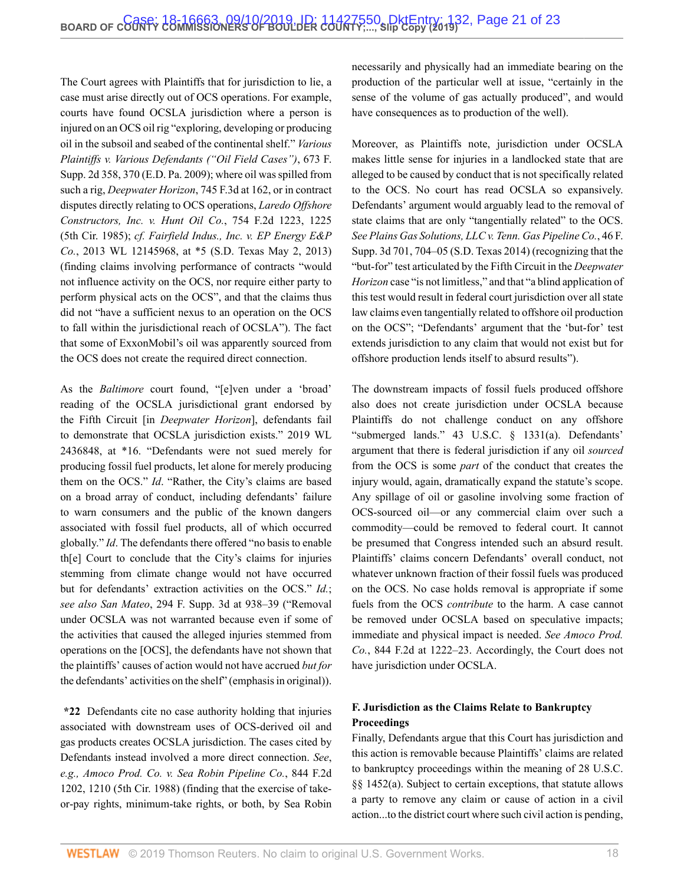The Court agrees with Plaintiffs that for jurisdiction to lie, a case must arise directly out of OCS operations. For example, courts have found OCSLA jurisdiction where a person is injured on an OCS oil rig "exploring, developing or producing oil in the subsoil and seabed of the continental shelf." *[Various](http://www.westlaw.com/Link/Document/FullText?findType=Y&serNum=2020706326&pubNum=0004637&originatingDoc=I5f277810d03f11e99c7da5bca11408d2&refType=RP&fi=co_pp_sp_4637_370&originationContext=document&vr=3.0&rs=cblt1.0&transitionType=DocumentItem&contextData=(sc.Search)#co_pp_sp_4637_370) Plaintiffs v. Various [Defendants \("Oil Field Cases"\)](http://www.westlaw.com/Link/Document/FullText?findType=Y&serNum=2020706326&pubNum=0004637&originatingDoc=I5f277810d03f11e99c7da5bca11408d2&refType=RP&fi=co_pp_sp_4637_370&originationContext=document&vr=3.0&rs=cblt1.0&transitionType=DocumentItem&contextData=(sc.Search)#co_pp_sp_4637_370)*, 673 F. [Supp. 2d 358, 370 \(E.D. Pa. 2009\)](http://www.westlaw.com/Link/Document/FullText?findType=Y&serNum=2020706326&pubNum=0004637&originatingDoc=I5f277810d03f11e99c7da5bca11408d2&refType=RP&fi=co_pp_sp_4637_370&originationContext=document&vr=3.0&rs=cblt1.0&transitionType=DocumentItem&contextData=(sc.Search)#co_pp_sp_4637_370); where oil was spilled from such a rig, *[Deepwater Horizon](http://www.westlaw.com/Link/Document/FullText?findType=Y&serNum=2032778690&pubNum=0000506&originatingDoc=I5f277810d03f11e99c7da5bca11408d2&refType=RP&fi=co_pp_sp_506_162&originationContext=document&vr=3.0&rs=cblt1.0&transitionType=DocumentItem&contextData=(sc.Search)#co_pp_sp_506_162)*, 745 F.3d at 162, or in contract disputes directly relating to OCS operations, *[Laredo Offshore](http://www.westlaw.com/Link/Document/FullText?findType=Y&serNum=1985109180&pubNum=0000350&originatingDoc=I5f277810d03f11e99c7da5bca11408d2&refType=RP&fi=co_pp_sp_350_1225&originationContext=document&vr=3.0&rs=cblt1.0&transitionType=DocumentItem&contextData=(sc.Search)#co_pp_sp_350_1225) [Constructors, Inc. v. Hunt Oil Co.](http://www.westlaw.com/Link/Document/FullText?findType=Y&serNum=1985109180&pubNum=0000350&originatingDoc=I5f277810d03f11e99c7da5bca11408d2&refType=RP&fi=co_pp_sp_350_1225&originationContext=document&vr=3.0&rs=cblt1.0&transitionType=DocumentItem&contextData=(sc.Search)#co_pp_sp_350_1225)*, 754 F.2d 1223, 1225 [\(5th Cir. 1985\)](http://www.westlaw.com/Link/Document/FullText?findType=Y&serNum=1985109180&pubNum=0000350&originatingDoc=I5f277810d03f11e99c7da5bca11408d2&refType=RP&fi=co_pp_sp_350_1225&originationContext=document&vr=3.0&rs=cblt1.0&transitionType=DocumentItem&contextData=(sc.Search)#co_pp_sp_350_1225); *cf. [Fairfield Indus., Inc. v. EP Energy E&P](http://www.westlaw.com/Link/Document/FullText?findType=Y&serNum=2040409927&pubNum=0000999&originatingDoc=I5f277810d03f11e99c7da5bca11408d2&refType=RP&originationContext=document&vr=3.0&rs=cblt1.0&transitionType=DocumentItem&contextData=(sc.Search)) Co.*[, 2013 WL 12145968, at \\*5 \(S.D. Texas May 2, 2013\)](http://www.westlaw.com/Link/Document/FullText?findType=Y&serNum=2040409927&pubNum=0000999&originatingDoc=I5f277810d03f11e99c7da5bca11408d2&refType=RP&originationContext=document&vr=3.0&rs=cblt1.0&transitionType=DocumentItem&contextData=(sc.Search)) (finding claims involving performance of contracts "would not influence activity on the OCS, nor require either party to perform physical acts on the OCS", and that the claims thus did not "have a sufficient nexus to an operation on the OCS to fall within the jurisdictional reach of OCSLA"). The fact that some of ExxonMobil's oil was apparently sourced from the OCS does not create the required direct connection.

As the *Baltimore* court found, "[e]ven under a 'broad' reading of the OCSLA jurisdictional grant endorsed by the Fifth Circuit [in *Deepwater Horizon*], defendants fail to demonstrate that OCSLA jurisdiction exists." [2019 WL](http://www.westlaw.com/Link/Document/FullText?findType=Y&serNum=2048466347&pubNum=0000999&originatingDoc=I5f277810d03f11e99c7da5bca11408d2&refType=RP&originationContext=document&vr=3.0&rs=cblt1.0&transitionType=DocumentItem&contextData=(sc.Search)) [2436848, at \\*16.](http://www.westlaw.com/Link/Document/FullText?findType=Y&serNum=2048466347&pubNum=0000999&originatingDoc=I5f277810d03f11e99c7da5bca11408d2&refType=RP&originationContext=document&vr=3.0&rs=cblt1.0&transitionType=DocumentItem&contextData=(sc.Search)) "Defendants were not sued merely for producing fossil fuel products, let alone for merely producing them on the OCS." *Id*. "Rather, the City's claims are based on a broad array of conduct, including defendants' failure to warn consumers and the public of the known dangers associated with fossil fuel products, all of which occurred globally." *Id*. The defendants there offered "no basis to enable th[e] Court to conclude that the City's claims for injuries stemming from climate change would not have occurred but for defendants' extraction activities on the OCS." *Id.*; *see also San Mateo*[, 294 F. Supp. 3d at 938–39](http://www.westlaw.com/Link/Document/FullText?findType=Y&serNum=2044125687&pubNum=0007903&originatingDoc=I5f277810d03f11e99c7da5bca11408d2&refType=RP&fi=co_pp_sp_7903_938&originationContext=document&vr=3.0&rs=cblt1.0&transitionType=DocumentItem&contextData=(sc.Search)#co_pp_sp_7903_938) ("Removal under OCSLA was not warranted because even if some of the activities that caused the alleged injuries stemmed from operations on the [OCS], the defendants have not shown that the plaintiffs' causes of action would not have accrued *but for* the defendants' activities on the shelf" (emphasis in original)).

**\*22** Defendants cite no case authority holding that injuries associated with downstream uses of OCS-derived oil and gas products creates OCSLA jurisdiction. The cases cited by Defendants instead involved a more direct connection. *See*, *e.g., [Amoco Prod. Co. v. Sea Robin Pipeline Co.](http://www.westlaw.com/Link/Document/FullText?findType=Y&serNum=1988057520&pubNum=0000350&originatingDoc=I5f277810d03f11e99c7da5bca11408d2&refType=RP&fi=co_pp_sp_350_1210&originationContext=document&vr=3.0&rs=cblt1.0&transitionType=DocumentItem&contextData=(sc.Search)#co_pp_sp_350_1210)*, 844 F.2d [1202, 1210 \(5th Cir. 1988\)](http://www.westlaw.com/Link/Document/FullText?findType=Y&serNum=1988057520&pubNum=0000350&originatingDoc=I5f277810d03f11e99c7da5bca11408d2&refType=RP&fi=co_pp_sp_350_1210&originationContext=document&vr=3.0&rs=cblt1.0&transitionType=DocumentItem&contextData=(sc.Search)#co_pp_sp_350_1210) (finding that the exercise of takeor-pay rights, minimum-take rights, or both, by Sea Robin necessarily and physically had an immediate bearing on the production of the particular well at issue, "certainly in the sense of the volume of gas actually produced", and would have consequences as to production of the well).

Moreover, as Plaintiffs note, jurisdiction under OCSLA makes little sense for injuries in a landlocked state that are alleged to be caused by conduct that is not specifically related to the OCS. No court has read OCSLA so expansively. Defendants' argument would arguably lead to the removal of state claims that are only "tangentially related" to the OCS. *See [Plains Gas Solutions, LLC v. Tenn. Gas Pipeline Co.](http://www.westlaw.com/Link/Document/FullText?findType=Y&serNum=2034284702&pubNum=0007903&originatingDoc=I5f277810d03f11e99c7da5bca11408d2&refType=RP&fi=co_pp_sp_7903_704&originationContext=document&vr=3.0&rs=cblt1.0&transitionType=DocumentItem&contextData=(sc.Search)#co_pp_sp_7903_704)*, 46 F. [Supp. 3d 701, 704–05 \(S.D. Texas 2014\)](http://www.westlaw.com/Link/Document/FullText?findType=Y&serNum=2034284702&pubNum=0007903&originatingDoc=I5f277810d03f11e99c7da5bca11408d2&refType=RP&fi=co_pp_sp_7903_704&originationContext=document&vr=3.0&rs=cblt1.0&transitionType=DocumentItem&contextData=(sc.Search)#co_pp_sp_7903_704) (recognizing that the "but-for" test articulated by the Fifth Circuit in the *Deepwater Horizon* case "is not limitless," and that "a blind application of this test would result in federal court jurisdiction over all state law claims even tangentially related to offshore oil production on the OCS"; "Defendants' argument that the 'but-for' test extends jurisdiction to any claim that would not exist but for offshore production lends itself to absurd results").

The downstream impacts of fossil fuels produced offshore also does not create jurisdiction under OCSLA because Plaintiffs do not challenge conduct on any offshore "submerged lands." [43 U.S.C. § 1331\(a\).](http://www.westlaw.com/Link/Document/FullText?findType=L&pubNum=1000546&cite=43USCAS1331&originatingDoc=I5f277810d03f11e99c7da5bca11408d2&refType=RB&originationContext=document&vr=3.0&rs=cblt1.0&transitionType=DocumentItem&contextData=(sc.Search)#co_pp_8b3b0000958a4) Defendants' argument that there is federal jurisdiction if any oil *sourced* from the OCS is some *part* of the conduct that creates the injury would, again, dramatically expand the statute's scope. Any spillage of oil or gasoline involving some fraction of OCS-sourced oil—or any commercial claim over such a commodity—could be removed to federal court. It cannot be presumed that Congress intended such an absurd result. Plaintiffs' claims concern Defendants' overall conduct, not whatever unknown fraction of their fossil fuels was produced on the OCS. No case holds removal is appropriate if some fuels from the OCS *contribute* to the harm. A case cannot be removed under OCSLA based on speculative impacts; immediate and physical impact is needed. *See Amoco Prod. Co.*, 844 F.2d at 1222–23. Accordingly, the Court does not have jurisdiction under OCSLA.

# **F. Jurisdiction as the Claims Relate to Bankruptcy Proceedings**

Finally, Defendants argue that this Court has jurisdiction and this action is removable because Plaintiffs' claims are related to bankruptcy proceedings within the meaning of [28 U.S.C.](http://www.westlaw.com/Link/Document/FullText?findType=L&pubNum=1000546&cite=28USCAS1452&originatingDoc=I5f277810d03f11e99c7da5bca11408d2&refType=RB&originationContext=document&vr=3.0&rs=cblt1.0&transitionType=DocumentItem&contextData=(sc.Search)#co_pp_8b3b0000958a4) [§§ 1452\(a\).](http://www.westlaw.com/Link/Document/FullText?findType=L&pubNum=1000546&cite=28USCAS1452&originatingDoc=I5f277810d03f11e99c7da5bca11408d2&refType=RB&originationContext=document&vr=3.0&rs=cblt1.0&transitionType=DocumentItem&contextData=(sc.Search)#co_pp_8b3b0000958a4) Subject to certain exceptions, that statute allows a party to remove any claim or cause of action in a civil action...to the district court where such civil action is pending,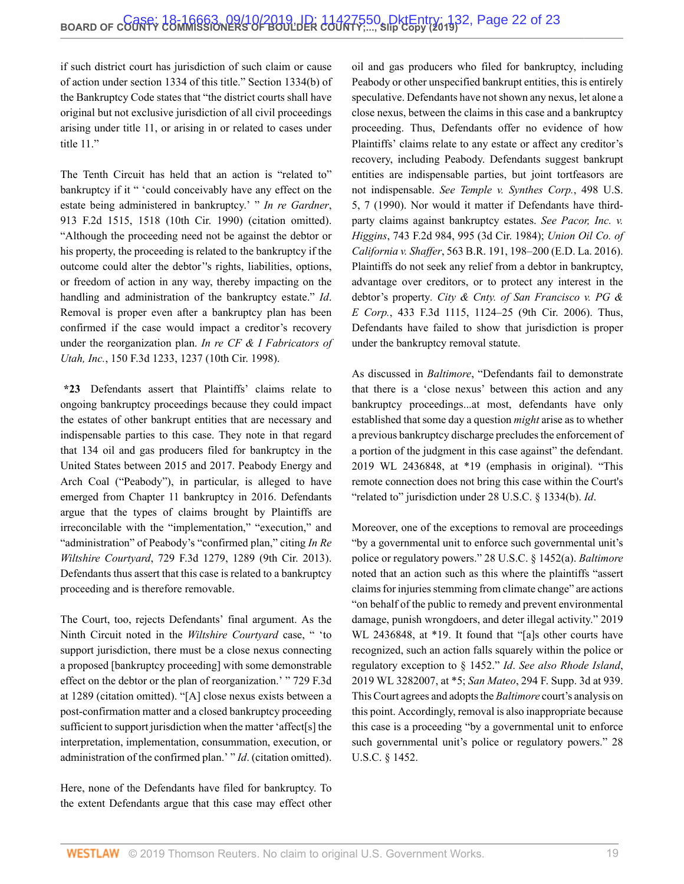if such district court has jurisdiction of such claim or cause of action under section 1334 of this title." Section 1334(b) of the Bankruptcy Code states that "the district courts shall have original but not exclusive jurisdiction of all civil proceedings arising under title 11, or arising in or related to cases under title 11."

The Tenth Circuit has held that an action is "related to" bankruptcy if it " 'could conceivably have any effect on the estate being administered in bankruptcy.' " *In re [Gardner](http://www.westlaw.com/Link/Document/FullText?findType=Y&serNum=1990134276&pubNum=0000350&originatingDoc=I5f277810d03f11e99c7da5bca11408d2&refType=RP&fi=co_pp_sp_350_1518&originationContext=document&vr=3.0&rs=cblt1.0&transitionType=DocumentItem&contextData=(sc.Search)#co_pp_sp_350_1518)*, [913 F.2d 1515, 1518 \(10th Cir. 1990\)](http://www.westlaw.com/Link/Document/FullText?findType=Y&serNum=1990134276&pubNum=0000350&originatingDoc=I5f277810d03f11e99c7da5bca11408d2&refType=RP&fi=co_pp_sp_350_1518&originationContext=document&vr=3.0&rs=cblt1.0&transitionType=DocumentItem&contextData=(sc.Search)#co_pp_sp_350_1518) (citation omitted). "Although the proceeding need not be against the debtor or his property, the proceeding is related to the bankruptcy if the outcome could alter the debtor''s rights, liabilities, options, or freedom of action in any way, thereby impacting on the handling and administration of the bankruptcy estate." *Id*. Removal is proper even after a bankruptcy plan has been confirmed if the case would impact a creditor's recovery under the reorganization plan. *[In re CF & I Fabricators of](http://www.westlaw.com/Link/Document/FullText?findType=Y&serNum=1998136433&pubNum=0000506&originatingDoc=I5f277810d03f11e99c7da5bca11408d2&refType=RP&fi=co_pp_sp_506_1237&originationContext=document&vr=3.0&rs=cblt1.0&transitionType=DocumentItem&contextData=(sc.Search)#co_pp_sp_506_1237) Utah, Inc.*[, 150 F.3d 1233, 1237 \(10th Cir. 1998\)](http://www.westlaw.com/Link/Document/FullText?findType=Y&serNum=1998136433&pubNum=0000506&originatingDoc=I5f277810d03f11e99c7da5bca11408d2&refType=RP&fi=co_pp_sp_506_1237&originationContext=document&vr=3.0&rs=cblt1.0&transitionType=DocumentItem&contextData=(sc.Search)#co_pp_sp_506_1237).

**\*23** Defendants assert that Plaintiffs' claims relate to ongoing bankruptcy proceedings because they could impact the estates of other bankrupt entities that are necessary and indispensable parties to this case. They note in that regard that 134 oil and gas producers filed for bankruptcy in the United States between 2015 and 2017. Peabody Energy and Arch Coal ("Peabody"), in particular, is alleged to have emerged from Chapter 11 bankruptcy in 2016. Defendants argue that the types of claims brought by Plaintiffs are irreconcilable with the "implementation," "execution," and "administration" of Peabody's "confirmed plan," citing *[In Re](http://www.westlaw.com/Link/Document/FullText?findType=Y&serNum=2031508372&pubNum=0000506&originatingDoc=I5f277810d03f11e99c7da5bca11408d2&refType=RP&fi=co_pp_sp_506_1289&originationContext=document&vr=3.0&rs=cblt1.0&transitionType=DocumentItem&contextData=(sc.Search)#co_pp_sp_506_1289) Wiltshire Courtyard*[, 729 F.3d 1279, 1289 \(9th Cir. 2013\)](http://www.westlaw.com/Link/Document/FullText?findType=Y&serNum=2031508372&pubNum=0000506&originatingDoc=I5f277810d03f11e99c7da5bca11408d2&refType=RP&fi=co_pp_sp_506_1289&originationContext=document&vr=3.0&rs=cblt1.0&transitionType=DocumentItem&contextData=(sc.Search)#co_pp_sp_506_1289). Defendants thus assert that this case is related to a bankruptcy proceeding and is therefore removable.

The Court, too, rejects Defendants' final argument. As the Ninth Circuit noted in the *Wiltshire Courtyard* case, " 'to support jurisdiction, there must be a close nexus connecting a proposed [bankruptcy proceeding] with some demonstrable effect on the debtor or the plan of reorganization.' " [729 F.3d](http://www.westlaw.com/Link/Document/FullText?findType=Y&serNum=2031508372&pubNum=0000506&originatingDoc=I5f277810d03f11e99c7da5bca11408d2&refType=RP&fi=co_pp_sp_506_1289&originationContext=document&vr=3.0&rs=cblt1.0&transitionType=DocumentItem&contextData=(sc.Search)#co_pp_sp_506_1289) [at 1289](http://www.westlaw.com/Link/Document/FullText?findType=Y&serNum=2031508372&pubNum=0000506&originatingDoc=I5f277810d03f11e99c7da5bca11408d2&refType=RP&fi=co_pp_sp_506_1289&originationContext=document&vr=3.0&rs=cblt1.0&transitionType=DocumentItem&contextData=(sc.Search)#co_pp_sp_506_1289) (citation omitted). "[A] close nexus exists between a post-confirmation matter and a closed bankruptcy proceeding sufficient to support jurisdiction when the matter 'affect[s] the interpretation, implementation, consummation, execution, or administration of the confirmed plan.' " *Id*. (citation omitted).

Here, none of the Defendants have filed for bankruptcy. To the extent Defendants argue that this case may effect other oil and gas producers who filed for bankruptcy, including Peabody or other unspecified bankrupt entities, this is entirely speculative. Defendants have not shown any nexus, let alone a close nexus, between the claims in this case and a bankruptcy proceeding. Thus, Defendants offer no evidence of how Plaintiffs' claims relate to any estate or affect any creditor's recovery, including Peabody. Defendants suggest bankrupt entities are indispensable parties, but joint tortfeasors are not indispensable. *See [Temple v. Synthes Corp.](http://www.westlaw.com/Link/Document/FullText?findType=Y&serNum=1990133621&pubNum=0000780&originatingDoc=I5f277810d03f11e99c7da5bca11408d2&refType=RP&fi=co_pp_sp_780_7&originationContext=document&vr=3.0&rs=cblt1.0&transitionType=DocumentItem&contextData=(sc.Search)#co_pp_sp_780_7)*, 498 U.S. [5, 7 \(1990\).](http://www.westlaw.com/Link/Document/FullText?findType=Y&serNum=1990133621&pubNum=0000780&originatingDoc=I5f277810d03f11e99c7da5bca11408d2&refType=RP&fi=co_pp_sp_780_7&originationContext=document&vr=3.0&rs=cblt1.0&transitionType=DocumentItem&contextData=(sc.Search)#co_pp_sp_780_7) Nor would it matter if Defendants have thirdparty claims against bankruptcy estates. *See [Pacor, Inc. v.](http://www.westlaw.com/Link/Document/FullText?findType=Y&serNum=1984140757&pubNum=0000350&originatingDoc=I5f277810d03f11e99c7da5bca11408d2&refType=RP&fi=co_pp_sp_350_995&originationContext=document&vr=3.0&rs=cblt1.0&transitionType=DocumentItem&contextData=(sc.Search)#co_pp_sp_350_995) Higgins*[, 743 F.2d 984, 995 \(3d Cir. 1984\);](http://www.westlaw.com/Link/Document/FullText?findType=Y&serNum=1984140757&pubNum=0000350&originatingDoc=I5f277810d03f11e99c7da5bca11408d2&refType=RP&fi=co_pp_sp_350_995&originationContext=document&vr=3.0&rs=cblt1.0&transitionType=DocumentItem&contextData=(sc.Search)#co_pp_sp_350_995) *[Union Oil Co. of](http://www.westlaw.com/Link/Document/FullText?findType=Y&serNum=2039523741&pubNum=0000164&originatingDoc=I5f277810d03f11e99c7da5bca11408d2&refType=RP&fi=co_pp_sp_164_198&originationContext=document&vr=3.0&rs=cblt1.0&transitionType=DocumentItem&contextData=(sc.Search)#co_pp_sp_164_198) California v. Shaffer*[, 563 B.R. 191, 198–200 \(E.D. La. 2016\).](http://www.westlaw.com/Link/Document/FullText?findType=Y&serNum=2039523741&pubNum=0000164&originatingDoc=I5f277810d03f11e99c7da5bca11408d2&refType=RP&fi=co_pp_sp_164_198&originationContext=document&vr=3.0&rs=cblt1.0&transitionType=DocumentItem&contextData=(sc.Search)#co_pp_sp_164_198) Plaintiffs do not seek any relief from a debtor in bankruptcy, advantage over creditors, or to protect any interest in the debtor's property*. [City & Cnty. of San Francisco v. PG &](http://www.westlaw.com/Link/Document/FullText?findType=Y&serNum=2008116355&pubNum=0000506&originatingDoc=I5f277810d03f11e99c7da5bca11408d2&refType=RP&fi=co_pp_sp_506_1124&originationContext=document&vr=3.0&rs=cblt1.0&transitionType=DocumentItem&contextData=(sc.Search)#co_pp_sp_506_1124) E Corp.*[, 433 F.3d 1115, 1124–25 \(9th Cir. 2006\)](http://www.westlaw.com/Link/Document/FullText?findType=Y&serNum=2008116355&pubNum=0000506&originatingDoc=I5f277810d03f11e99c7da5bca11408d2&refType=RP&fi=co_pp_sp_506_1124&originationContext=document&vr=3.0&rs=cblt1.0&transitionType=DocumentItem&contextData=(sc.Search)#co_pp_sp_506_1124). Thus, Defendants have failed to show that jurisdiction is proper under the bankruptcy removal statute.

As discussed in *Baltimore*, "Defendants fail to demonstrate that there is a 'close nexus' between this action and any bankruptcy proceedings...at most, defendants have only established that some day a question *might* arise as to whether a previous bankruptcy discharge precludes the enforcement of a portion of the judgment in this case against" the defendant. [2019 WL 2436848, at \\*19](http://www.westlaw.com/Link/Document/FullText?findType=Y&serNum=2048466347&pubNum=0000999&originatingDoc=I5f277810d03f11e99c7da5bca11408d2&refType=RP&originationContext=document&vr=3.0&rs=cblt1.0&transitionType=DocumentItem&contextData=(sc.Search)) (emphasis in original). "This remote connection does not bring this case within the Court's "related to" jurisdiction under [28 U.S.C. § 1334\(b\)](http://www.westlaw.com/Link/Document/FullText?findType=L&pubNum=1000546&cite=28USCAS1334&originatingDoc=I5f277810d03f11e99c7da5bca11408d2&refType=RB&originationContext=document&vr=3.0&rs=cblt1.0&transitionType=DocumentItem&contextData=(sc.Search)#co_pp_a83b000018c76). *Id*.

Moreover, one of the exceptions to removal are proceedings "by a governmental unit to enforce such governmental unit's police or regulatory powers." [28 U.S.C. § 1452\(a\).](http://www.westlaw.com/Link/Document/FullText?findType=L&pubNum=1000546&cite=28USCAS1452&originatingDoc=I5f277810d03f11e99c7da5bca11408d2&refType=RB&originationContext=document&vr=3.0&rs=cblt1.0&transitionType=DocumentItem&contextData=(sc.Search)#co_pp_8b3b0000958a4) *Baltimore* noted that an action such as this where the plaintiffs "assert claims for injuries stemming from climate change" are actions "on behalf of the public to remedy and prevent environmental damage, punish wrongdoers, and deter illegal activity." [2019](http://www.westlaw.com/Link/Document/FullText?findType=Y&serNum=2048466347&pubNum=0000999&originatingDoc=I5f277810d03f11e99c7da5bca11408d2&refType=RP&originationContext=document&vr=3.0&rs=cblt1.0&transitionType=DocumentItem&contextData=(sc.Search)) [WL 2436848, at \\*19.](http://www.westlaw.com/Link/Document/FullText?findType=Y&serNum=2048466347&pubNum=0000999&originatingDoc=I5f277810d03f11e99c7da5bca11408d2&refType=RP&originationContext=document&vr=3.0&rs=cblt1.0&transitionType=DocumentItem&contextData=(sc.Search)) It found that "[a]s other courts have recognized, such an action falls squarely within the police or regulatory exception to [§ 1452.](http://www.westlaw.com/Link/Document/FullText?findType=L&pubNum=1000546&cite=28USCAS1452&originatingDoc=I5f277810d03f11e99c7da5bca11408d2&refType=LQ&originationContext=document&vr=3.0&rs=cblt1.0&transitionType=DocumentItem&contextData=(sc.Search))" *Id*. *See also [Rhode Island](http://www.westlaw.com/Link/Document/FullText?findType=Y&serNum=2048741931&pubNum=0000999&originatingDoc=I5f277810d03f11e99c7da5bca11408d2&refType=RP&originationContext=document&vr=3.0&rs=cblt1.0&transitionType=DocumentItem&contextData=(sc.Search))*, [2019 WL 3282007, at \\*5](http://www.westlaw.com/Link/Document/FullText?findType=Y&serNum=2048741931&pubNum=0000999&originatingDoc=I5f277810d03f11e99c7da5bca11408d2&refType=RP&originationContext=document&vr=3.0&rs=cblt1.0&transitionType=DocumentItem&contextData=(sc.Search)); *San Mateo*[, 294 F. Supp. 3d at 939.](http://www.westlaw.com/Link/Document/FullText?findType=Y&serNum=2044125687&pubNum=0007903&originatingDoc=I5f277810d03f11e99c7da5bca11408d2&refType=RP&fi=co_pp_sp_7903_939&originationContext=document&vr=3.0&rs=cblt1.0&transitionType=DocumentItem&contextData=(sc.Search)#co_pp_sp_7903_939) This Court agrees and adopts the *Baltimore* court's analysis on this point. Accordingly, removal is also inappropriate because this case is a proceeding "by a governmental unit to enforce such governmental unit's police or regulatory powers." [28](http://www.westlaw.com/Link/Document/FullText?findType=L&pubNum=1000546&cite=28USCAS1452&originatingDoc=I5f277810d03f11e99c7da5bca11408d2&refType=LQ&originationContext=document&vr=3.0&rs=cblt1.0&transitionType=DocumentItem&contextData=(sc.Search)) [U.S.C. § 1452.](http://www.westlaw.com/Link/Document/FullText?findType=L&pubNum=1000546&cite=28USCAS1452&originatingDoc=I5f277810d03f11e99c7da5bca11408d2&refType=LQ&originationContext=document&vr=3.0&rs=cblt1.0&transitionType=DocumentItem&contextData=(sc.Search))